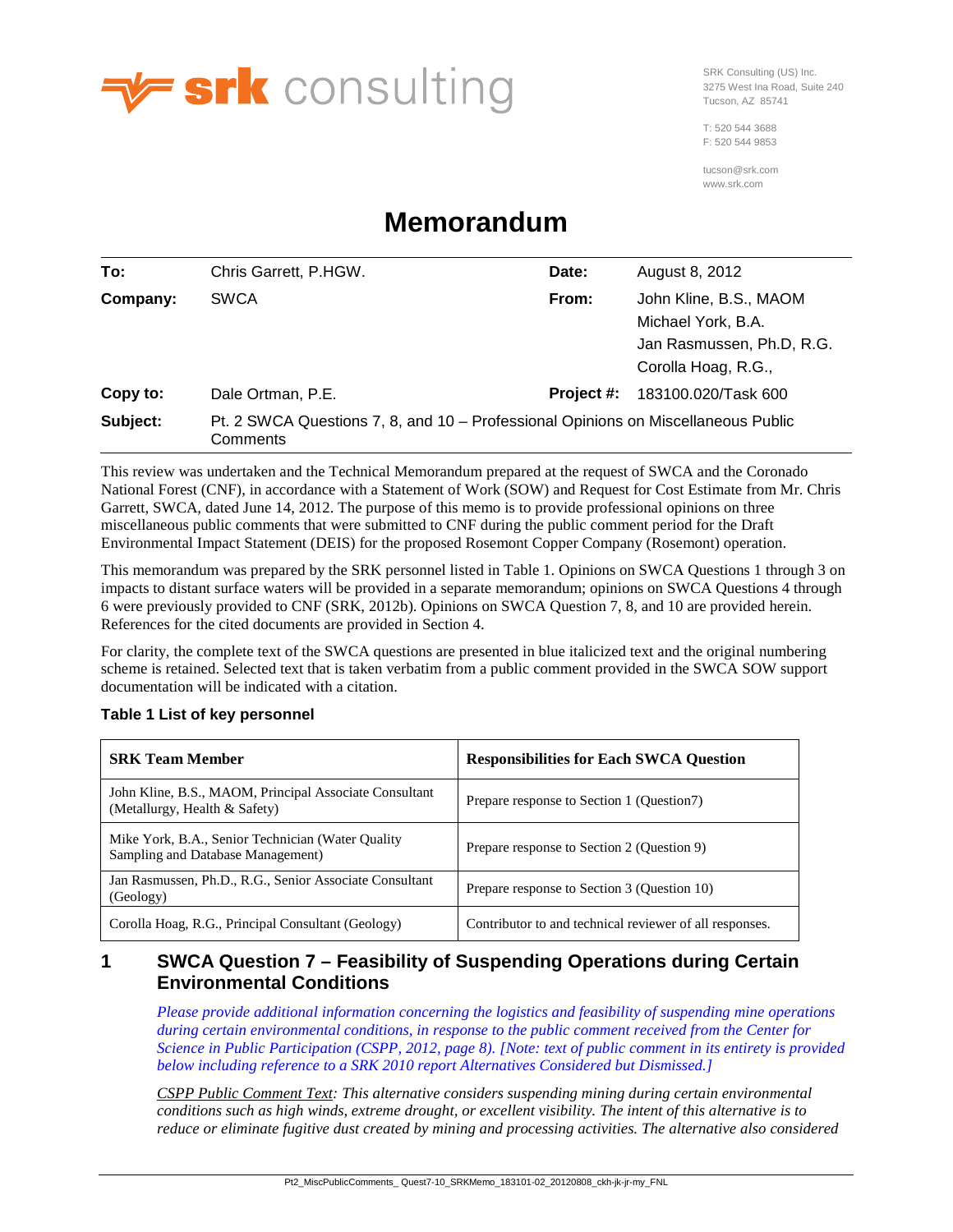

SRK Consulting (US) Inc. 3275 West Ina Road, Suite 240 Tucson, AZ 85741

T: 520 544 3688 F: 520 544 9853

tucson@srk.com www.srk.com

# **Memorandum**

| To:      | Chris Garrett, P.HGW.                                                                         | Date:      | August 8, 2012                                                                                   |
|----------|-----------------------------------------------------------------------------------------------|------------|--------------------------------------------------------------------------------------------------|
| Company: | <b>SWCA</b>                                                                                   | From:      | John Kline, B.S., MAOM<br>Michael York, B.A.<br>Jan Rasmussen, Ph.D, R.G.<br>Corolla Hoag, R.G., |
| Copy to: | Dale Ortman, P.E.                                                                             | Project #: | 183100.020/Task 600                                                                              |
| Subject: | Pt. 2 SWCA Questions 7, 8, and 10 – Professional Opinions on Miscellaneous Public<br>Comments |            |                                                                                                  |

This review was undertaken and the Technical Memorandum prepared at the request of SWCA and the Coronado National Forest (CNF), in accordance with a Statement of Work (SOW) and Request for Cost Estimate from Mr. Chris Garrett, SWCA, dated June 14, 2012. The purpose of this memo is to provide professional opinions on three miscellaneous public comments that were submitted to CNF during the public comment period for the Draft Environmental Impact Statement (DEIS) for the proposed Rosemont Copper Company (Rosemont) operation.

This memorandum was prepared by the SRK personnel listed i[n Table 1.](#page-0-0) Opinions on SWCA Questions 1 through 3 on impacts to distant surface waters will be provided in a separate memorandum; opinions on SWCA Questions 4 through 6 were previously provided to CNF (SRK, 2012b). Opinions on SWCA Question 7, 8, and 10 are provided herein. References for the cited documents are provided in Section [4.](#page-20-0)

For clarity, the complete text of the SWCA questions are presented in blue italicized text and the original numbering scheme is retained. Selected text that is taken verbatim from a public comment provided in the SWCA SOW support documentation will be indicated with a citation.

#### <span id="page-0-0"></span>**Table 1 List of key personnel**

| <b>SRK Team Member</b>                                                                  | <b>Responsibilities for Each SWCA Question</b>          |
|-----------------------------------------------------------------------------------------|---------------------------------------------------------|
| John Kline, B.S., MAOM, Principal Associate Consultant<br>(Metallurgy, Health & Safety) | Prepare response to Section 1 (Question 7)              |
| Mike York, B.A., Senior Technician (Water Quality)<br>Sampling and Database Management) | Prepare response to Section 2 (Question 9)              |
| Jan Rasmussen, Ph.D., R.G., Senior Associate Consultant<br>(Geology)                    | Prepare response to Section 3 (Question 10)             |
| Corolla Hoag, R.G., Principal Consultant (Geology)                                      | Contributor to and technical reviewer of all responses. |

# **1 SWCA Question 7 – Feasibility of Suspending Operations during Certain Environmental Conditions**

*Please provide additional information concerning the logistics and feasibility of suspending mine operations during certain environmental conditions, in response to the public comment received from the Center for Science in Public Participation (CSPP, 2012, page 8). [Note: text of public comment in its entirety is provided below including reference to a SRK 2010 report Alternatives Considered but Dismissed.]*

*CSPP Public Comment Text: This alternative considers suspending mining during certain environmental conditions such as high winds, extreme drought, or excellent visibility. The intent of this alternative is to reduce or eliminate fugitive dust created by mining and processing activities. The alternative also considered*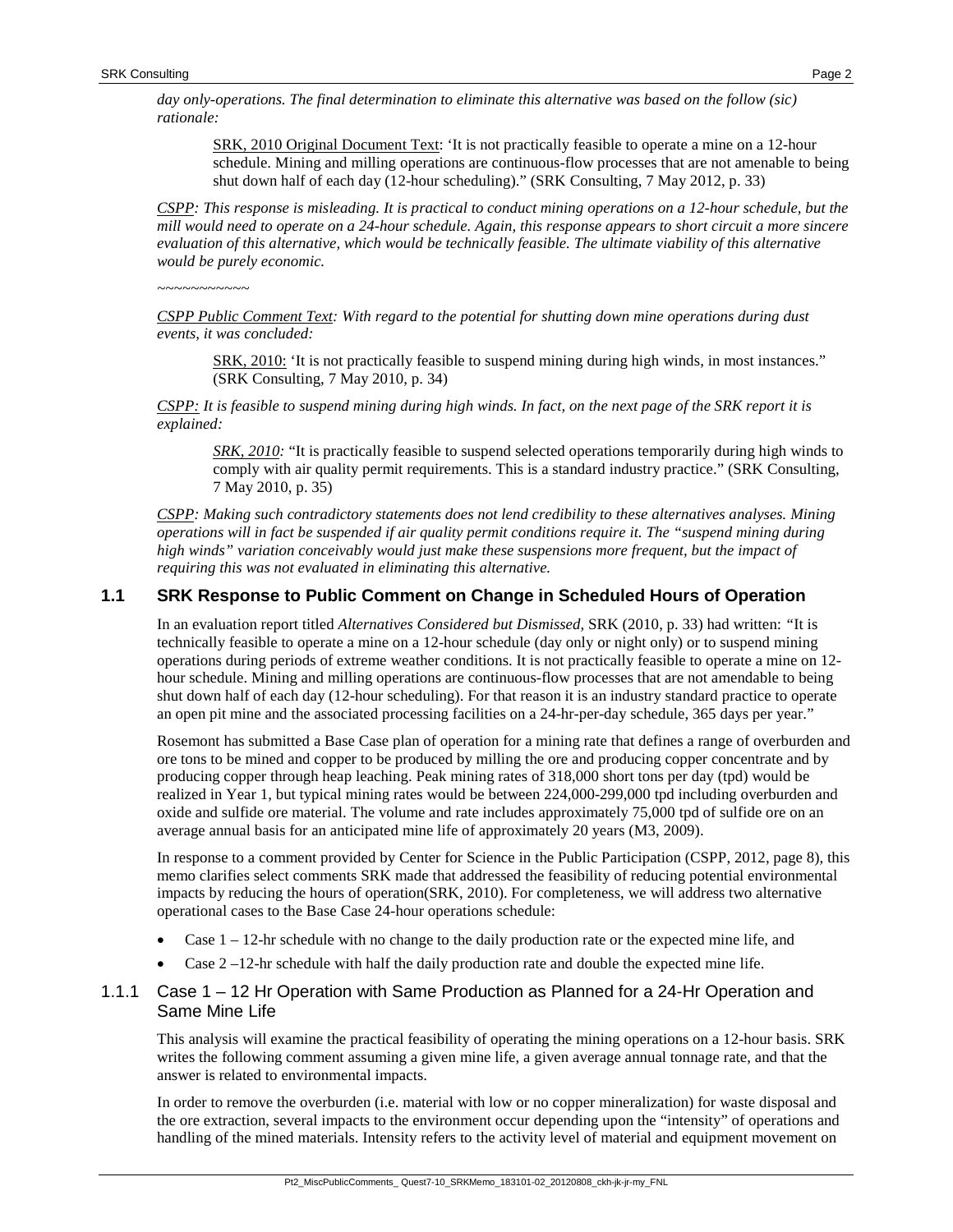*day only-operations. The final determination to eliminate this alternative was based on the follow (sic) rationale:*

SRK, 2010 Original Document Text: 'It is not practically feasible to operate a mine on a 12-hour schedule. Mining and milling operations are continuous-flow processes that are not amenable to being shut down half of each day (12-hour scheduling)." (SRK Consulting, 7 May 2012, p. 33)

*CSPP: This response is misleading. It is practical to conduct mining operations on a 12-hour schedule, but the mill would need to operate on a 24-hour schedule. Again, this response appears to short circuit a more sincere evaluation of this alternative, which would be technically feasible. The ultimate viability of this alternative would be purely economic.*

*~~~~~~~~~~~*

*CSPP Public Comment Text: With regard to the potential for shutting down mine operations during dust events, it was concluded:* 

SRK, 2010: 'It is not practically feasible to suspend mining during high winds, in most instances." (SRK Consulting, 7 May 2010, p. 34)

*CSPP: It is feasible to suspend mining during high winds. In fact, on the next page of the SRK report it is explained:* 

*SRK, 2010:* "It is practically feasible to suspend selected operations temporarily during high winds to comply with air quality permit requirements. This is a standard industry practice." (SRK Consulting, 7 May 2010, p. 35)

*CSPP: Making such contradictory statements does not lend credibility to these alternatives analyses. Mining operations will in fact be suspended if air quality permit conditions require it. The "suspend mining during high winds" variation conceivably would just make these suspensions more frequent, but the impact of requiring this was not evaluated in eliminating this alternative.*

## **1.1 SRK Response to Public Comment on Change in Scheduled Hours of Operation**

In an evaluation report titled *Alternatives Considered but Dismissed,* SRK (2010, p. 33) had written: *"*It is technically feasible to operate a mine on a 12-hour schedule (day only or night only) or to suspend mining operations during periods of extreme weather conditions. It is not practically feasible to operate a mine on 12 hour schedule. Mining and milling operations are continuous-flow processes that are not amendable to being shut down half of each day (12-hour scheduling). For that reason it is an industry standard practice to operate an open pit mine and the associated processing facilities on a 24-hr-per-day schedule, 365 days per year."

Rosemont has submitted a Base Case plan of operation for a mining rate that defines a range of overburden and ore tons to be mined and copper to be produced by milling the ore and producing copper concentrate and by producing copper through heap leaching. Peak mining rates of 318,000 short tons per day (tpd) would be realized in Year 1, but typical mining rates would be between 224,000-299,000 tpd including overburden and oxide and sulfide ore material. The volume and rate includes approximately 75,000 tpd of sulfide ore on an average annual basis for an anticipated mine life of approximately 20 years (M3, 2009).

In response to a comment provided by Center for Science in the Public Participation (CSPP, 2012, page 8), this memo clarifies select comments SRK made that addressed the feasibility of reducing potential environmental impacts by reducing the hours of operation(SRK, 2010). For completeness, we will address two alternative operational cases to the Base Case 24-hour operations schedule:

- Case  $1 12$ -hr schedule with no change to the daily production rate or the expected mine life, and
- Case  $2 12$ -hr schedule with half the daily production rate and double the expected mine life.

## 1.1.1 Case 1 – 12 Hr Operation with Same Production as Planned for a 24-Hr Operation and Same Mine Life

This analysis will examine the practical feasibility of operating the mining operations on a 12-hour basis. SRK writes the following comment assuming a given mine life, a given average annual tonnage rate, and that the answer is related to environmental impacts.

In order to remove the overburden (i.e. material with low or no copper mineralization) for waste disposal and the ore extraction, several impacts to the environment occur depending upon the "intensity" of operations and handling of the mined materials. Intensity refers to the activity level of material and equipment movement on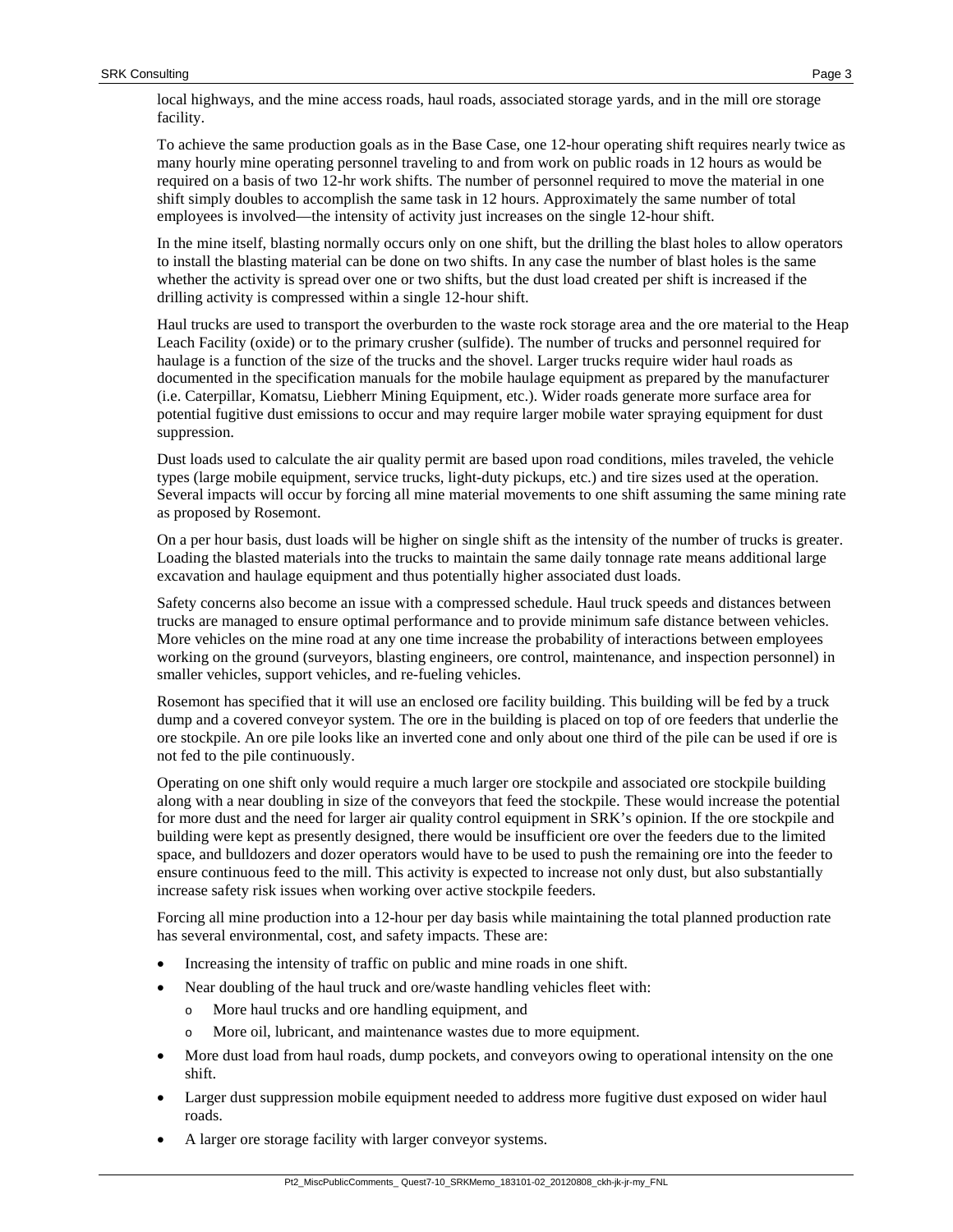local highways, and the mine access roads, haul roads, associated storage yards, and in the mill ore storage facility.

To achieve the same production goals as in the Base Case, one 12-hour operating shift requires nearly twice as many hourly mine operating personnel traveling to and from work on public roads in 12 hours as would be required on a basis of two 12-hr work shifts. The number of personnel required to move the material in one shift simply doubles to accomplish the same task in 12 hours. Approximately the same number of total employees is involved—the intensity of activity just increases on the single 12-hour shift.

In the mine itself, blasting normally occurs only on one shift, but the drilling the blast holes to allow operators to install the blasting material can be done on two shifts. In any case the number of blast holes is the same whether the activity is spread over one or two shifts, but the dust load created per shift is increased if the drilling activity is compressed within a single 12-hour shift.

Haul trucks are used to transport the overburden to the waste rock storage area and the ore material to the Heap Leach Facility (oxide) or to the primary crusher (sulfide). The number of trucks and personnel required for haulage is a function of the size of the trucks and the shovel. Larger trucks require wider haul roads as documented in the specification manuals for the mobile haulage equipment as prepared by the manufacturer (i.e. Caterpillar, Komatsu, Liebherr Mining Equipment, etc.). Wider roads generate more surface area for potential fugitive dust emissions to occur and may require larger mobile water spraying equipment for dust suppression.

Dust loads used to calculate the air quality permit are based upon road conditions, miles traveled, the vehicle types (large mobile equipment, service trucks, light-duty pickups, etc.) and tire sizes used at the operation. Several impacts will occur by forcing all mine material movements to one shift assuming the same mining rate as proposed by Rosemont.

On a per hour basis, dust loads will be higher on single shift as the intensity of the number of trucks is greater. Loading the blasted materials into the trucks to maintain the same daily tonnage rate means additional large excavation and haulage equipment and thus potentially higher associated dust loads.

Safety concerns also become an issue with a compressed schedule. Haul truck speeds and distances between trucks are managed to ensure optimal performance and to provide minimum safe distance between vehicles. More vehicles on the mine road at any one time increase the probability of interactions between employees working on the ground (surveyors, blasting engineers, ore control, maintenance, and inspection personnel) in smaller vehicles, support vehicles, and re-fueling vehicles.

Rosemont has specified that it will use an enclosed ore facility building. This building will be fed by a truck dump and a covered conveyor system. The ore in the building is placed on top of ore feeders that underlie the ore stockpile. An ore pile looks like an inverted cone and only about one third of the pile can be used if ore is not fed to the pile continuously.

Operating on one shift only would require a much larger ore stockpile and associated ore stockpile building along with a near doubling in size of the conveyors that feed the stockpile. These would increase the potential for more dust and the need for larger air quality control equipment in SRK's opinion. If the ore stockpile and building were kept as presently designed, there would be insufficient ore over the feeders due to the limited space, and bulldozers and dozer operators would have to be used to push the remaining ore into the feeder to ensure continuous feed to the mill. This activity is expected to increase not only dust, but also substantially increase safety risk issues when working over active stockpile feeders.

Forcing all mine production into a 12-hour per day basis while maintaining the total planned production rate has several environmental, cost, and safety impacts. These are:

- Increasing the intensity of traffic on public and mine roads in one shift.
- Near doubling of the haul truck and ore/waste handling vehicles fleet with:
	- o More haul trucks and ore handling equipment, and
	- o More oil, lubricant, and maintenance wastes due to more equipment.
- More dust load from haul roads, dump pockets, and conveyors owing to operational intensity on the one shift.
- Larger dust suppression mobile equipment needed to address more fugitive dust exposed on wider haul roads.
- A larger ore storage facility with larger conveyor systems.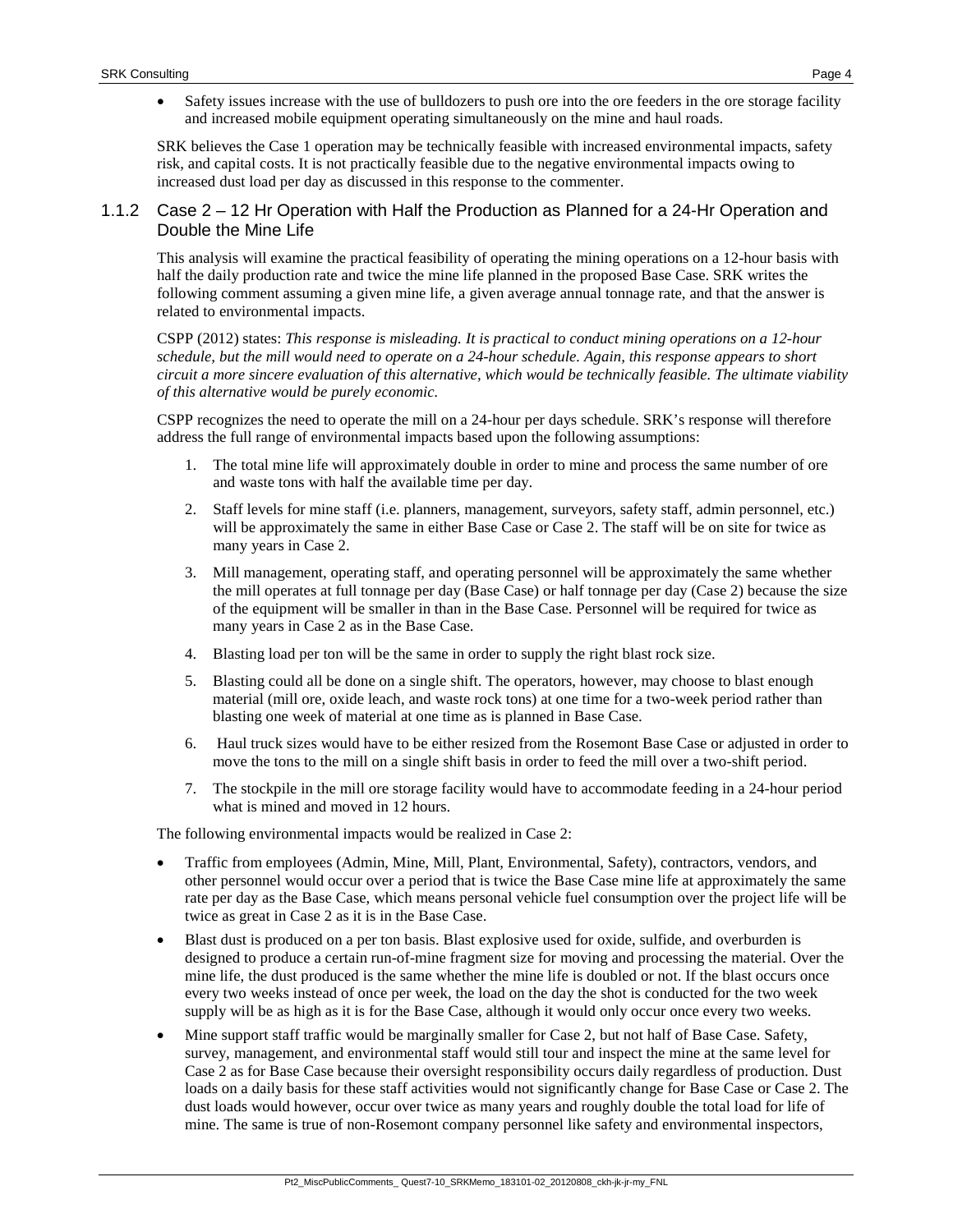• Safety issues increase with the use of bulldozers to push ore into the ore feeders in the ore storage facility and increased mobile equipment operating simultaneously on the mine and haul roads.

SRK believes the Case 1 operation may be technically feasible with increased environmental impacts, safety risk, and capital costs. It is not practically feasible due to the negative environmental impacts owing to increased dust load per day as discussed in this response to the commenter.

#### 1.1.2 Case 2 – 12 Hr Operation with Half the Production as Planned for a 24-Hr Operation and Double the Mine Life

This analysis will examine the practical feasibility of operating the mining operations on a 12-hour basis with half the daily production rate and twice the mine life planned in the proposed Base Case. SRK writes the following comment assuming a given mine life, a given average annual tonnage rate, and that the answer is related to environmental impacts.

CSPP (2012) states: *This response is misleading. It is practical to conduct mining operations on a 12-hour schedule, but the mill would need to operate on a 24-hour schedule. Again, this response appears to short circuit a more sincere evaluation of this alternative, which would be technically feasible. The ultimate viability of this alternative would be purely economic.*

CSPP recognizes the need to operate the mill on a 24-hour per days schedule. SRK's response will therefore address the full range of environmental impacts based upon the following assumptions:

- 1. The total mine life will approximately double in order to mine and process the same number of ore and waste tons with half the available time per day.
- 2. Staff levels for mine staff (i.e. planners, management, surveyors, safety staff, admin personnel, etc.) will be approximately the same in either Base Case or Case 2. The staff will be on site for twice as many years in Case 2.
- 3. Mill management, operating staff, and operating personnel will be approximately the same whether the mill operates at full tonnage per day (Base Case) or half tonnage per day (Case 2) because the size of the equipment will be smaller in than in the Base Case. Personnel will be required for twice as many years in Case 2 as in the Base Case.
- 4. Blasting load per ton will be the same in order to supply the right blast rock size.
- 5. Blasting could all be done on a single shift. The operators, however, may choose to blast enough material (mill ore, oxide leach, and waste rock tons) at one time for a two-week period rather than blasting one week of material at one time as is planned in Base Case.
- 6. Haul truck sizes would have to be either resized from the Rosemont Base Case or adjusted in order to move the tons to the mill on a single shift basis in order to feed the mill over a two-shift period.
- 7. The stockpile in the mill ore storage facility would have to accommodate feeding in a 24-hour period what is mined and moved in 12 hours.

The following environmental impacts would be realized in Case 2:

- Traffic from employees (Admin, Mine, Mill, Plant, Environmental, Safety), contractors, vendors, and other personnel would occur over a period that is twice the Base Case mine life at approximately the same rate per day as the Base Case, which means personal vehicle fuel consumption over the project life will be twice as great in Case 2 as it is in the Base Case.
- Blast dust is produced on a per ton basis. Blast explosive used for oxide, sulfide, and overburden is designed to produce a certain run-of-mine fragment size for moving and processing the material. Over the mine life, the dust produced is the same whether the mine life is doubled or not. If the blast occurs once every two weeks instead of once per week, the load on the day the shot is conducted for the two week supply will be as high as it is for the Base Case, although it would only occur once every two weeks.
- Mine support staff traffic would be marginally smaller for Case 2, but not half of Base Case. Safety, survey, management, and environmental staff would still tour and inspect the mine at the same level for Case 2 as for Base Case because their oversight responsibility occurs daily regardless of production. Dust loads on a daily basis for these staff activities would not significantly change for Base Case or Case 2. The dust loads would however, occur over twice as many years and roughly double the total load for life of mine. The same is true of non-Rosemont company personnel like safety and environmental inspectors,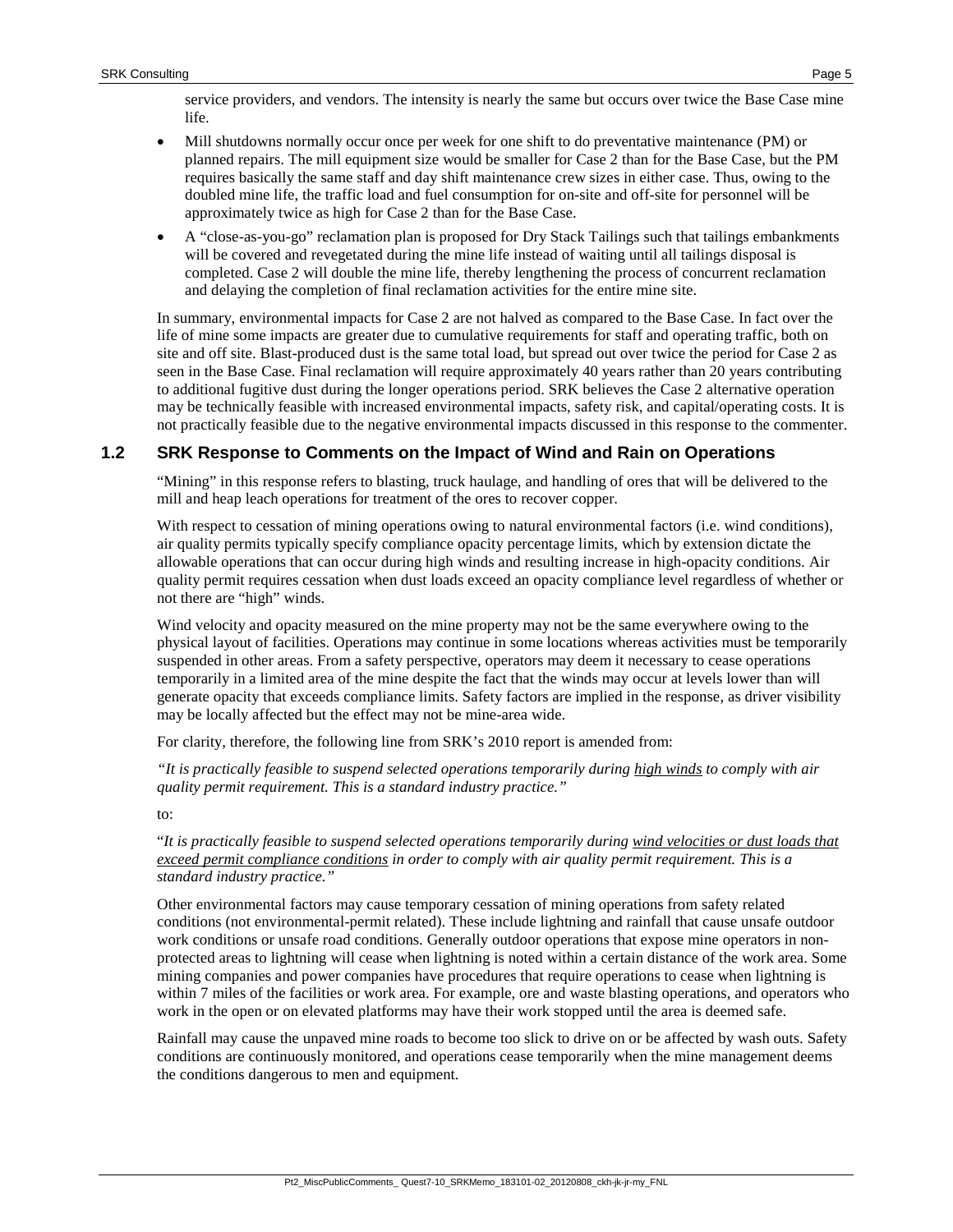service providers, and vendors. The intensity is nearly the same but occurs over twice the Base Case mine life.

- Mill shutdowns normally occur once per week for one shift to do preventative maintenance (PM) or planned repairs. The mill equipment size would be smaller for Case 2 than for the Base Case, but the PM requires basically the same staff and day shift maintenance crew sizes in either case. Thus, owing to the doubled mine life, the traffic load and fuel consumption for on-site and off-site for personnel will be approximately twice as high for Case 2 than for the Base Case.
- A "close-as-you-go" reclamation plan is proposed for Dry Stack Tailings such that tailings embankments will be covered and revegetated during the mine life instead of waiting until all tailings disposal is completed. Case 2 will double the mine life, thereby lengthening the process of concurrent reclamation and delaying the completion of final reclamation activities for the entire mine site.

In summary, environmental impacts for Case 2 are not halved as compared to the Base Case. In fact over the life of mine some impacts are greater due to cumulative requirements for staff and operating traffic, both on site and off site. Blast-produced dust is the same total load, but spread out over twice the period for Case 2 as seen in the Base Case. Final reclamation will require approximately 40 years rather than 20 years contributing to additional fugitive dust during the longer operations period. SRK believes the Case 2 alternative operation may be technically feasible with increased environmental impacts, safety risk, and capital/operating costs. It is not practically feasible due to the negative environmental impacts discussed in this response to the commenter.

## **1.2 SRK Response to Comments on the Impact of Wind and Rain on Operations**

"Mining" in this response refers to blasting, truck haulage, and handling of ores that will be delivered to the mill and heap leach operations for treatment of the ores to recover copper.

With respect to cessation of mining operations owing to natural environmental factors (i.e. wind conditions), air quality permits typically specify compliance opacity percentage limits, which by extension dictate the allowable operations that can occur during high winds and resulting increase in high-opacity conditions. Air quality permit requires cessation when dust loads exceed an opacity compliance level regardless of whether or not there are "high" winds.

Wind velocity and opacity measured on the mine property may not be the same everywhere owing to the physical layout of facilities. Operations may continue in some locations whereas activities must be temporarily suspended in other areas. From a safety perspective, operators may deem it necessary to cease operations temporarily in a limited area of the mine despite the fact that the winds may occur at levels lower than will generate opacity that exceeds compliance limits. Safety factors are implied in the response, as driver visibility may be locally affected but the effect may not be mine-area wide.

For clarity, therefore, the following line from SRK's 2010 report is amended from:

*"It is practically feasible to suspend selected operations temporarily during high winds to comply with air quality permit requirement. This is a standard industry practice."*

to:

"*It is practically feasible to suspend selected operations temporarily during wind velocities or dust loads that exceed permit compliance conditions in order to comply with air quality permit requirement. This is a standard industry practice."*

Other environmental factors may cause temporary cessation of mining operations from safety related conditions (not environmental-permit related). These include lightning and rainfall that cause unsafe outdoor work conditions or unsafe road conditions. Generally outdoor operations that expose mine operators in nonprotected areas to lightning will cease when lightning is noted within a certain distance of the work area. Some mining companies and power companies have procedures that require operations to cease when lightning is within 7 miles of the facilities or work area. For example, ore and waste blasting operations, and operators who work in the open or on elevated platforms may have their work stopped until the area is deemed safe.

Rainfall may cause the unpaved mine roads to become too slick to drive on or be affected by wash outs. Safety conditions are continuously monitored, and operations cease temporarily when the mine management deems the conditions dangerous to men and equipment.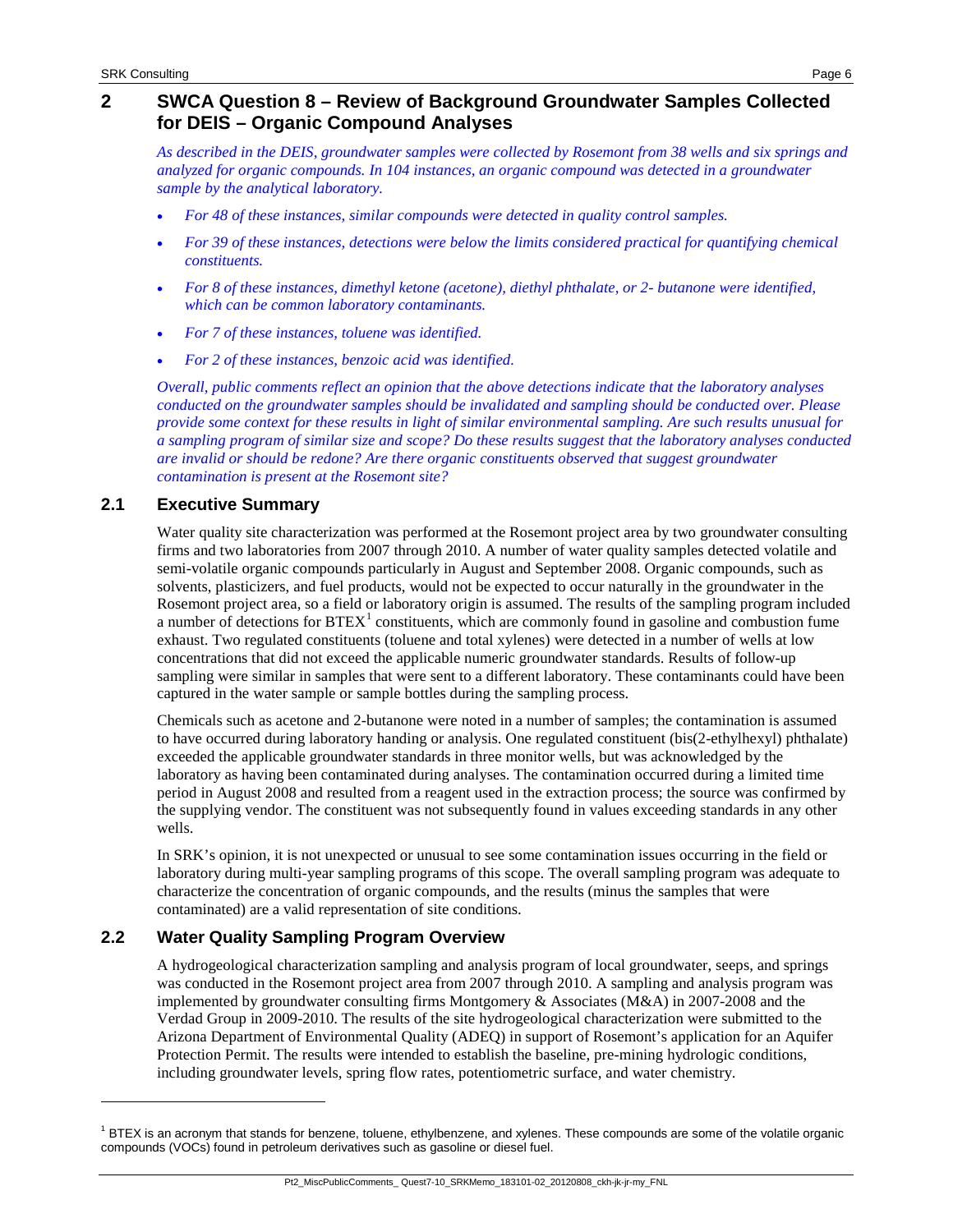# **2 SWCA Question 8 – Review of Background Groundwater Samples Collected for DEIS – Organic Compound Analyses**

*As described in the DEIS, groundwater samples were collected by Rosemont from 38 wells and six springs and analyzed for organic compounds. In 104 instances, an organic compound was detected in a groundwater sample by the analytical laboratory.*

- *For 48 of these instances, similar compounds were detected in quality control samples.*
- *For 39 of these instances, detections were below the limits considered practical for quantifying chemical constituents.*
- *For 8 of these instances, dimethyl ketone (acetone), diethyl phthalate, or 2- butanone were identified, which can be common laboratory contaminants.*
- *For 7 of these instances, toluene was identified.*
- *For 2 of these instances, benzoic acid was identified.*

*Overall, public comments reflect an opinion that the above detections indicate that the laboratory analyses conducted on the groundwater samples should be invalidated and sampling should be conducted over. Please provide some context for these results in light of similar environmental sampling. Are such results unusual for a sampling program of similar size and scope? Do these results suggest that the laboratory analyses conducted are invalid or should be redone? Are there organic constituents observed that suggest groundwater contamination is present at the Rosemont site?*

# **2.1 Executive Summary**

j

Water quality site characterization was performed at the Rosemont project area by two groundwater consulting firms and two laboratories from 2007 through 2010. A number of water quality samples detected volatile and semi-volatile organic compounds particularly in August and September 2008. Organic compounds, such as solvents, plasticizers, and fuel products, would not be expected to occur naturally in the groundwater in the Rosemont project area, so a field or laboratory origin is assumed. The results of the sampling program included a number of detections for  $BTEX<sup>1</sup>$  $BTEX<sup>1</sup>$  $BTEX<sup>1</sup>$  constituents, which are commonly found in gasoline and combustion fume exhaust. Two regulated constituents (toluene and total xylenes) were detected in a number of wells at low concentrations that did not exceed the applicable numeric groundwater standards. Results of follow-up sampling were similar in samples that were sent to a different laboratory. These contaminants could have been captured in the water sample or sample bottles during the sampling process.

Chemicals such as acetone and 2-butanone were noted in a number of samples; the contamination is assumed to have occurred during laboratory handing or analysis. One regulated constituent (bis(2-ethylhexyl) phthalate) exceeded the applicable groundwater standards in three monitor wells, but was acknowledged by the laboratory as having been contaminated during analyses. The contamination occurred during a limited time period in August 2008 and resulted from a reagent used in the extraction process; the source was confirmed by the supplying vendor. The constituent was not subsequently found in values exceeding standards in any other wells.

In SRK's opinion, it is not unexpected or unusual to see some contamination issues occurring in the field or laboratory during multi-year sampling programs of this scope. The overall sampling program was adequate to characterize the concentration of organic compounds, and the results (minus the samples that were contaminated) are a valid representation of site conditions.

# **2.2 Water Quality Sampling Program Overview**

A hydrogeological characterization sampling and analysis program of local groundwater, seeps, and springs was conducted in the Rosemont project area from 2007 through 2010. A sampling and analysis program was implemented by groundwater consulting firms Montgomery & Associates (M&A) in 2007-2008 and the Verdad Group in 2009-2010. The results of the site hydrogeological characterization were submitted to the Arizona Department of Environmental Quality (ADEQ) in support of Rosemont's application for an Aquifer Protection Permit. The results were intended to establish the baseline, pre-mining hydrologic conditions, including groundwater levels, spring flow rates, potentiometric surface, and water chemistry.

Pt2\_MiscPublicComments\_ Quest7-10\_SRKMemo\_183101-02\_20120808\_ckh-jk-jr-my\_FNL

<span id="page-5-0"></span> $1$  BTEX is an acronym that stands for benzene, toluene, ethylbenzene, and xylenes. These compounds are some of the volatile organic compounds (VOCs) found in petroleum derivatives such as gasoline or diesel fuel.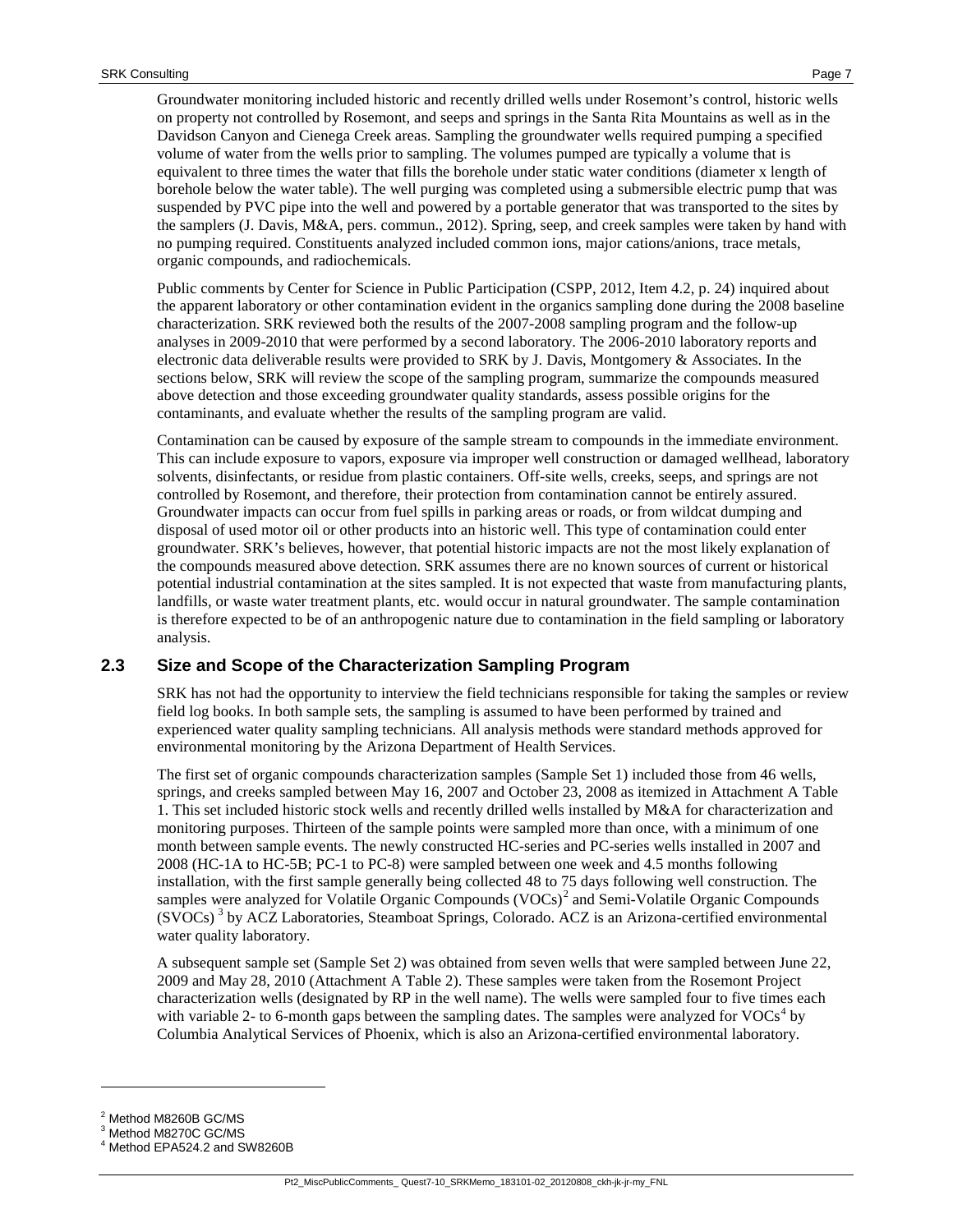Groundwater monitoring included historic and recently drilled wells under Rosemont's control, historic wells on property not controlled by Rosemont, and seeps and springs in the Santa Rita Mountains as well as in the Davidson Canyon and Cienega Creek areas. Sampling the groundwater wells required pumping a specified volume of water from the wells prior to sampling. The volumes pumped are typically a volume that is equivalent to three times the water that fills the borehole under static water conditions (diameter x length of borehole below the water table). The well purging was completed using a submersible electric pump that was suspended by PVC pipe into the well and powered by a portable generator that was transported to the sites by the samplers (J. Davis, M&A, pers. commun., 2012). Spring, seep, and creek samples were taken by hand with no pumping required. Constituents analyzed included common ions, major cations/anions, trace metals, organic compounds, and radiochemicals.

Public comments by Center for Science in Public Participation (CSPP, 2012, Item 4.2, p. 24) inquired about the apparent laboratory or other contamination evident in the organics sampling done during the 2008 baseline characterization. SRK reviewed both the results of the 2007-2008 sampling program and the follow-up analyses in 2009-2010 that were performed by a second laboratory. The 2006-2010 laboratory reports and electronic data deliverable results were provided to SRK by J. Davis, Montgomery & Associates. In the sections below, SRK will review the scope of the sampling program, summarize the compounds measured above detection and those exceeding groundwater quality standards, assess possible origins for the contaminants, and evaluate whether the results of the sampling program are valid.

Contamination can be caused by exposure of the sample stream to compounds in the immediate environment. This can include exposure to vapors, exposure via improper well construction or damaged wellhead, laboratory solvents, disinfectants, or residue from plastic containers. Off-site wells, creeks, seeps, and springs are not controlled by Rosemont, and therefore, their protection from contamination cannot be entirely assured. Groundwater impacts can occur from fuel spills in parking areas or roads, or from wildcat dumping and disposal of used motor oil or other products into an historic well. This type of contamination could enter groundwater. SRK's believes, however, that potential historic impacts are not the most likely explanation of the compounds measured above detection. SRK assumes there are no known sources of current or historical potential industrial contamination at the sites sampled. It is not expected that waste from manufacturing plants, landfills, or waste water treatment plants, etc. would occur in natural groundwater. The sample contamination is therefore expected to be of an anthropogenic nature due to contamination in the field sampling or laboratory analysis.

## **2.3 Size and Scope of the Characterization Sampling Program**

SRK has not had the opportunity to interview the field technicians responsible for taking the samples or review field log books. In both sample sets, the sampling is assumed to have been performed by trained and experienced water quality sampling technicians. All analysis methods were standard methods approved for environmental monitoring by the Arizona Department of Health Services.

The first set of organic compounds characterization samples (Sample Set 1) included those from 46 wells, springs, and creeks sampled between May 16, 2007 and October 23, 2008 as itemized in Attachment A Table 1. This set included historic stock wells and recently drilled wells installed by M&A for characterization and monitoring purposes. Thirteen of the sample points were sampled more than once, with a minimum of one month between sample events. The newly constructed HC-series and PC-series wells installed in 2007 and 2008 (HC-1A to HC-5B; PC-1 to PC-8) were sampled between one week and 4.5 months following installation, with the first sample generally being collected 48 to 75 days following well construction. The samples were analyzed for Volatile Organic Compounds  $(VOCs)^2$  $(VOCs)^2$  and Semi-Volatile Organic Compounds  $(SVOCs)$ <sup>[3](#page-6-1)</sup> by ACZ Laboratories, Steamboat Springs, Colorado. ACZ is an Arizona-certified environmental water quality laboratory.

A subsequent sample set (Sample Set 2) was obtained from seven wells that were sampled between June 22, 2009 and May 28, 2010 (Attachment A Table 2). These samples were taken from the Rosemont Project characterization wells (designated by RP in the well name). The wells were sampled four to five times each with variable 2- to 6-month gaps between the sampling dates. The samples were analyzed for  $VOCs<sup>4</sup>$  $VOCs<sup>4</sup>$  $VOCs<sup>4</sup>$  by Columbia Analytical Services of Phoenix, which is also an Arizona-certified environmental laboratory.

-

<span id="page-6-0"></span><sup>2</sup> Method M8260B GC/MS

<sup>3</sup> Method M8270C GC/MS

<span id="page-6-2"></span><span id="page-6-1"></span><sup>4</sup> Method EPA524.2 and SW8260B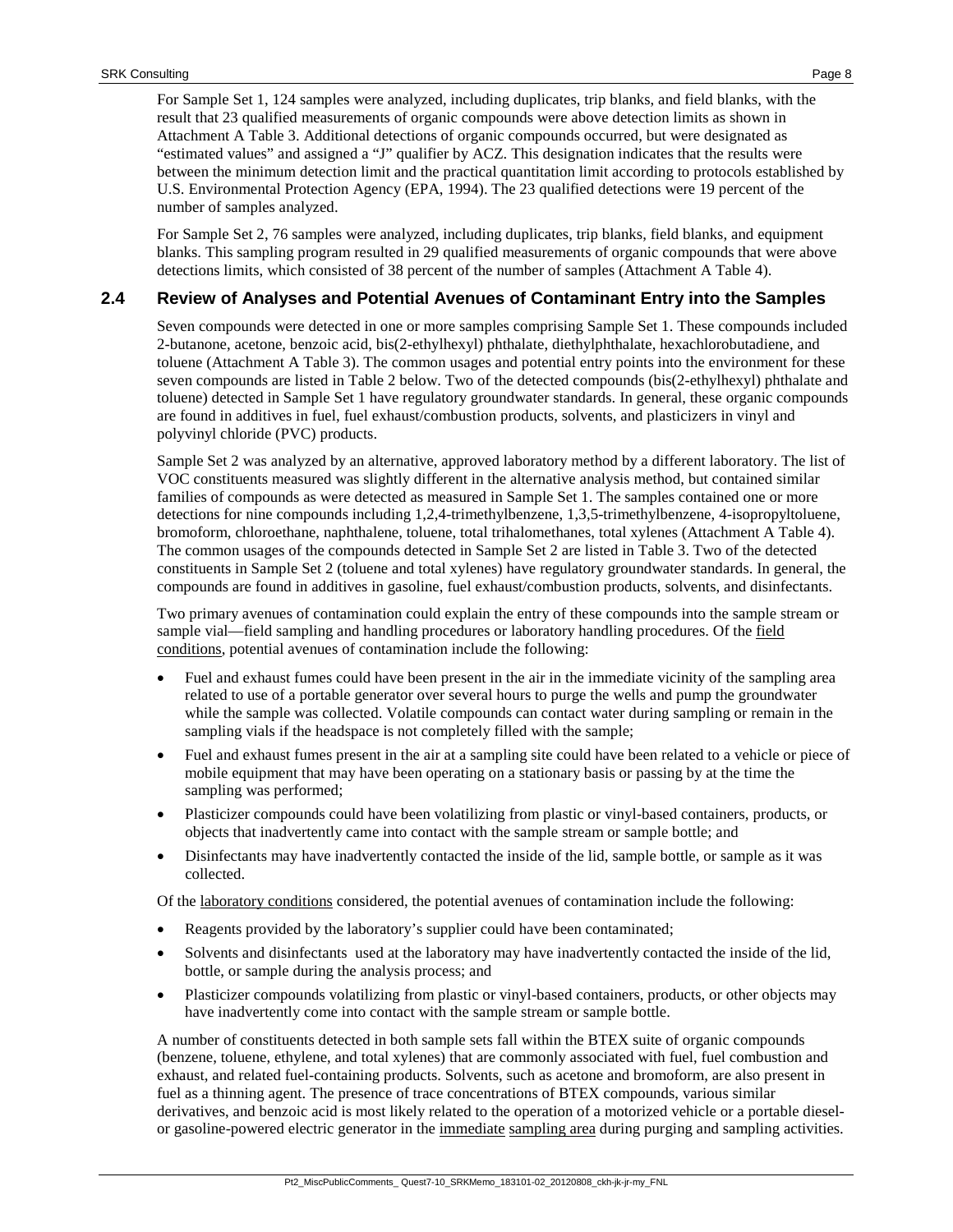For Sample Set 1, 124 samples were analyzed, including duplicates, trip blanks, and field blanks, with the result that 23 qualified measurements of organic compounds were above detection limits as shown in Attachment A Table 3. Additional detections of organic compounds occurred, but were designated as "estimated values" and assigned a "J" qualifier by ACZ. This designation indicates that the results were between the minimum detection limit and the practical quantitation limit according to protocols established by U.S. Environmental Protection Agency (EPA, 1994). The 23 qualified detections were 19 percent of the number of samples analyzed.

For Sample Set 2, 76 samples were analyzed, including duplicates, trip blanks, field blanks, and equipment blanks. This sampling program resulted in 29 qualified measurements of organic compounds that were above detections limits, which consisted of 38 percent of the number of samples (Attachment A Table 4).

#### **2.4 Review of Analyses and Potential Avenues of Contaminant Entry into the Samples**

Seven compounds were detected in one or more samples comprising Sample Set 1. These compounds included 2-butanone, acetone, benzoic acid, bis(2-ethylhexyl) phthalate, diethylphthalate, hexachlorobutadiene, and toluene (Attachment A Table 3). The common usages and potential entry points into the environment for these seven compounds are listed in [Table 2](#page-9-0) below. Two of the detected compounds (bis(2-ethylhexyl) phthalate and toluene) detected in Sample Set 1 have regulatory groundwater standards. In general, these organic compounds are found in additives in fuel, fuel exhaust/combustion products, solvents, and plasticizers in vinyl and polyvinyl chloride (PVC) products.

Sample Set 2 was analyzed by an alternative, approved laboratory method by a different laboratory. The list of VOC constituents measured was slightly different in the alternative analysis method, but contained similar families of compounds as were detected as measured in Sample Set 1. The samples contained one or more detections for nine compounds including 1,2,4-trimethylbenzene, 1,3,5-trimethylbenzene, 4-isopropyltoluene, bromoform, chloroethane, naphthalene, toluene, total trihalomethanes, total xylenes (Attachment A Table 4). The common usages of the compounds detected in Sample Set 2 are listed in [Table 3.](#page-10-0) Two of the detected constituents in Sample Set 2 (toluene and total xylenes) have regulatory groundwater standards. In general, the compounds are found in additives in gasoline, fuel exhaust/combustion products, solvents, and disinfectants.

Two primary avenues of contamination could explain the entry of these compounds into the sample stream or sample vial—field sampling and handling procedures or laboratory handling procedures. Of the field conditions, potential avenues of contamination include the following:

- Fuel and exhaust fumes could have been present in the air in the immediate vicinity of the sampling area related to use of a portable generator over several hours to purge the wells and pump the groundwater while the sample was collected. Volatile compounds can contact water during sampling or remain in the sampling vials if the headspace is not completely filled with the sample;
- Fuel and exhaust fumes present in the air at a sampling site could have been related to a vehicle or piece of mobile equipment that may have been operating on a stationary basis or passing by at the time the sampling was performed;
- Plasticizer compounds could have been volatilizing from plastic or vinyl-based containers, products, or objects that inadvertently came into contact with the sample stream or sample bottle; and
- Disinfectants may have inadvertently contacted the inside of the lid, sample bottle, or sample as it was collected.

Of the laboratory conditions considered, the potential avenues of contamination include the following:

- Reagents provided by the laboratory's supplier could have been contaminated;
- Solvents and disinfectants used at the laboratory may have inadvertently contacted the inside of the lid, bottle, or sample during the analysis process; and
- Plasticizer compounds volatilizing from plastic or vinyl-based containers, products, or other objects may have inadvertently come into contact with the sample stream or sample bottle.

A number of constituents detected in both sample sets fall within the BTEX suite of organic compounds (benzene, toluene, ethylene, and total xylenes) that are commonly associated with fuel, fuel combustion and exhaust, and related fuel-containing products. Solvents, such as acetone and bromoform, are also present in fuel as a thinning agent. The presence of trace concentrations of BTEX compounds, various similar derivatives, and benzoic acid is most likely related to the operation of a motorized vehicle or a portable dieselor gasoline-powered electric generator in the immediate sampling area during purging and sampling activities.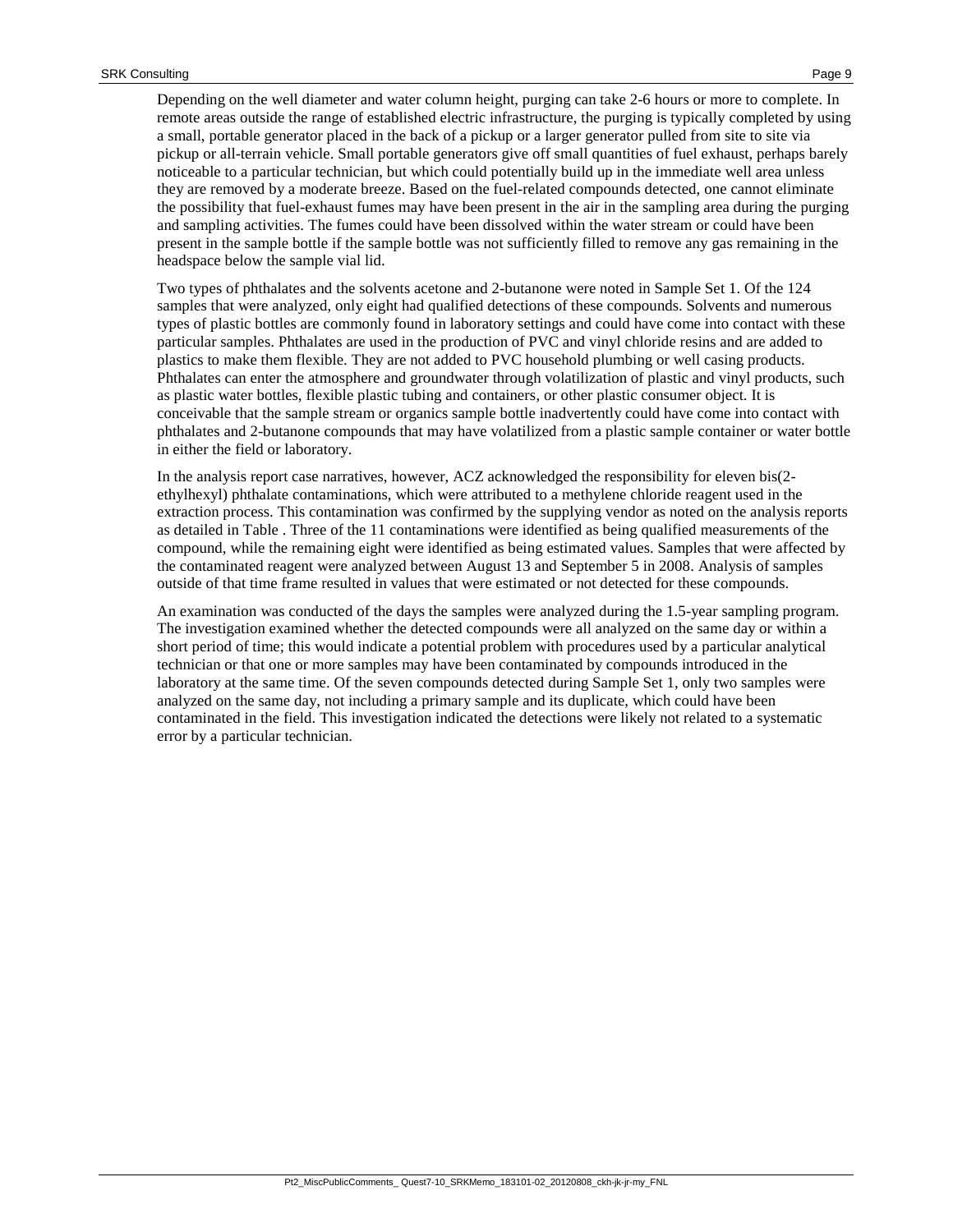Depending on the well diameter and water column height, purging can take 2-6 hours or more to complete. In remote areas outside the range of established electric infrastructure, the purging is typically completed by using a small, portable generator placed in the back of a pickup or a larger generator pulled from site to site via pickup or all-terrain vehicle. Small portable generators give off small quantities of fuel exhaust, perhaps barely noticeable to a particular technician, but which could potentially build up in the immediate well area unless they are removed by a moderate breeze. Based on the fuel-related compounds detected, one cannot eliminate the possibility that fuel-exhaust fumes may have been present in the air in the sampling area during the purging and sampling activities. The fumes could have been dissolved within the water stream or could have been present in the sample bottle if the sample bottle was not sufficiently filled to remove any gas remaining in the headspace below the sample vial lid.

Two types of phthalates and the solvents acetone and 2-butanone were noted in Sample Set 1. Of the 124 samples that were analyzed, only eight had qualified detections of these compounds. Solvents and numerous types of plastic bottles are commonly found in laboratory settings and could have come into contact with these particular samples. Phthalates are used in the production of PVC and vinyl chloride resins and are added to plastics to make them flexible. They are not added to PVC household plumbing or well casing products. Phthalates can enter the atmosphere and groundwater through volatilization of plastic and vinyl products, such as plastic water bottles, flexible plastic tubing and containers, or other plastic consumer object. It is conceivable that the sample stream or organics sample bottle inadvertently could have come into contact with phthalates and 2-butanone compounds that may have volatilized from a plastic sample container or water bottle in either the field or laboratory.

In the analysis report case narratives, however, ACZ acknowledged the responsibility for eleven bis(2 ethylhexyl) phthalate contaminations, which were attributed to a methylene chloride reagent used in the extraction process. This contamination was confirmed by the supplying vendor as noted on the analysis reports as detailed in [Table .](#page-29-0) Three of the 11 contaminations were identified as being qualified measurements of the compound, while the remaining eight were identified as being estimated values. Samples that were affected by the contaminated reagent were analyzed between August 13 and September 5 in 2008. Analysis of samples outside of that time frame resulted in values that were estimated or not detected for these compounds.

An examination was conducted of the days the samples were analyzed during the 1.5-year sampling program. The investigation examined whether the detected compounds were all analyzed on the same day or within a short period of time; this would indicate a potential problem with procedures used by a particular analytical technician or that one or more samples may have been contaminated by compounds introduced in the laboratory at the same time. Of the seven compounds detected during Sample Set 1, only two samples were analyzed on the same day, not including a primary sample and its duplicate, which could have been contaminated in the field. This investigation indicated the detections were likely not related to a systematic error by a particular technician.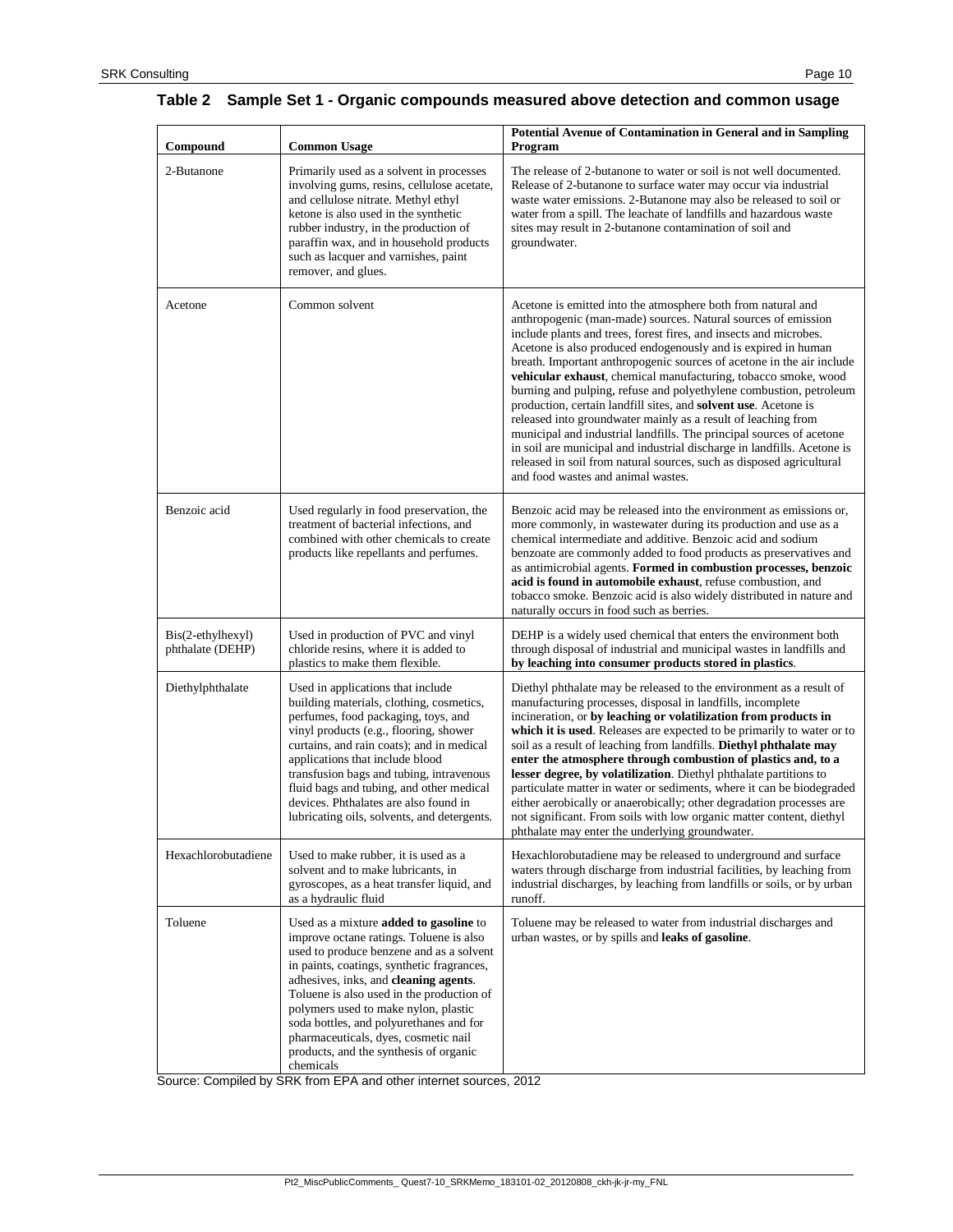#### <span id="page-9-0"></span>**Table 2 Sample Set 1 - Organic compounds measured above detection and common usage**

| Compound                              | <b>Common Usage</b>                                                                                                                                                                                                                                                                                                                                                                                                                                 | <b>Potential Avenue of Contamination in General and in Sampling</b><br>Program                                                                                                                                                                                                                                                                                                                                                                                                                                                                                                                                                                                                                                                                                                                                                                                                            |
|---------------------------------------|-----------------------------------------------------------------------------------------------------------------------------------------------------------------------------------------------------------------------------------------------------------------------------------------------------------------------------------------------------------------------------------------------------------------------------------------------------|-------------------------------------------------------------------------------------------------------------------------------------------------------------------------------------------------------------------------------------------------------------------------------------------------------------------------------------------------------------------------------------------------------------------------------------------------------------------------------------------------------------------------------------------------------------------------------------------------------------------------------------------------------------------------------------------------------------------------------------------------------------------------------------------------------------------------------------------------------------------------------------------|
| 2-Butanone                            | Primarily used as a solvent in processes<br>involving gums, resins, cellulose acetate,<br>and cellulose nitrate. Methyl ethyl<br>ketone is also used in the synthetic<br>rubber industry, in the production of<br>paraffin wax, and in household products<br>such as lacquer and varnishes, paint<br>remover, and glues.                                                                                                                            | The release of 2-butanone to water or soil is not well documented.<br>Release of 2-butanone to surface water may occur via industrial<br>waste water emissions. 2-Butanone may also be released to soil or<br>water from a spill. The leachate of landfills and hazardous waste<br>sites may result in 2-butanone contamination of soil and<br>groundwater.                                                                                                                                                                                                                                                                                                                                                                                                                                                                                                                               |
| Acetone                               | Common solvent                                                                                                                                                                                                                                                                                                                                                                                                                                      | Acetone is emitted into the atmosphere both from natural and<br>anthropogenic (man-made) sources. Natural sources of emission<br>include plants and trees, forest fires, and insects and microbes.<br>Acetone is also produced endogenously and is expired in human<br>breath. Important anthropogenic sources of acetone in the air include<br>vehicular exhaust, chemical manufacturing, tobacco smoke, wood<br>burning and pulping, refuse and polyethylene combustion, petroleum<br>production, certain landfill sites, and solvent use. Acetone is<br>released into groundwater mainly as a result of leaching from<br>municipal and industrial landfills. The principal sources of acetone<br>in soil are municipal and industrial discharge in landfills. Acetone is<br>released in soil from natural sources, such as disposed agricultural<br>and food wastes and animal wastes. |
| Benzoic acid                          | Used regularly in food preservation, the<br>treatment of bacterial infections, and<br>combined with other chemicals to create<br>products like repellants and perfumes.                                                                                                                                                                                                                                                                             | Benzoic acid may be released into the environment as emissions or,<br>more commonly, in wastewater during its production and use as a<br>chemical intermediate and additive. Benzoic acid and sodium<br>benzoate are commonly added to food products as preservatives and<br>as antimicrobial agents. Formed in combustion processes, benzoic<br>acid is found in automobile exhaust, refuse combustion, and<br>tobacco smoke. Benzoic acid is also widely distributed in nature and<br>naturally occurs in food such as berries.                                                                                                                                                                                                                                                                                                                                                         |
| Bis(2-ethylhexyl)<br>phthalate (DEHP) | Used in production of PVC and vinyl<br>chloride resins, where it is added to<br>plastics to make them flexible.                                                                                                                                                                                                                                                                                                                                     | DEHP is a widely used chemical that enters the environment both<br>through disposal of industrial and municipal wastes in landfills and<br>by leaching into consumer products stored in plastics.                                                                                                                                                                                                                                                                                                                                                                                                                                                                                                                                                                                                                                                                                         |
| Diethylphthalate                      | Used in applications that include<br>building materials, clothing, cosmetics,<br>perfumes, food packaging, toys, and<br>vinyl products (e.g., flooring, shower<br>curtains, and rain coats); and in medical<br>applications that include blood<br>transfusion bags and tubing, intravenous<br>fluid bags and tubing, and other medical<br>devices. Phthalates are also found in<br>lubricating oils, solvents, and detergents.                      | Diethyl phthalate may be released to the environment as a result of<br>manufacturing processes, disposal in landfills, incomplete<br>incineration, or by leaching or volatilization from products in<br>which it is used. Releases are expected to be primarily to water or to<br>soil as a result of leaching from landfills. Diethyl phthalate may<br>enter the atmosphere through combustion of plastics and, to a<br>lesser degree, by volatilization. Diethyl phthalate partitions to<br>particulate matter in water or sediments, where it can be biodegraded<br>either aerobically or anaerobically; other degradation processes are<br>not significant. From soils with low organic matter content, diethyl<br>phthalate may enter the underlying groundwater.                                                                                                                    |
| Hexachlorobutadiene                   | Used to make rubber, it is used as a<br>solvent and to make lubricants, in<br>gyroscopes, as a heat transfer liquid, and<br>as a hydraulic fluid                                                                                                                                                                                                                                                                                                    | Hexachlorobutadiene may be released to underground and surface<br>waters through discharge from industrial facilities, by leaching from<br>industrial discharges, by leaching from landfills or soils, or by urban<br>runoff.                                                                                                                                                                                                                                                                                                                                                                                                                                                                                                                                                                                                                                                             |
| Toluene                               | Used as a mixture added to gasoline to<br>improve octane ratings. Toluene is also<br>used to produce benzene and as a solvent<br>in paints, coatings, synthetic fragrances,<br>adhesives, inks, and cleaning agents.<br>Toluene is also used in the production of<br>polymers used to make nylon, plastic<br>soda bottles, and polyurethanes and for<br>pharmaceuticals, dyes, cosmetic nail<br>products, and the synthesis of organic<br>chemicals | Toluene may be released to water from industrial discharges and<br>urban wastes, or by spills and leaks of gasoline.                                                                                                                                                                                                                                                                                                                                                                                                                                                                                                                                                                                                                                                                                                                                                                      |

Source: Compiled by SRK from EPA and other internet sources, 2012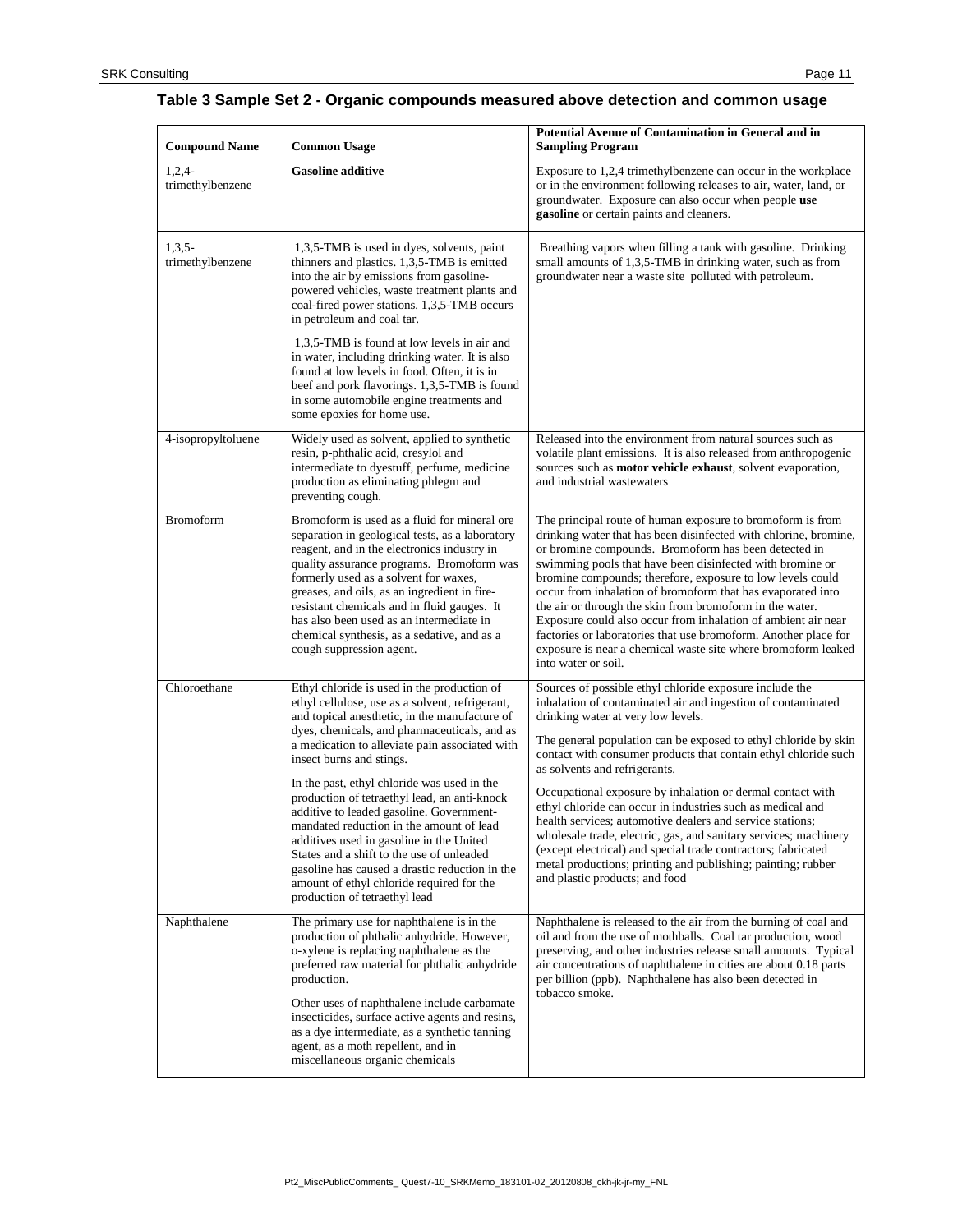#### <span id="page-10-0"></span>**Table 3 Sample Set 2 - Organic compounds measured above detection and common usage**

| <b>Compound Name</b>         | <b>Common Usage</b>                                                                                                                                                                                                                                                                                                                                                                                                                                                                                                                                                                                                                                                                           | Potential Avenue of Contamination in General and in<br><b>Sampling Program</b>                                                                                                                                                                                                                                                                                                                                                                                                                                                                                                                                                                                                                                                                                       |
|------------------------------|-----------------------------------------------------------------------------------------------------------------------------------------------------------------------------------------------------------------------------------------------------------------------------------------------------------------------------------------------------------------------------------------------------------------------------------------------------------------------------------------------------------------------------------------------------------------------------------------------------------------------------------------------------------------------------------------------|----------------------------------------------------------------------------------------------------------------------------------------------------------------------------------------------------------------------------------------------------------------------------------------------------------------------------------------------------------------------------------------------------------------------------------------------------------------------------------------------------------------------------------------------------------------------------------------------------------------------------------------------------------------------------------------------------------------------------------------------------------------------|
| $1,2,4-$<br>trimethylbenzene | <b>Gasoline additive</b>                                                                                                                                                                                                                                                                                                                                                                                                                                                                                                                                                                                                                                                                      | Exposure to 1,2,4 trimethylbenzene can occur in the workplace<br>or in the environment following releases to air, water, land, or<br>groundwater. Exposure can also occur when people use<br>gasoline or certain paints and cleaners.                                                                                                                                                                                                                                                                                                                                                                                                                                                                                                                                |
| $1,3,5-$<br>trimethylbenzene | 1,3,5-TMB is used in dyes, solvents, paint<br>thinners and plastics. 1,3,5-TMB is emitted<br>into the air by emissions from gasoline-<br>powered vehicles, waste treatment plants and<br>coal-fired power stations. 1,3,5-TMB occurs<br>in petroleum and coal tar.<br>1,3,5-TMB is found at low levels in air and<br>in water, including drinking water. It is also<br>found at low levels in food. Often, it is in<br>beef and pork flavorings. 1,3,5-TMB is found<br>in some automobile engine treatments and<br>some epoxies for home use.                                                                                                                                                 | Breathing vapors when filling a tank with gasoline. Drinking<br>small amounts of 1,3,5-TMB in drinking water, such as from<br>groundwater near a waste site polluted with petroleum.                                                                                                                                                                                                                                                                                                                                                                                                                                                                                                                                                                                 |
| 4-isopropyltoluene           | Widely used as solvent, applied to synthetic<br>resin, p-phthalic acid, cresylol and<br>intermediate to dyestuff, perfume, medicine<br>production as eliminating phlegm and<br>preventing cough.                                                                                                                                                                                                                                                                                                                                                                                                                                                                                              | Released into the environment from natural sources such as<br>volatile plant emissions. It is also released from anthropogenic<br>sources such as <b>motor vehicle exhaust</b> , solvent evaporation,<br>and industrial wastewaters                                                                                                                                                                                                                                                                                                                                                                                                                                                                                                                                  |
| <b>Bromoform</b>             | Bromoform is used as a fluid for mineral ore<br>separation in geological tests, as a laboratory<br>reagent, and in the electronics industry in<br>quality assurance programs. Bromoform was<br>formerly used as a solvent for waxes,<br>greases, and oils, as an ingredient in fire-<br>resistant chemicals and in fluid gauges. It<br>has also been used as an intermediate in<br>chemical synthesis, as a sedative, and as a<br>cough suppression agent.                                                                                                                                                                                                                                    | The principal route of human exposure to bromoform is from<br>drinking water that has been disinfected with chlorine, bromine,<br>or bromine compounds. Bromoform has been detected in<br>swimming pools that have been disinfected with bromine or<br>bromine compounds; therefore, exposure to low levels could<br>occur from inhalation of bromoform that has evaporated into<br>the air or through the skin from bromoform in the water.<br>Exposure could also occur from inhalation of ambient air near<br>factories or laboratories that use bromoform. Another place for<br>exposure is near a chemical waste site where bromoform leaked<br>into water or soil.                                                                                             |
| Chloroethane                 | Ethyl chloride is used in the production of<br>ethyl cellulose, use as a solvent, refrigerant,<br>and topical anesthetic, in the manufacture of<br>dyes, chemicals, and pharmaceuticals, and as<br>a medication to alleviate pain associated with<br>insect burns and stings.<br>In the past, ethyl chloride was used in the<br>production of tetraethyl lead, an anti-knock<br>additive to leaded gasoline. Government-<br>mandated reduction in the amount of lead<br>additives used in gasoline in the United<br>States and a shift to the use of unleaded<br>gasoline has caused a drastic reduction in the<br>amount of ethyl chloride required for the<br>production of tetraethyl lead | Sources of possible ethyl chloride exposure include the<br>inhalation of contaminated air and ingestion of contaminated<br>drinking water at very low levels.<br>The general population can be exposed to ethyl chloride by skin<br>contact with consumer products that contain ethyl chloride such<br>as solvents and refrigerants.<br>Occupational exposure by inhalation or dermal contact with<br>ethyl chloride can occur in industries such as medical and<br>health services; automotive dealers and service stations;<br>wholesale trade, electric, gas, and sanitary services; machinery<br>(except electrical) and special trade contractors; fabricated<br>metal productions; printing and publishing; painting; rubber<br>and plastic products; and food |
| Naphthalene                  | The primary use for naphthalene is in the<br>production of phthalic anhydride. However,<br>o-xylene is replacing naphthalene as the<br>preferred raw material for phthalic anhydride<br>production.<br>Other uses of naphthalene include carbamate<br>insecticides, surface active agents and resins,<br>as a dye intermediate, as a synthetic tanning<br>agent, as a moth repellent, and in<br>miscellaneous organic chemicals                                                                                                                                                                                                                                                               | Naphthalene is released to the air from the burning of coal and<br>oil and from the use of mothballs. Coal tar production, wood<br>preserving, and other industries release small amounts. Typical<br>air concentrations of naphthalene in cities are about 0.18 parts<br>per billion (ppb). Naphthalene has also been detected in<br>tobacco smoke.                                                                                                                                                                                                                                                                                                                                                                                                                 |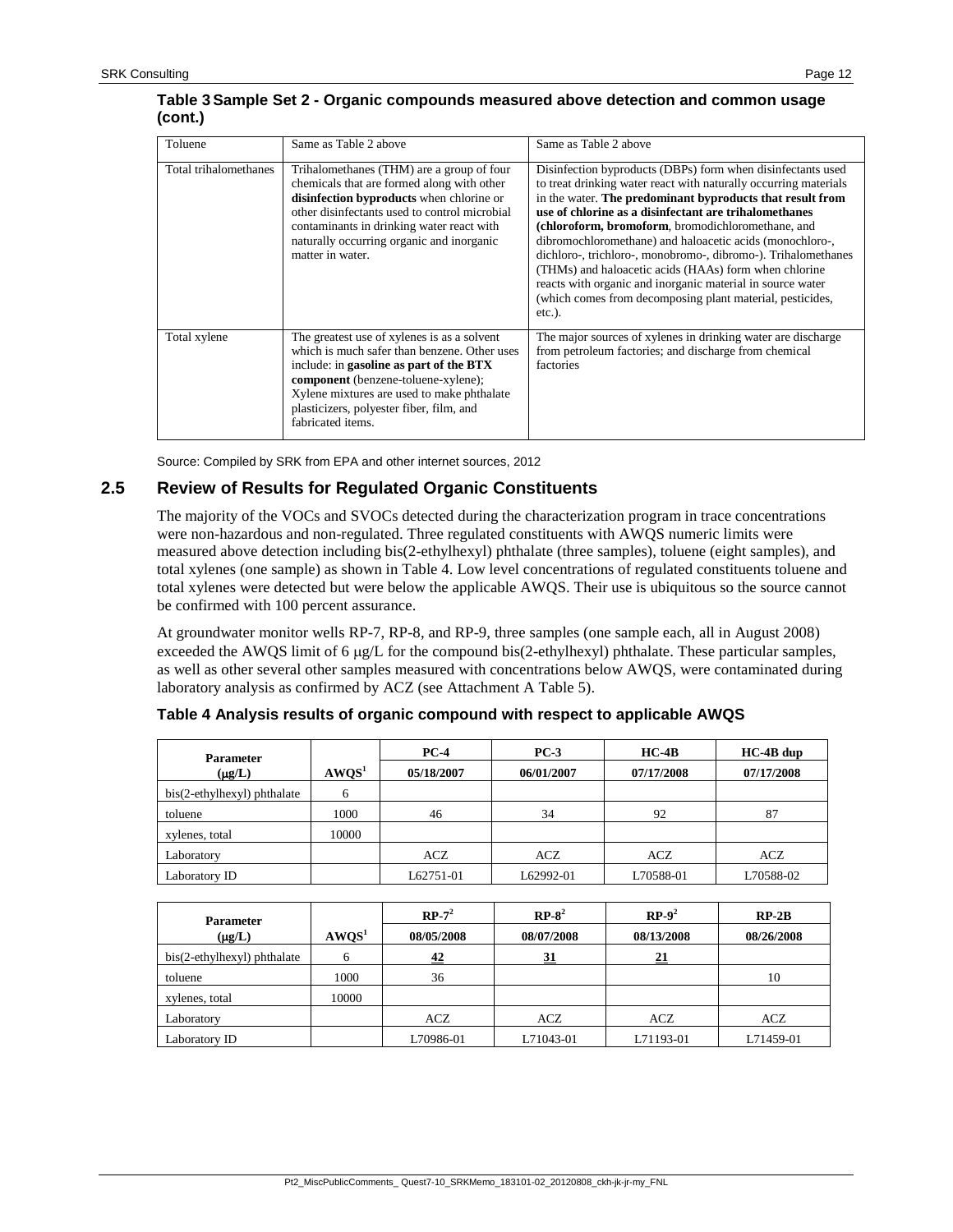#### **Table 3Sample Set 2 - Organic compounds measured above detection and common usage (cont.)**

| Toluene               | Same as Table 2 above                                                                                                                                                                                                                                                                              | Same as Table 2 above                                                                                                                                                                                                                                                                                                                                                                                                                                                                                                                                                                                                                    |
|-----------------------|----------------------------------------------------------------------------------------------------------------------------------------------------------------------------------------------------------------------------------------------------------------------------------------------------|------------------------------------------------------------------------------------------------------------------------------------------------------------------------------------------------------------------------------------------------------------------------------------------------------------------------------------------------------------------------------------------------------------------------------------------------------------------------------------------------------------------------------------------------------------------------------------------------------------------------------------------|
| Total trihalomethanes | Trihalomethanes (THM) are a group of four<br>chemicals that are formed along with other<br>disinfection byproducts when chlorine or<br>other disinfectants used to control microbial<br>contaminants in drinking water react with<br>naturally occurring organic and inorganic<br>matter in water. | Disinfection byproducts (DBPs) form when disinfectants used<br>to treat drinking water react with naturally occurring materials<br>in the water. The predominant byproducts that result from<br>use of chlorine as a disinfectant are trihalomethanes<br>(chloroform, bromoform, bromodichloromethane, and<br>dibromochloromethane) and haloacetic acids (monochloro-,<br>dichloro-, trichloro-, monobromo-, dibromo-). Trihalomethanes<br>(THMs) and haloacetic acids (HAAs) form when chlorine<br>reacts with organic and inorganic material in source water<br>(which comes from decomposing plant material, pesticides,<br>$etc.$ ). |
| Total xylene          | The greatest use of xylenes is as a solvent<br>which is much safer than benzene. Other uses<br>include: in gasoline as part of the BTX<br>component (benzene-toluene-xylene);<br>Xylene mixtures are used to make phthalate<br>plasticizers, polyester fiber, film, and<br>fabricated items.       | The major sources of xylenes in drinking water are discharge<br>from petroleum factories; and discharge from chemical<br>factories                                                                                                                                                                                                                                                                                                                                                                                                                                                                                                       |

Source: Compiled by SRK from EPA and other internet sources, 2012

# **2.5 Review of Results for Regulated Organic Constituents**

The majority of the VOCs and SVOCs detected during the characterization program in trace concentrations were non-hazardous and non-regulated. Three regulated constituents with AWQS numeric limits were measured above detection including bis(2-ethylhexyl) phthalate (three samples), toluene (eight samples), and total xylenes (one sample) as shown in [Table 4.](#page-11-0) Low level concentrations of regulated constituents toluene and total xylenes were detected but were below the applicable AWQS. Their use is ubiquitous so the source cannot be confirmed with 100 percent assurance.

At groundwater monitor wells RP-7, RP-8, and RP-9, three samples (one sample each, all in August 2008) exceeded the AWQS limit of 6  $\mu$ g/L for the compound bis(2-ethylhexyl) phthalate. These particular samples, as well as other several other samples measured with concentrations below AWQS, were contaminated during laboratory analysis as confirmed by ACZ (see Attachment A Table 5).

| <b>Parameter</b>            |                   | $PC-4$     | $PC-3$     | $HC-4B$    | $HC-4B$ dup |
|-----------------------------|-------------------|------------|------------|------------|-------------|
| $(\mu g/L)$                 | AWOS <sup>1</sup> | 05/18/2007 | 06/01/2007 | 07/17/2008 | 07/17/2008  |
| bis(2-ethylhexyl) phthalate | O                 |            |            |            |             |
| toluene                     | 1000              | 46         | 34         | 92         | 87          |
| xylenes, total              | 10000             |            |            |            |             |
| Laboratory                  |                   | ACZ        | ACZ        | ACZ        | ACZ         |
| Laboratory ID               |                   | L62751-01  | L62992-01  | L70588-01  | L70588-02   |

<span id="page-11-0"></span>**Table 4 Analysis results of organic compound with respect to applicable AWQS**

| <b>Parameter</b>            |                   | $RP-7^2$   | $RP-8^2$   | $RP-9^2$   | $RP-2B$    |
|-----------------------------|-------------------|------------|------------|------------|------------|
| $(\mu g/L)$                 | AWOS <sup>1</sup> | 08/05/2008 | 08/07/2008 | 08/13/2008 | 08/26/2008 |
| bis(2-ethylhexyl) phthalate | 6                 | 42         | 31         | 21         |            |
| toluene                     | 1000              | 36         |            |            | 10         |
| xylenes, total              | 10000             |            |            |            |            |
| Laboratory                  |                   | ACZ        | ACZ        | ACZ        | ACZ        |
| Laboratory ID               |                   | L70986-01  | L71043-01  | L71193-01  | L71459-01  |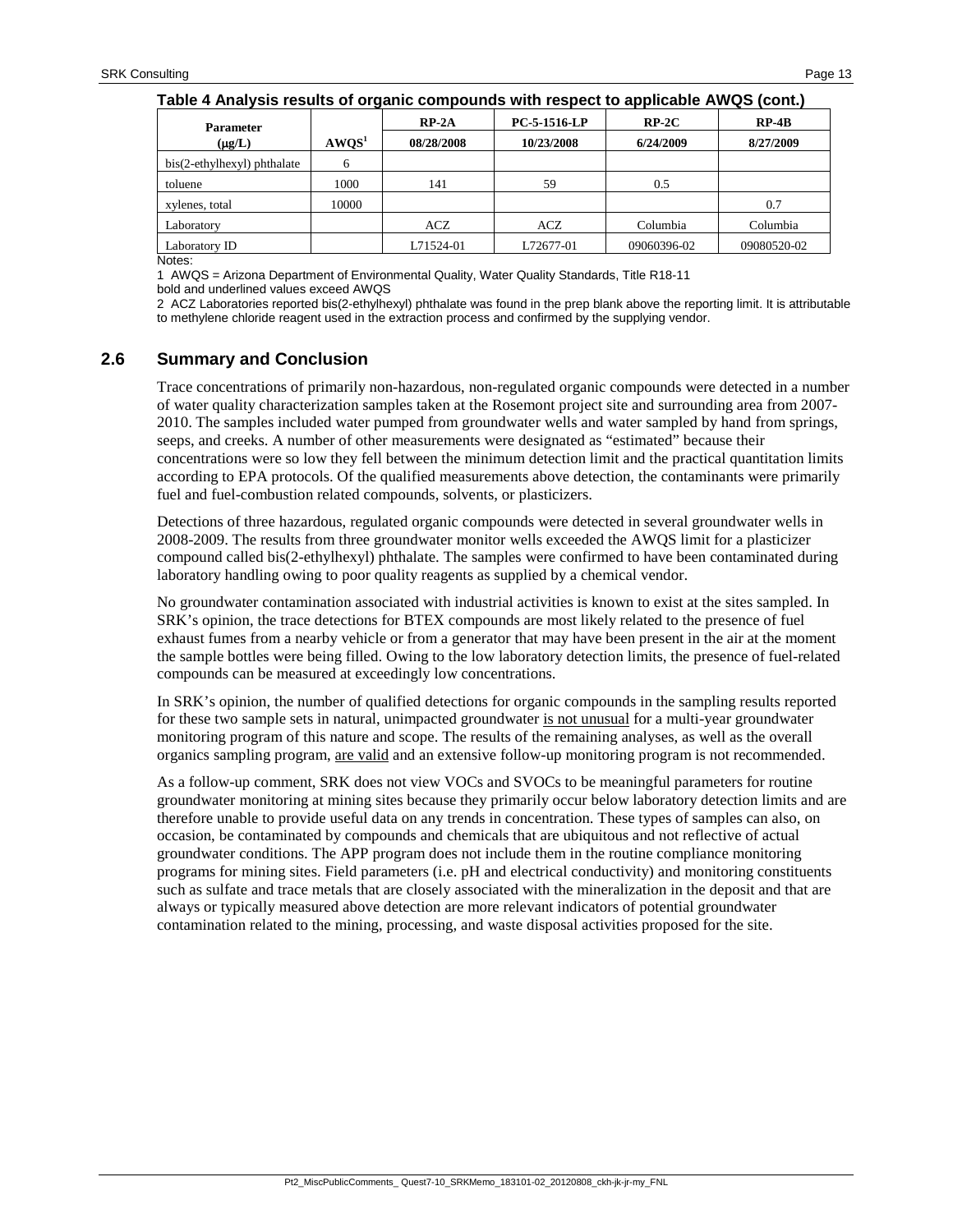|                             | . .               |            |              | . .         |             |
|-----------------------------|-------------------|------------|--------------|-------------|-------------|
| <b>Parameter</b>            |                   | $RP-2A$    | PC-5-1516-LP | $RP-2C$     | $RP-4B$     |
| $(\mu g/L)$                 | AWOS <sup>1</sup> | 08/28/2008 | 10/23/2008   | 6/24/2009   | 8/27/2009   |
| bis(2-ethylhexyl) phthalate | 6                 |            |              |             |             |
| toluene                     | 1000              | 141        | 59           | 0.5         |             |
| xylenes, total              | 10000             |            |              |             | 0.7         |
| Laboratory                  |                   | ACZ        | ACZ          | Columbia    | Columbia    |
| Laboratory ID               |                   | L71524-01  | L72677-01    | 09060396-02 | 09080520-02 |
| $\cdots$                    |                   |            |              |             |             |

Notes:

1 AWQS = Arizona Department of Environmental Quality, Water Quality Standards, Title R18-11 bold and underlined values exceed AWQS

2 ACZ Laboratories reported bis(2-ethylhexyl) phthalate was found in the prep blank above the reporting limit. It is attributable to methylene chloride reagent used in the extraction process and confirmed by the supplying vendor.

#### **2.6 Summary and Conclusion**

Trace concentrations of primarily non-hazardous, non-regulated organic compounds were detected in a number of water quality characterization samples taken at the Rosemont project site and surrounding area from 2007- 2010. The samples included water pumped from groundwater wells and water sampled by hand from springs, seeps, and creeks. A number of other measurements were designated as "estimated" because their concentrations were so low they fell between the minimum detection limit and the practical quantitation limits according to EPA protocols. Of the qualified measurements above detection, the contaminants were primarily fuel and fuel-combustion related compounds, solvents, or plasticizers.

Detections of three hazardous, regulated organic compounds were detected in several groundwater wells in 2008-2009. The results from three groundwater monitor wells exceeded the AWQS limit for a plasticizer compound called bis(2-ethylhexyl) phthalate. The samples were confirmed to have been contaminated during laboratory handling owing to poor quality reagents as supplied by a chemical vendor.

No groundwater contamination associated with industrial activities is known to exist at the sites sampled. In SRK's opinion, the trace detections for BTEX compounds are most likely related to the presence of fuel exhaust fumes from a nearby vehicle or from a generator that may have been present in the air at the moment the sample bottles were being filled. Owing to the low laboratory detection limits, the presence of fuel-related compounds can be measured at exceedingly low concentrations.

In SRK's opinion, the number of qualified detections for organic compounds in the sampling results reported for these two sample sets in natural, unimpacted groundwater is not unusual for a multi-year groundwater monitoring program of this nature and scope. The results of the remaining analyses, as well as the overall organics sampling program, are valid and an extensive follow-up monitoring program is not recommended.

As a follow-up comment, SRK does not view VOCs and SVOCs to be meaningful parameters for routine groundwater monitoring at mining sites because they primarily occur below laboratory detection limits and are therefore unable to provide useful data on any trends in concentration. These types of samples can also, on occasion, be contaminated by compounds and chemicals that are ubiquitous and not reflective of actual groundwater conditions. The APP program does not include them in the routine compliance monitoring programs for mining sites. Field parameters (i.e. pH and electrical conductivity) and monitoring constituents such as sulfate and trace metals that are closely associated with the mineralization in the deposit and that are always or typically measured above detection are more relevant indicators of potential groundwater contamination related to the mining, processing, and waste disposal activities proposed for the site.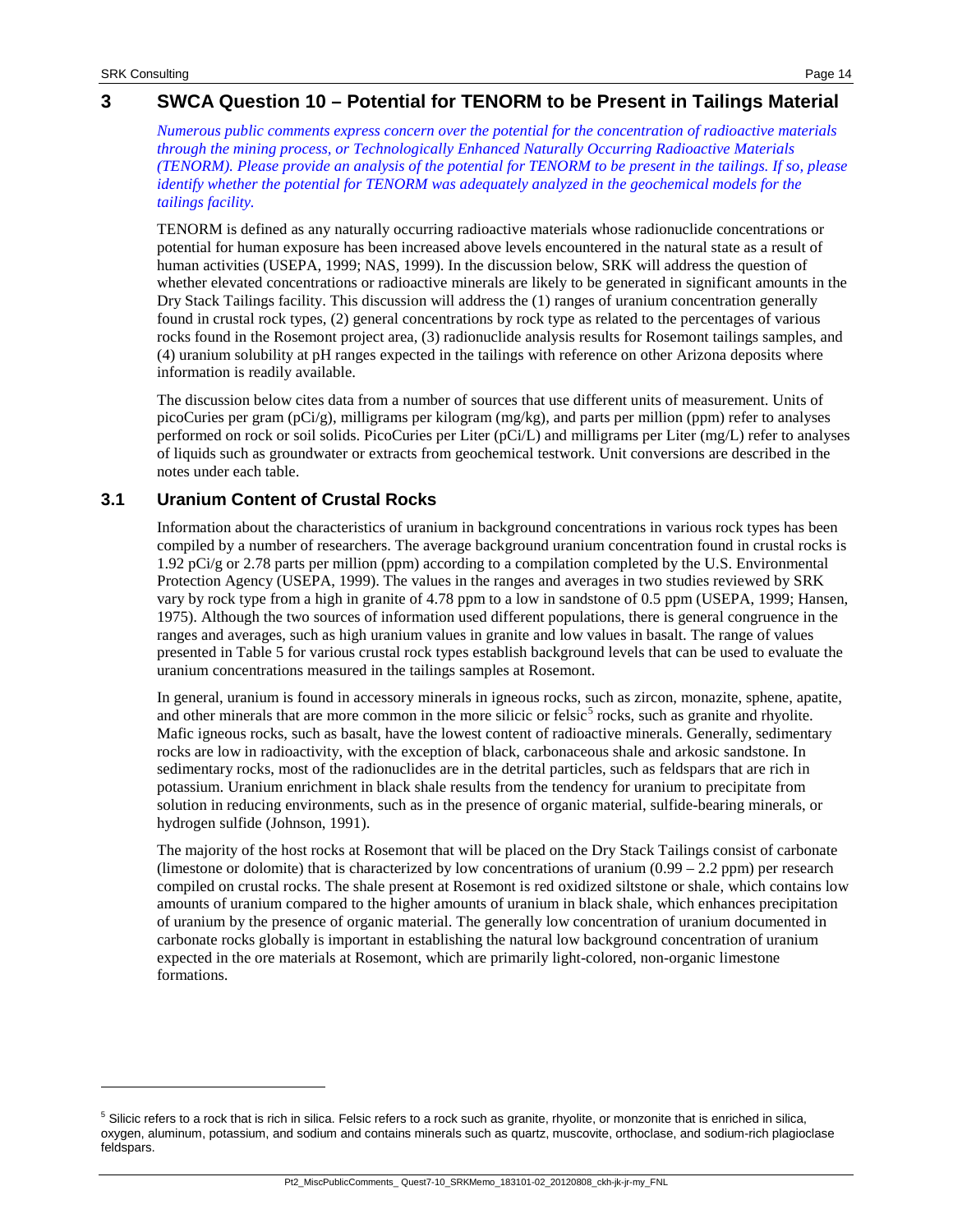-

## **3 SWCA Question 10 – Potential for TENORM to be Present in Tailings Material**

*Numerous public comments express concern over the potential for the concentration of radioactive materials through the mining process, or Technologically Enhanced Naturally Occurring Radioactive Materials (TENORM). Please provide an analysis of the potential for TENORM to be present in the tailings. If so, please identify whether the potential for TENORM was adequately analyzed in the geochemical models for the tailings facility.*

TENORM is defined as any naturally occurring radioactive materials whose radionuclide concentrations or potential for human exposure has been increased above levels encountered in the natural state as a result of human activities (USEPA, 1999; NAS, 1999). In the discussion below, SRK will address the question of whether elevated concentrations or radioactive minerals are likely to be generated in significant amounts in the Dry Stack Tailings facility. This discussion will address the (1) ranges of uranium concentration generally found in crustal rock types, (2) general concentrations by rock type as related to the percentages of various rocks found in the Rosemont project area, (3) radionuclide analysis results for Rosemont tailings samples, and (4) uranium solubility at pH ranges expected in the tailings with reference on other Arizona deposits where information is readily available.

The discussion below cites data from a number of sources that use different units of measurement. Units of picoCuries per gram (pCi/g), milligrams per kilogram (mg/kg), and parts per million (ppm) refer to analyses performed on rock or soil solids. PicoCuries per Liter (pCi/L) and milligrams per Liter (mg/L) refer to analyses of liquids such as groundwater or extracts from geochemical testwork. Unit conversions are described in the notes under each table.

## **3.1 Uranium Content of Crustal Rocks**

Information about the characteristics of uranium in background concentrations in various rock types has been compiled by a number of researchers. The average background uranium concentration found in crustal rocks is 1.92 pCi/g or 2.78 parts per million (ppm) according to a compilation completed by the U.S. Environmental Protection Agency (USEPA, 1999). The values in the ranges and averages in two studies reviewed by SRK vary by rock type from a high in granite of 4.78 ppm to a low in sandstone of 0.5 ppm (USEPA, 1999; Hansen, 1975). Although the two sources of information used different populations, there is general congruence in the ranges and averages, such as high uranium values in granite and low values in basalt. The range of values presented in [Table 5](#page-14-0) for various crustal rock types establish background levels that can be used to evaluate the uranium concentrations measured in the tailings samples at Rosemont.

In general, uranium is found in accessory minerals in igneous rocks, such as zircon, monazite, sphene, apatite, and other minerals that are more common in the more silicic or felsic<sup>[5](#page-13-0)</sup> rocks, such as granite and rhyolite. Mafic igneous rocks, such as basalt, have the lowest content of radioactive minerals. Generally, sedimentary rocks are low in radioactivity, with the exception of black, carbonaceous shale and arkosic sandstone. In sedimentary rocks, most of the radionuclides are in the detrital particles, such as feldspars that are rich in potassium. Uranium enrichment in black shale results from the tendency for uranium to precipitate from solution in reducing environments, such as in the presence of organic material, sulfide-bearing minerals, or hydrogen sulfide (Johnson, 1991).

The majority of the host rocks at Rosemont that will be placed on the Dry Stack Tailings consist of carbonate (limestone or dolomite) that is characterized by low concentrations of uranium (0.99 – 2.2 ppm) per research compiled on crustal rocks. The shale present at Rosemont is red oxidized siltstone or shale, which contains low amounts of uranium compared to the higher amounts of uranium in black shale, which enhances precipitation of uranium by the presence of organic material. The generally low concentration of uranium documented in carbonate rocks globally is important in establishing the natural low background concentration of uranium expected in the ore materials at Rosemont, which are primarily light-colored, non-organic limestone formations.

<span id="page-13-0"></span><sup>&</sup>lt;sup>5</sup> Silicic refers to a rock that is rich in silica. Felsic refers to a rock such as granite, rhyolite, or monzonite that is enriched in silica, oxygen, aluminum, potassium, and sodium and contains minerals such as quartz, muscovite, orthoclase, and sodium-rich plagioclase feldspars.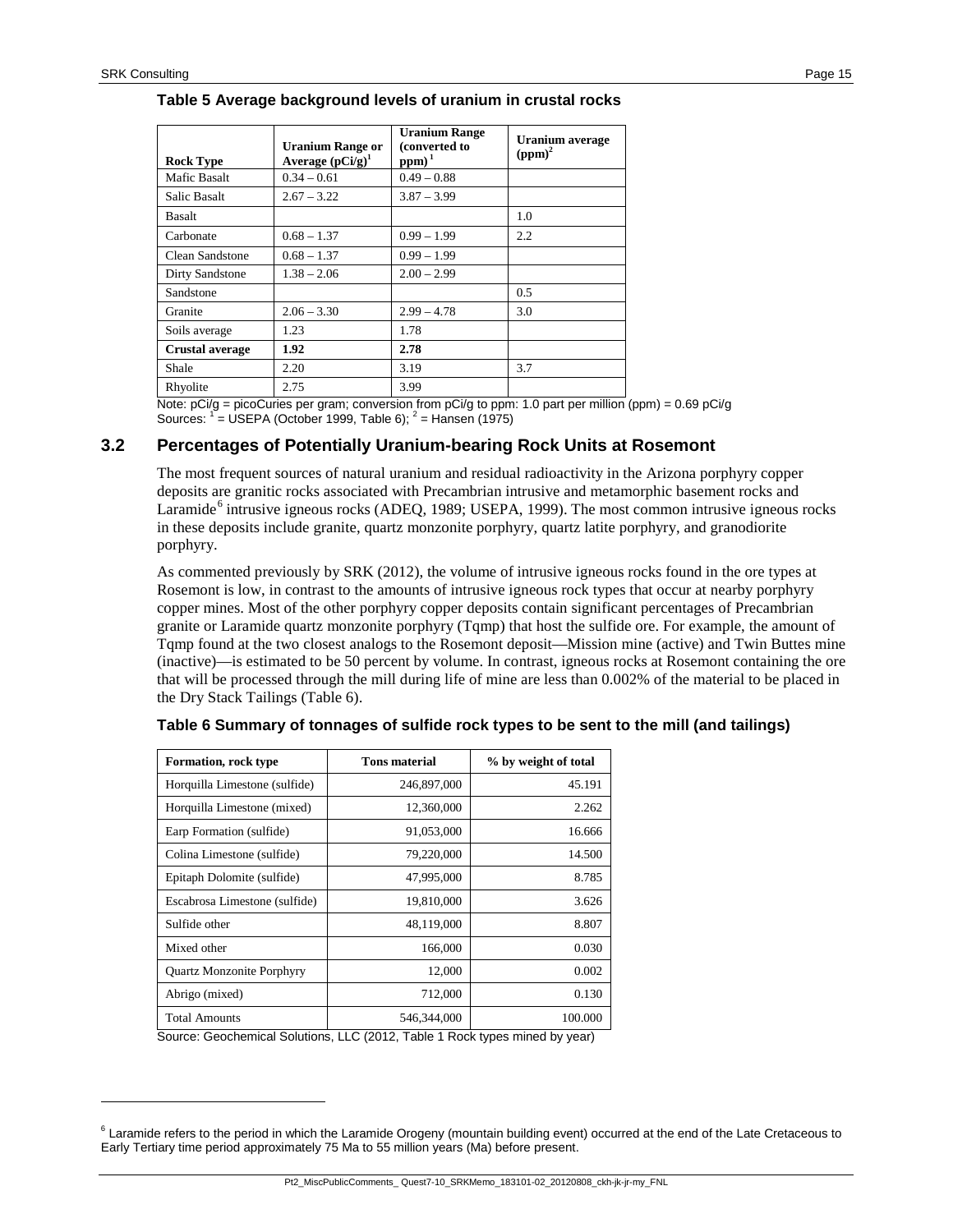j

<span id="page-14-0"></span>

| <b>Rock Type</b>    | <b>Uranium Range or</b><br>Average $(pCi/g)^1$ | <b>Uranium Range</b><br>(converted to<br>$ppm)^{1}$ | <b>Uranium</b> average<br>$(ppm)^2$ |
|---------------------|------------------------------------------------|-----------------------------------------------------|-------------------------------------|
| Mafic Basalt        | $0.34 - 0.61$                                  | $0.49 - 0.88$                                       |                                     |
| <b>Salic Basalt</b> | $2.67 - 3.22$                                  | $3.87 - 3.99$                                       |                                     |
| Basalt              |                                                |                                                     | 1.0                                 |
| Carbonate           | $0.68 - 1.37$                                  | $0.99 - 1.99$                                       | 2.2                                 |
| Clean Sandstone     | $0.68 - 1.37$                                  | $0.99 - 1.99$                                       |                                     |
| Dirty Sandstone     | $1.38 - 2.06$                                  | $2.00 - 2.99$                                       |                                     |
| Sandstone           |                                                |                                                     | 0.5                                 |
| Granite             | $2.06 - 3.30$                                  | $2.99 - 4.78$                                       | 3.0                                 |
| Soils average       | 1.23                                           | 1.78                                                |                                     |
| Crustal average     | 1.92                                           | 2.78                                                |                                     |
| Shale               | 2.20                                           | 3.19                                                | 3.7                                 |
| Rhyolite            | 2.75                                           | 3.99                                                |                                     |

Note: pCi/g = picoCuries per gram; conversion from pCi/g to ppm: 1.0 part per million (ppm) = 0.69 pCi/g Sources:  $1 = \text{USEPA}$  (October 1999, Table 6);  $2 = \text{Hansen}$  (1975)

#### **3.2 Percentages of Potentially Uranium-bearing Rock Units at Rosemont**

The most frequent sources of natural uranium and residual radioactivity in the Arizona porphyry copper deposits are granitic rocks associated with Precambrian intrusive and metamorphic basement rocks and Laramide<sup>[6](#page-14-2)</sup> intrusive igneous rocks (ADEQ, 1989; USEPA, 1999). The most common intrusive igneous rocks in these deposits include granite, quartz monzonite porphyry, quartz latite porphyry, and granodiorite porphyry.

As commented previously by SRK (2012), the volume of intrusive igneous rocks found in the ore types at Rosemont is low, in contrast to the amounts of intrusive igneous rock types that occur at nearby porphyry copper mines. Most of the other porphyry copper deposits contain significant percentages of Precambrian granite or Laramide quartz monzonite porphyry (Tqmp) that host the sulfide ore. For example, the amount of Tqmp found at the two closest analogs to the Rosemont deposit—Mission mine (active) and Twin Buttes mine (inactive)—is estimated to be 50 percent by volume. In contrast, igneous rocks at Rosemont containing the ore that will be processed through the mill during life of mine are less than 0.002% of the material to be placed in the Dry Stack Tailings [\(Table 6\)](#page-14-1).

| <b>Formation, rock type</b>      | <b>Tons material</b> | % by weight of total |
|----------------------------------|----------------------|----------------------|
| Horquilla Limestone (sulfide)    | 246,897,000          | 45.191               |
| Horquilla Limestone (mixed)      | 12,360,000           | 2.262                |
| Earp Formation (sulfide)         | 91,053,000           | 16.666               |
| Colina Limestone (sulfide)       | 79,220,000           | 14.500               |
| Epitaph Dolomite (sulfide)       | 47,995,000           | 8.785                |
| Escabrosa Limestone (sulfide)    | 19,810,000           | 3.626                |
| Sulfide other                    | 48,119,000           | 8.807                |
| Mixed other                      | 166,000              | 0.030                |
| <b>Ouartz Monzonite Porphyry</b> | 12,000               | 0.002                |
| Abrigo (mixed)                   | 712,000              | 0.130                |
| <b>Total Amounts</b>             | 546,344,000          | 100.000              |

<span id="page-14-1"></span>**Table 6 Summary of tonnages of sulfide rock types to be sent to the mill (and tailings)**

Source: Geochemical Solutions, LLC (2012, Table 1 Rock types mined by year)

Pt2\_MiscPublicComments\_ Quest7-10\_SRKMemo\_183101-02\_20120808\_ckh-jk-jr-my\_FNL

<span id="page-14-2"></span> $6$  Laramide refers to the period in which the Laramide Orogeny (mountain building event) occurred at the end of the Late Cretaceous to Early Tertiary time period approximately 75 Ma to 55 million years (Ma) before present.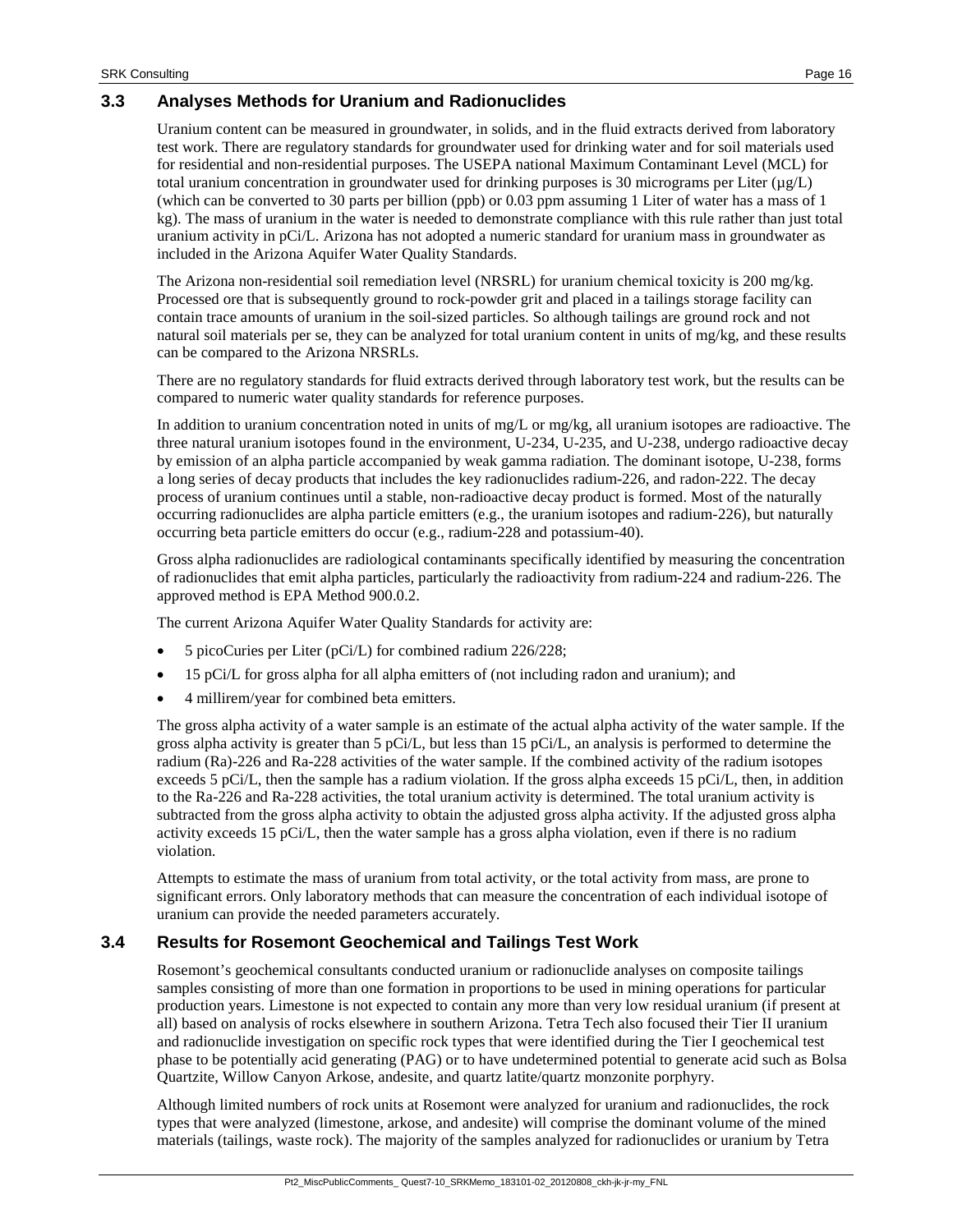## **3.3 Analyses Methods for Uranium and Radionuclides**

Uranium content can be measured in groundwater, in solids, and in the fluid extracts derived from laboratory test work. There are regulatory standards for groundwater used for drinking water and for soil materials used for residential and non-residential purposes. The USEPA national Maximum Contaminant Level (MCL) for total uranium concentration in groundwater used for drinking purposes is 30 micrograms per Liter ( $\mu$ g/L) (which can be converted to 30 parts per billion (ppb) or 0.03 ppm assuming 1 Liter of water has a mass of 1 kg). The mass of uranium in the water is needed to demonstrate compliance with this rule rather than just total uranium activity in pCi/L. Arizona has not adopted a numeric standard for uranium mass in groundwater as included in the Arizona Aquifer Water Quality Standards.

The Arizona non-residential soil remediation level (NRSRL) for uranium chemical toxicity is 200 mg/kg. Processed ore that is subsequently ground to rock-powder grit and placed in a tailings storage facility can contain trace amounts of uranium in the soil-sized particles. So although tailings are ground rock and not natural soil materials per se, they can be analyzed for total uranium content in units of mg/kg, and these results can be compared to the Arizona NRSRLs.

There are no regulatory standards for fluid extracts derived through laboratory test work, but the results can be compared to numeric water quality standards for reference purposes.

In addition to uranium concentration noted in units of mg/L or mg/kg, all uranium isotopes are radioactive. The three natural uranium isotopes found in the environment, U-234, U-235, and U-238, undergo radioactive decay by emission of an alpha particle accompanied by weak gamma radiation. The dominant isotope, U-238, forms a long series of decay products that includes the key radionuclides radium-226, and radon-222. The decay process of uranium continues until a stable, non-radioactive decay product is formed. Most of the naturally occurring radionuclides are alpha particle emitters (e.g., the uranium isotopes and radium-226), but naturally occurring beta particle emitters do occur (e.g., radium-228 and potassium-40).

Gross alpha radionuclides are radiological contaminants specifically identified by measuring the concentration of radionuclides that emit alpha particles, particularly the radioactivity from radium-224 and radium-226. The approved method is EPA Method 900.0.2.

The current Arizona Aquifer Water Quality Standards for activity are:

- 5 picoCuries per Liter (pCi/L) for combined radium 226/228;
- 15 pCi/L for gross alpha for all alpha emitters of (not including radon and uranium); and
- 4 millirem/year for combined beta emitters.

The gross alpha activity of a water sample is an estimate of the actual alpha activity of the water sample. If the gross alpha activity is greater than 5 pCi/L, but less than 15 pCi/L, an analysis is performed to determine the radium (Ra)-226 and Ra-228 activities of the water sample. If the combined activity of the radium isotopes exceeds 5 pCi/L, then the sample has a radium violation. If the gross alpha exceeds 15 pCi/L, then, in addition to the Ra-226 and Ra-228 activities, the total uranium activity is determined. The total uranium activity is subtracted from the gross alpha activity to obtain the adjusted gross alpha activity. If the adjusted gross alpha activity exceeds 15 pCi/L, then the water sample has a gross alpha violation, even if there is no radium violation.

Attempts to estimate the mass of uranium from total activity, or the total activity from mass, are prone to significant errors. Only laboratory methods that can measure the concentration of each individual isotope of uranium can provide the needed parameters accurately.

## **3.4 Results for Rosemont Geochemical and Tailings Test Work**

Rosemont's geochemical consultants conducted uranium or radionuclide analyses on composite tailings samples consisting of more than one formation in proportions to be used in mining operations for particular production years. Limestone is not expected to contain any more than very low residual uranium (if present at all) based on analysis of rocks elsewhere in southern Arizona. Tetra Tech also focused their Tier II uranium and radionuclide investigation on specific rock types that were identified during the Tier I geochemical test phase to be potentially acid generating (PAG) or to have undetermined potential to generate acid such as Bolsa Quartzite, Willow Canyon Arkose, andesite, and quartz latite/quartz monzonite porphyry.

Although limited numbers of rock units at Rosemont were analyzed for uranium and radionuclides, the rock types that were analyzed (limestone, arkose, and andesite) will comprise the dominant volume of the mined materials (tailings, waste rock). The majority of the samples analyzed for radionuclides or uranium by Tetra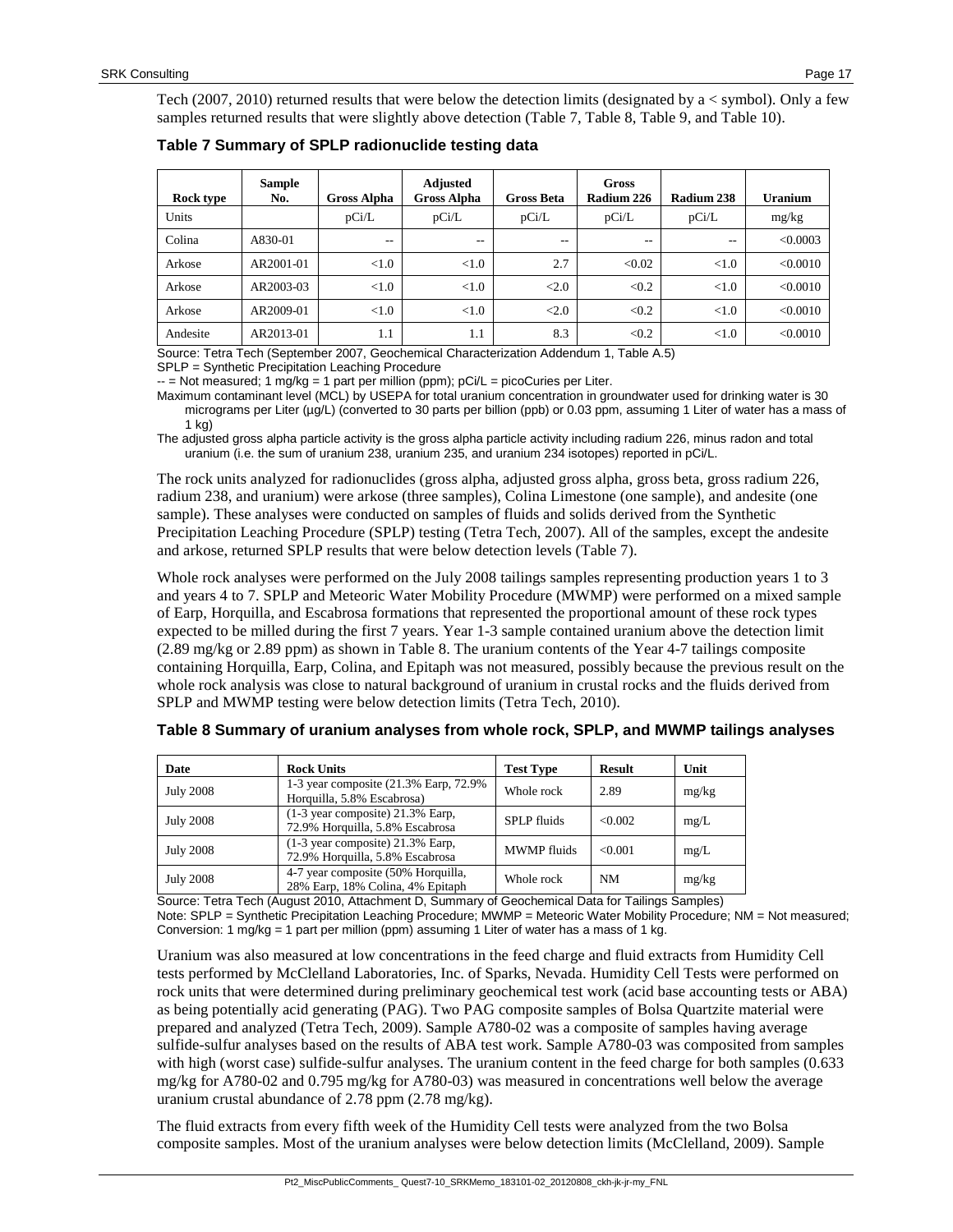Tech (2007, 2010) returned results that were below the detection limits (designated by a  $\lt$  symbol). Only a few samples returned results that were slightly above detection [\(Table 7,](#page-16-0) [Table 8,](#page-16-1) [Table 9,](#page-17-0) an[d Table 10\)](#page-17-1).

<span id="page-16-0"></span>

| Table 7 Summary of SPLP radionuclide testing data |  |  |
|---------------------------------------------------|--|--|
|---------------------------------------------------|--|--|

| Rock type | <b>Sample</b><br>No. | <b>Gross Alpha</b> | <b>Adjusted</b><br><b>Gross Alpha</b> | <b>Gross Beta</b> | Gross<br>Radium 226 | Radium 238 | Uranium  |
|-----------|----------------------|--------------------|---------------------------------------|-------------------|---------------------|------------|----------|
| Units     |                      | pCi/L              | pCi/L                                 | pCi/L             | pCi/L               | pCi/L      | mg/kg    |
| Colina    | A830-01              | $- -$              | $- -$                                 | $- -$             | $ -$                | $- -$      | < 0.0003 |
| Arkose    | AR2001-01            | < 1.0              | < 1.0                                 | 2.7               | < 0.02              | < 1.0      | < 0.0010 |
| Arkose    | AR2003-03            | < 1.0              | < 1.0                                 | <2.0              | < 0.2               | < 1.0      | < 0.0010 |
| Arkose    | AR2009-01            | < 1.0              | < 1.0                                 | <2.0              | < 0.2               | < 1.0      | < 0.0010 |
| Andesite  | AR2013-01            | 1.1                | 1.1                                   | 8.3               | < 0.2               | < 1.0      | < 0.0010 |

Source: Tetra Tech (September 2007, Geochemical Characterization Addendum 1, Table A.5)

SPLP = Synthetic Precipitation Leaching Procedure

 $-$  = Not measured; 1 mg/kg = 1 part per million (ppm);  $pCi/L = picoCuries$  per Liter.

Maximum contaminant level (MCL) by USEPA for total uranium concentration in groundwater used for drinking water is 30 micrograms per Liter (µg/L) (converted to 30 parts per billion (ppb) or 0.03 ppm, assuming 1 Liter of water has a mass of 1 kg)

The adjusted gross alpha particle activity is the gross alpha particle activity including radium 226, minus radon and total uranium (i.e. the sum of uranium 238, uranium 235, and uranium 234 isotopes) reported in pCi/L.

The rock units analyzed for radionuclides (gross alpha, adjusted gross alpha, gross beta, gross radium 226, radium 238, and uranium) were arkose (three samples), Colina Limestone (one sample), and andesite (one sample). These analyses were conducted on samples of fluids and solids derived from the Synthetic Precipitation Leaching Procedure (SPLP) testing (Tetra Tech, 2007). All of the samples, except the andesite and arkose, returned SPLP results that were below detection levels [\(Table 7\)](#page-16-0).

Whole rock analyses were performed on the July 2008 tailings samples representing production years 1 to 3 and years 4 to 7. SPLP and Meteoric Water Mobility Procedure (MWMP) were performed on a mixed sample of Earp, Horquilla, and Escabrosa formations that represented the proportional amount of these rock types expected to be milled during the first 7 years. Year 1-3 sample contained uranium above the detection limit (2.89 mg/kg or 2.89 ppm) as shown in [Table 8.](#page-16-1) The uranium contents of the Year 4-7 tailings composite containing Horquilla, Earp, Colina, and Epitaph was not measured, possibly because the previous result on the whole rock analysis was close to natural background of uranium in crustal rocks and the fluids derived from SPLP and MWMP testing were below detection limits (Tetra Tech, 2010).

| Date             | <b>Rock Units</b>                                                      | <b>Test Type</b>   | <b>Result</b> | Unit  |
|------------------|------------------------------------------------------------------------|--------------------|---------------|-------|
| <b>July 2008</b> | 1-3 year composite (21.3% Earp, 72.9%)<br>Horquilla, 5.8% Escabrosa)   | Whole rock         | 2.89          | mg/kg |
| <b>July 2008</b> | $(1-3$ year composite) 21.3% Earp,<br>72.9% Horquilla, 5.8% Escabrosa  | <b>SPLP</b> fluids | <0.002        | mg/L  |
| <b>July 2008</b> | $(1-3$ year composite) 21.3% Earp,<br>72.9% Horquilla, 5.8% Escabrosa  | <b>MWMP</b> fluids | < 0.001       | mg/L  |
| <b>July 2008</b> | 4-7 year composite (50% Horquilla,<br>28% Earp, 18% Colina, 4% Epitaph | Whole rock         | NM            | mg/kg |

<span id="page-16-1"></span>

|  |  |  |  |  |  | Table 8 Summary of uranium analyses from whole rock, SPLP, and MWMP tailings analyses |
|--|--|--|--|--|--|---------------------------------------------------------------------------------------|
|--|--|--|--|--|--|---------------------------------------------------------------------------------------|

Source: Tetra Tech (August 2010, Attachment D, Summary of Geochemical Data for Tailings Samples)

Note: SPLP = Synthetic Precipitation Leaching Procedure; MWMP = Meteoric Water Mobility Procedure; NM = Not measured; Conversion: 1 mg/kg = 1 part per million (ppm) assuming 1 Liter of water has a mass of 1 kg.

Uranium was also measured at low concentrations in the feed charge and fluid extracts from Humidity Cell tests performed by McClelland Laboratories, Inc. of Sparks, Nevada. Humidity Cell Tests were performed on rock units that were determined during preliminary geochemical test work (acid base accounting tests or ABA) as being potentially acid generating (PAG). Two PAG composite samples of Bolsa Quartzite material were prepared and analyzed (Tetra Tech, 2009). Sample A780-02 was a composite of samples having average sulfide-sulfur analyses based on the results of ABA test work. Sample A780-03 was composited from samples with high (worst case) sulfide-sulfur analyses. The uranium content in the feed charge for both samples (0.633 mg/kg for A780-02 and 0.795 mg/kg for A780-03) was measured in concentrations well below the average uranium crustal abundance of 2.78 ppm (2.78 mg/kg).

The fluid extracts from every fifth week of the Humidity Cell tests were analyzed from the two Bolsa composite samples. Most of the uranium analyses were below detection limits (McClelland, 2009). Sample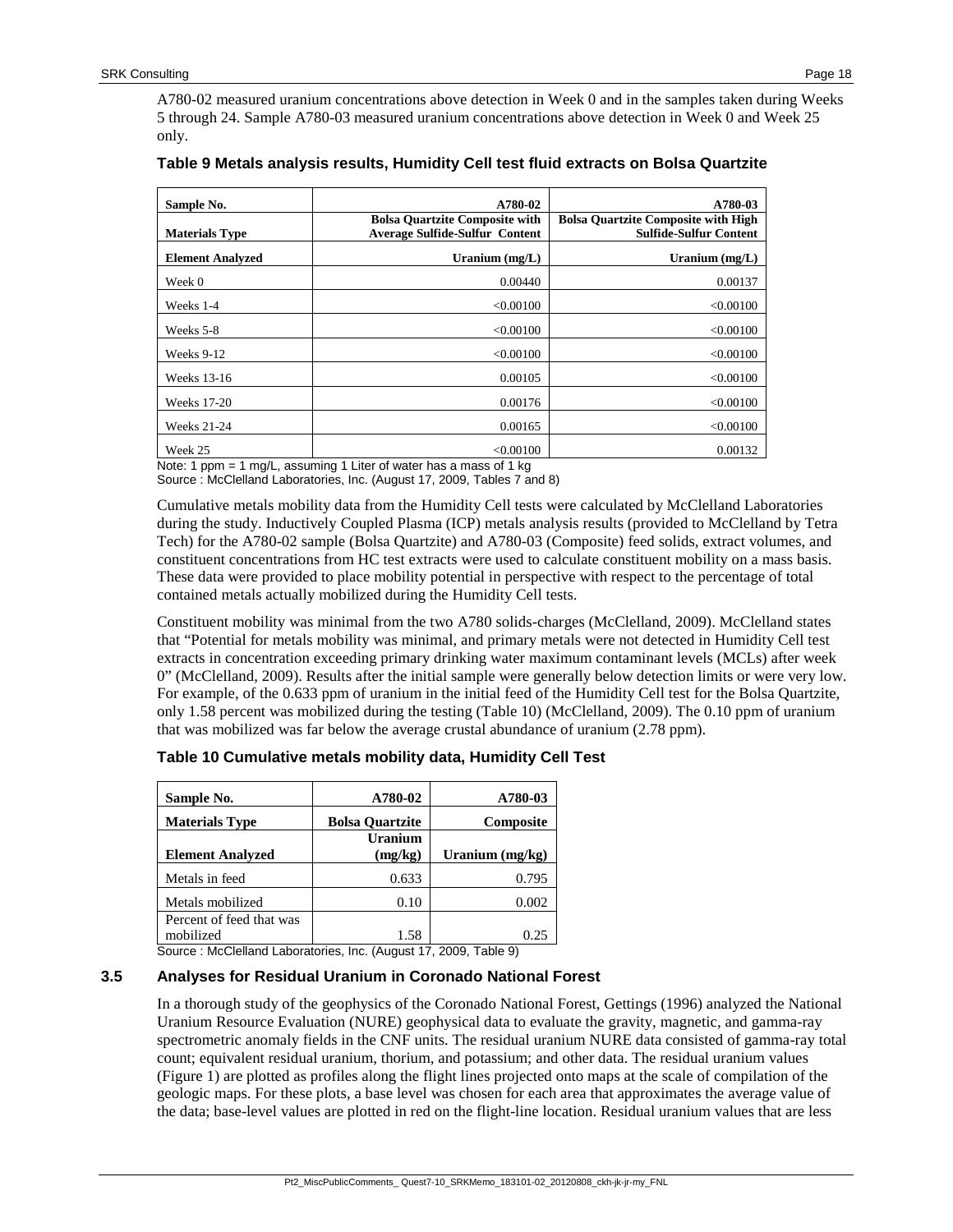A780-02 measured uranium concentrations above detection in Week 0 and in the samples taken during Weeks 5 through 24. Sample A780-03 measured uranium concentrations above detection in Week 0 and Week 25 only.

| Sample No.              | A780-02                                                                        | A780-03                                                                     |
|-------------------------|--------------------------------------------------------------------------------|-----------------------------------------------------------------------------|
| <b>Materials Type</b>   | <b>Bolsa Quartzite Composite with</b><br><b>Average Sulfide-Sulfur Content</b> | <b>Bolsa Quartzite Composite with High</b><br><b>Sulfide-Sulfur Content</b> |
| <b>Element Analyzed</b> | Uranium $(mg/L)$                                                               | Uranium $(mg/L)$                                                            |
| Week 0                  | 0.00440                                                                        | 0.00137                                                                     |
| Weeks 1-4               | < 0.00100                                                                      | < 0.00100                                                                   |
| Weeks 5-8               | < 0.00100                                                                      | < 0.00100                                                                   |
| Weeks 9-12              | < 0.00100                                                                      | < 0.00100                                                                   |
| Weeks 13-16             | 0.00105                                                                        | < 0.00100                                                                   |
| Weeks 17-20             | 0.00176                                                                        | < 0.00100                                                                   |
| <b>Weeks 21-24</b>      | 0.00165                                                                        | < 0.00100                                                                   |
| Week 25                 | < 0.00100<br>Note: 1 none 1 mail convenient liter of water has a mose of 1 in  | 0.00132                                                                     |

#### <span id="page-17-0"></span>**Table 9 Metals analysis results, Humidity Cell test fluid extracts on Bolsa Quartzite**

lote: 1 ppm = 1 mg/L, assuming 1 Liter of water has a mass of 1 Source : McClelland Laboratories, Inc. (August 17, 2009, Tables 7 and 8)

Cumulative metals mobility data from the Humidity Cell tests were calculated by McClelland Laboratories during the study. Inductively Coupled Plasma (ICP) metals analysis results (provided to McClelland by Tetra Tech) for the A780-02 sample (Bolsa Quartzite) and A780-03 (Composite) feed solids, extract volumes, and constituent concentrations from HC test extracts were used to calculate constituent mobility on a mass basis. These data were provided to place mobility potential in perspective with respect to the percentage of total contained metals actually mobilized during the Humidity Cell tests.

Constituent mobility was minimal from the two A780 solids-charges (McClelland, 2009). McClelland states that "Potential for metals mobility was minimal, and primary metals were not detected in Humidity Cell test extracts in concentration exceeding primary drinking water maximum contaminant levels (MCLs) after week 0" (McClelland, 2009). Results after the initial sample were generally below detection limits or were very low. For example, of the 0.633 ppm of uranium in the initial feed of the Humidity Cell test for the Bolsa Quartzite, only 1.58 percent was mobilized during the testing [\(Table 10\)](#page-17-1) (McClelland, 2009). The 0.10 ppm of uranium that was mobilized was far below the average crustal abundance of uranium (2.78 ppm).

| Sample No.               | A780-02                   | A780-03         |
|--------------------------|---------------------------|-----------------|
| <b>Materials Type</b>    | <b>Bolsa Quartzite</b>    | Composite       |
| <b>Element Analyzed</b>  | <b>Uranium</b><br>(mg/kg) | Uranium (mg/kg) |
| Metals in feed           | 0.633                     | 0.795           |
| Metals mobilized         | 0.10                      | 0.002           |
| Percent of feed that was |                           |                 |
| mobilized                | 1.58                      |                 |

<span id="page-17-1"></span>

| Table 10 Cumulative metals mobility data, Humidity Cell Test |  |  |
|--------------------------------------------------------------|--|--|
|--------------------------------------------------------------|--|--|

Source : McClelland Laboratories, Inc. (August 17, 2009, Table 9)

#### **3.5 Analyses for Residual Uranium in Coronado National Forest**

In a thorough study of the geophysics of the Coronado National Forest, Gettings (1996) analyzed the National Uranium Resource Evaluation (NURE) geophysical data to evaluate the gravity, magnetic, and gamma-ray spectrometric anomaly fields in the CNF units. The residual uranium NURE data consisted of gamma-ray total count; equivalent residual uranium, thorium, and potassium; and other data. The residual uranium values [\(Figure 1\)](#page-18-0) are plotted as profiles along the flight lines projected onto maps at the scale of compilation of the geologic maps. For these plots, a base level was chosen for each area that approximates the average value of the data; base-level values are plotted in red on the flight-line location. Residual uranium values that are less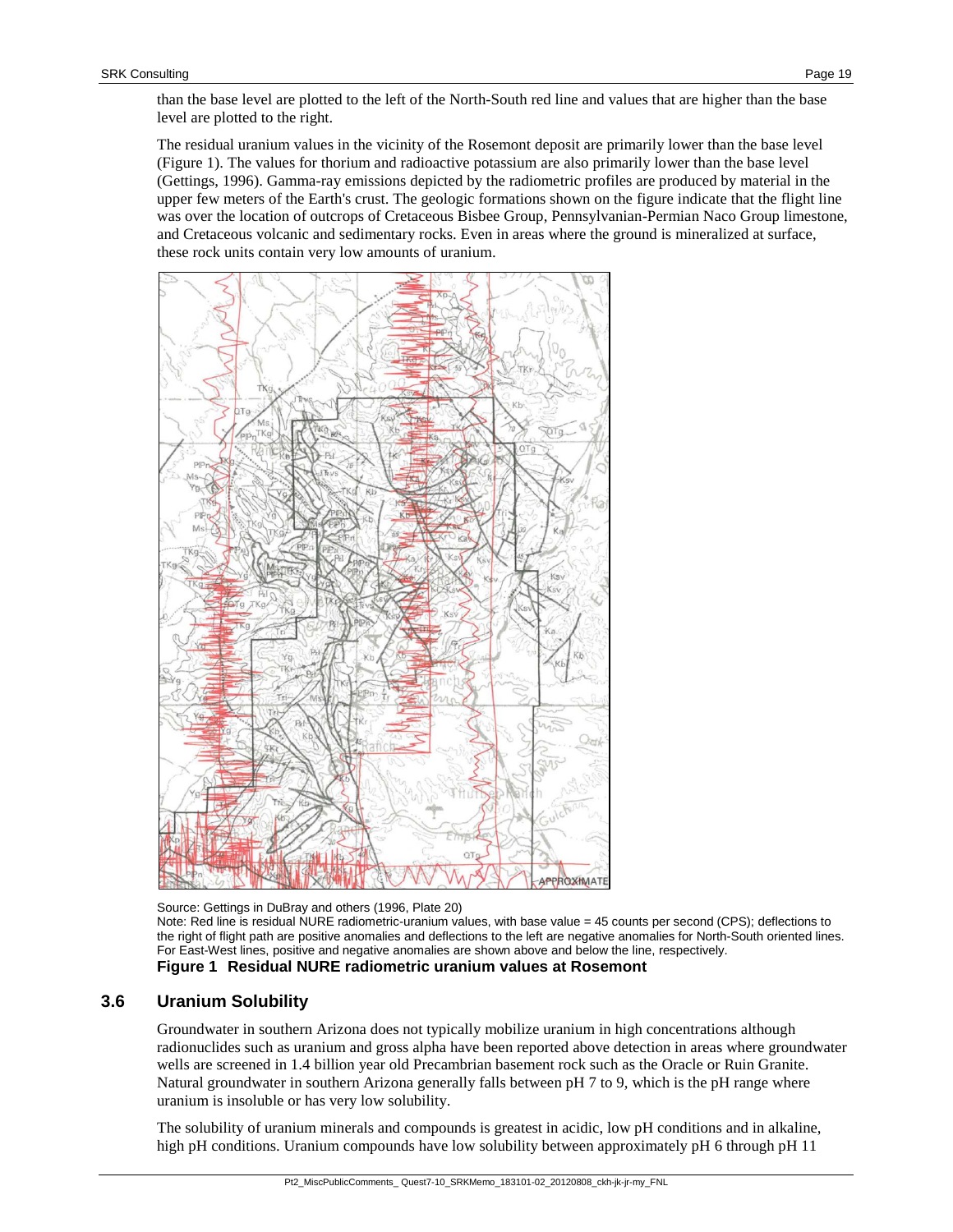The residual uranium values in the vicinity of the Rosemont deposit are primarily lower than the base level [\(Figure 1\)](#page-18-0). The values for thorium and radioactive potassium are also primarily lower than the base level (Gettings, 1996). Gamma-ray emissions depicted by the radiometric profiles are produced by material in the upper few meters of the Earth's crust. The geologic formations shown on the figure indicate that the flight line was over the location of outcrops of Cretaceous Bisbee Group, Pennsylvanian-Permian Naco Group limestone, and Cretaceous volcanic and sedimentary rocks. Even in areas where the ground is mineralized at surface, these rock units contain very low amounts of uranium.



Source: Gettings in DuBray and others (1996, Plate 20) Note: Red line is residual NURE radiometric-uranium values, with base value = 45 counts per second (CPS); deflections to the right of flight path are positive anomalies and deflections to the left are negative anomalies for North-South oriented lines. For East-West lines, positive and negative anomalies are shown above and below the line, respectively. **Figure 1 Residual NURE radiometric uranium values at Rosemont**

## <span id="page-18-0"></span>**3.6 Uranium Solubility**

Groundwater in southern Arizona does not typically mobilize uranium in high concentrations although radionuclides such as uranium and gross alpha have been reported above detection in areas where groundwater wells are screened in 1.4 billion year old Precambrian basement rock such as the Oracle or Ruin Granite. Natural groundwater in southern Arizona generally falls between pH 7 to 9, which is the pH range where uranium is insoluble or has very low solubility.

The solubility of uranium minerals and compounds is greatest in acidic, low pH conditions and in alkaline, high pH conditions. Uranium compounds have low solubility between approximately pH 6 through pH 11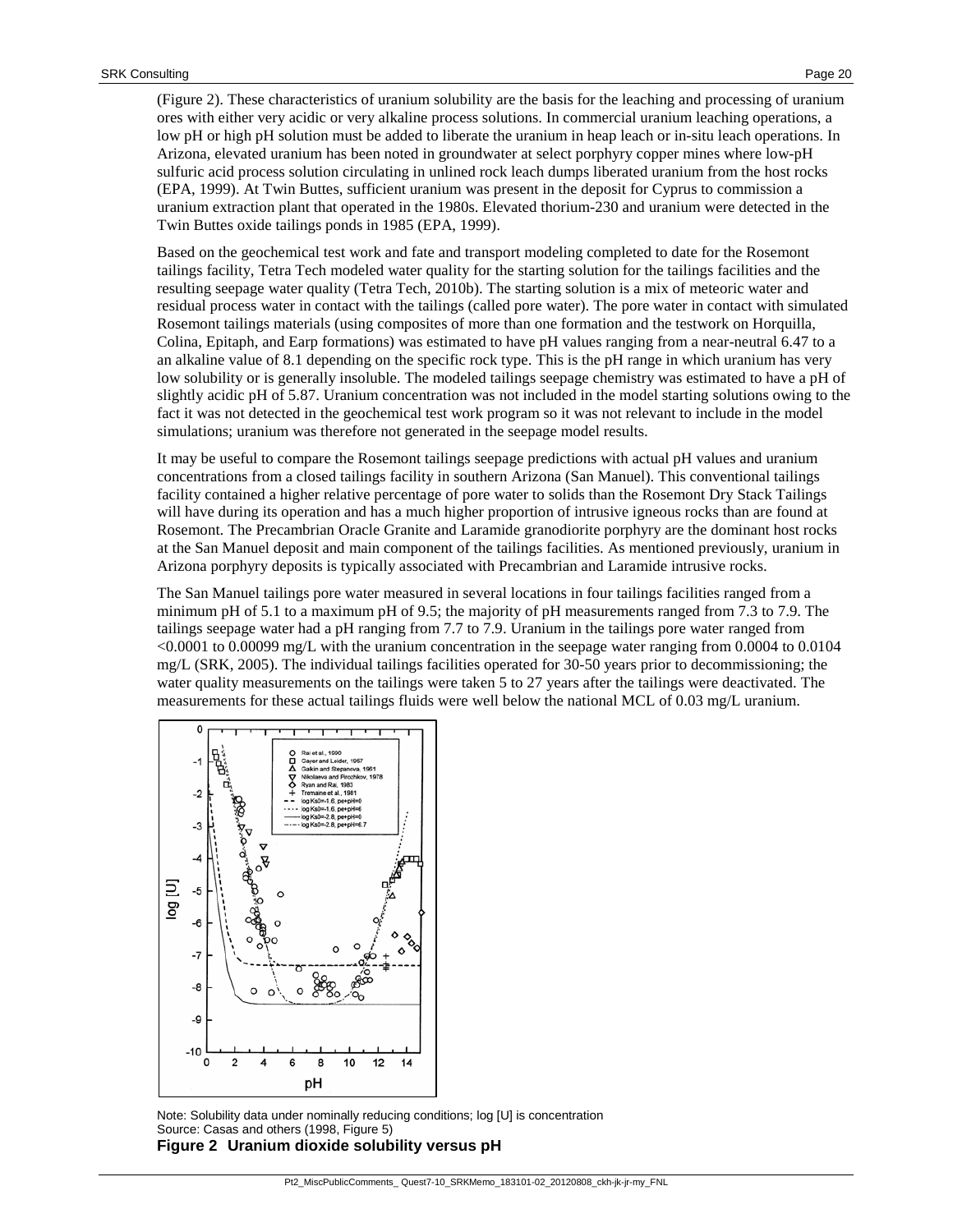[\(Figure 2\)](#page-19-0). These characteristics of uranium solubility are the basis for the leaching and processing of uranium ores with either very acidic or very alkaline process solutions. In commercial uranium leaching operations, a low pH or high pH solution must be added to liberate the uranium in heap leach or in-situ leach operations. In Arizona, elevated uranium has been noted in groundwater at select porphyry copper mines where low-pH sulfuric acid process solution circulating in unlined rock leach dumps liberated uranium from the host rocks (EPA, 1999). At Twin Buttes, sufficient uranium was present in the deposit for Cyprus to commission a uranium extraction plant that operated in the 1980s. Elevated thorium-230 and uranium were detected in the Twin Buttes oxide tailings ponds in 1985 (EPA, 1999).

Based on the geochemical test work and fate and transport modeling completed to date for the Rosemont tailings facility, Tetra Tech modeled water quality for the starting solution for the tailings facilities and the resulting seepage water quality (Tetra Tech, 2010b). The starting solution is a mix of meteoric water and residual process water in contact with the tailings (called pore water). The pore water in contact with simulated Rosemont tailings materials (using composites of more than one formation and the testwork on Horquilla, Colina, Epitaph, and Earp formations) was estimated to have pH values ranging from a near-neutral 6.47 to a an alkaline value of 8.1 depending on the specific rock type. This is the pH range in which uranium has very low solubility or is generally insoluble. The modeled tailings seepage chemistry was estimated to have a pH of slightly acidic pH of 5.87. Uranium concentration was not included in the model starting solutions owing to the fact it was not detected in the geochemical test work program so it was not relevant to include in the model simulations; uranium was therefore not generated in the seepage model results.

It may be useful to compare the Rosemont tailings seepage predictions with actual pH values and uranium concentrations from a closed tailings facility in southern Arizona (San Manuel). This conventional tailings facility contained a higher relative percentage of pore water to solids than the Rosemont Dry Stack Tailings will have during its operation and has a much higher proportion of intrusive igneous rocks than are found at Rosemont. The Precambrian Oracle Granite and Laramide granodiorite porphyry are the dominant host rocks at the San Manuel deposit and main component of the tailings facilities. As mentioned previously, uranium in Arizona porphyry deposits is typically associated with Precambrian and Laramide intrusive rocks.

The San Manuel tailings pore water measured in several locations in four tailings facilities ranged from a minimum pH of 5.1 to a maximum pH of 9.5; the majority of pH measurements ranged from 7.3 to 7.9. The tailings seepage water had a pH ranging from 7.7 to 7.9. Uranium in the tailings pore water ranged from <0.0001 to 0.00099 mg/L with the uranium concentration in the seepage water ranging from 0.0004 to 0.0104 mg/L (SRK, 2005). The individual tailings facilities operated for 30-50 years prior to decommissioning; the water quality measurements on the tailings were taken 5 to 27 years after the tailings were deactivated. The measurements for these actual tailings fluids were well below the national MCL of 0.03 mg/L uranium.



<span id="page-19-0"></span>Note: Solubility data under nominally reducing conditions; log [U] is concentration Source: Casas and others (1998, Figure 5) **Figure 2 Uranium dioxide solubility versus pH**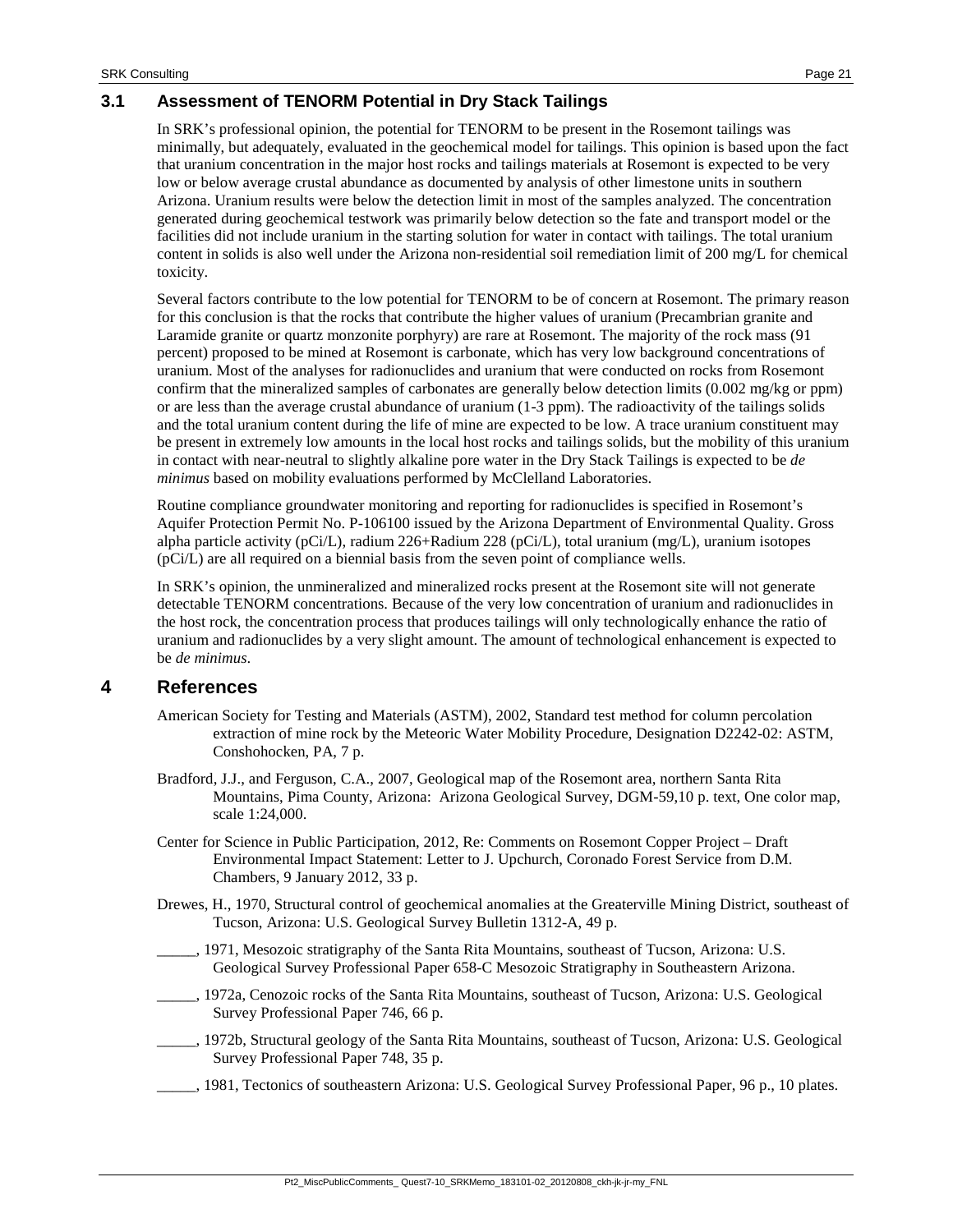## **3.1 Assessment of TENORM Potential in Dry Stack Tailings**

In SRK's professional opinion, the potential for TENORM to be present in the Rosemont tailings was minimally, but adequately, evaluated in the geochemical model for tailings. This opinion is based upon the fact that uranium concentration in the major host rocks and tailings materials at Rosemont is expected to be very low or below average crustal abundance as documented by analysis of other limestone units in southern Arizona. Uranium results were below the detection limit in most of the samples analyzed. The concentration generated during geochemical testwork was primarily below detection so the fate and transport model or the facilities did not include uranium in the starting solution for water in contact with tailings. The total uranium content in solids is also well under the Arizona non-residential soil remediation limit of 200 mg/L for chemical toxicity.

Several factors contribute to the low potential for TENORM to be of concern at Rosemont. The primary reason for this conclusion is that the rocks that contribute the higher values of uranium (Precambrian granite and Laramide granite or quartz monzonite porphyry) are rare at Rosemont. The majority of the rock mass (91 percent) proposed to be mined at Rosemont is carbonate, which has very low background concentrations of uranium. Most of the analyses for radionuclides and uranium that were conducted on rocks from Rosemont confirm that the mineralized samples of carbonates are generally below detection limits (0.002 mg/kg or ppm) or are less than the average crustal abundance of uranium (1-3 ppm). The radioactivity of the tailings solids and the total uranium content during the life of mine are expected to be low. A trace uranium constituent may be present in extremely low amounts in the local host rocks and tailings solids, but the mobility of this uranium in contact with near-neutral to slightly alkaline pore water in the Dry Stack Tailings is expected to be *de minimus* based on mobility evaluations performed by McClelland Laboratories.

Routine compliance groundwater monitoring and reporting for radionuclides is specified in Rosemont's Aquifer Protection Permit No. P-106100 issued by the Arizona Department of Environmental Quality. Gross alpha particle activity (pCi/L), radium 226+Radium 228 (pCi/L), total uranium (mg/L), uranium isotopes (pCi/L) are all required on a biennial basis from the seven point of compliance wells.

In SRK's opinion, the unmineralized and mineralized rocks present at the Rosemont site will not generate detectable TENORM concentrations. Because of the very low concentration of uranium and radionuclides in the host rock, the concentration process that produces tailings will only technologically enhance the ratio of uranium and radionuclides by a very slight amount. The amount of technological enhancement is expected to be *de minimus*.

# <span id="page-20-0"></span>**4 References**

- American Society for Testing and Materials (ASTM), 2002, Standard test method for column percolation extraction of mine rock by the Meteoric Water Mobility Procedure, Designation D2242-02: ASTM, Conshohocken, PA, 7 p.
- Bradford, J.J., and Ferguson, C.A., 2007, Geological map of the Rosemont area, northern Santa Rita Mountains, Pima County, Arizona: Arizona Geological Survey, DGM-59,10 p. text, One color map, scale 1:24,000.
- Center for Science in Public Participation, 2012, Re: Comments on Rosemont Copper Project Draft Environmental Impact Statement: Letter to J. Upchurch, Coronado Forest Service from D.M. Chambers, 9 January 2012, 33 p.
- Drewes, H., 1970, Structural control of geochemical anomalies at the Greaterville Mining District, southeast of Tucson, Arizona: U.S. Geological Survey Bulletin 1312-A, 49 p.
- 1971, Mesozoic stratigraphy of the Santa Rita Mountains, southeast of Tucson, Arizona: U.S. Geological Survey Professional Paper 658-C Mesozoic Stratigraphy in Southeastern Arizona.
	- \_\_\_\_\_, 1972a, Cenozoic rocks of the Santa Rita Mountains, southeast of Tucson, Arizona: U.S. Geological Survey Professional Paper 746, 66 p.
- \_\_\_\_\_, 1972b, Structural geology of the Santa Rita Mountains, southeast of Tucson, Arizona: U.S. Geological Survey Professional Paper 748, 35 p.
- \_\_\_\_\_, 1981, Tectonics of southeastern Arizona: U.S. Geological Survey Professional Paper, 96 p., 10 plates.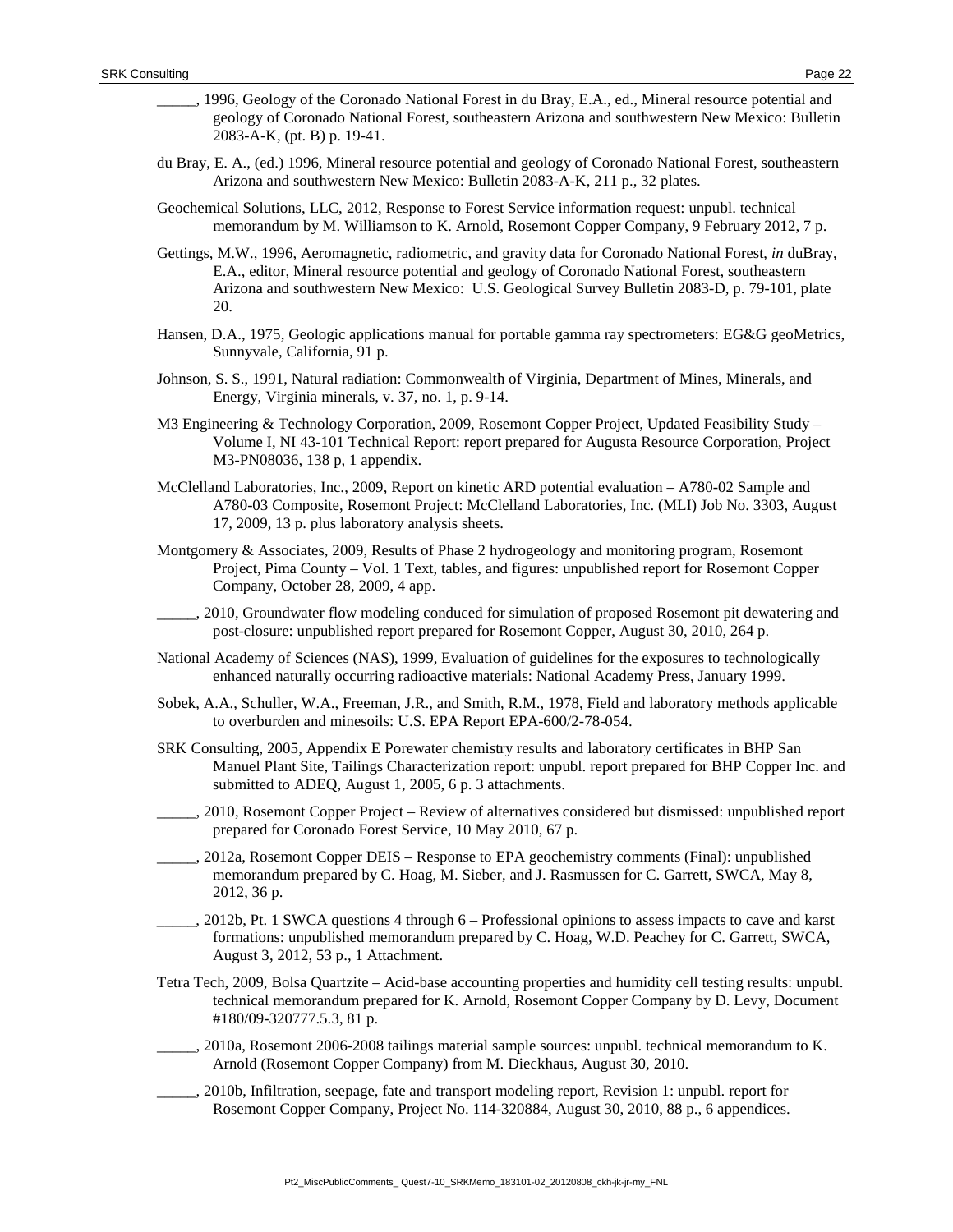- \_\_\_\_\_, 1996, Geology of the Coronado National Forest in du Bray, E.A., ed., Mineral resource potential and geology of Coronado National Forest, southeastern Arizona and southwestern New Mexico: Bulletin 2083-A-K, (pt. B) p. 19-41.
- du Bray, E. A., (ed.) 1996, Mineral resource potential and geology of Coronado National Forest, southeastern Arizona and southwestern New Mexico: Bulletin 2083-A-K, 211 p., 32 plates.
- Geochemical Solutions, LLC, 2012, Response to Forest Service information request: unpubl. technical memorandum by M. Williamson to K. Arnold, Rosemont Copper Company, 9 February 2012, 7 p.
- Gettings, M.W., 1996, Aeromagnetic, radiometric, and gravity data for Coronado National Forest, *in* duBray, E.A., editor, Mineral resource potential and geology of Coronado National Forest, southeastern Arizona and southwestern New Mexico: U.S. Geological Survey Bulletin 2083-D, p. 79-101, plate 20.
- Hansen, D.A., 1975, Geologic applications manual for portable gamma ray spectrometers: EG&G geoMetrics, Sunnyvale, California, 91 p.
- Johnson, S. S., 1991, Natural radiation: Commonwealth of Virginia, Department of Mines, Minerals, and Energy, Virginia minerals, v. 37, no. 1, p. 9-14.
- M3 Engineering & Technology Corporation, 2009, Rosemont Copper Project, Updated Feasibility Study Volume I, NI 43-101 Technical Report: report prepared for Augusta Resource Corporation, Project M3-PN08036, 138 p, 1 appendix.
- McClelland Laboratories, Inc., 2009, Report on kinetic ARD potential evaluation A780-02 Sample and A780-03 Composite, Rosemont Project: McClelland Laboratories, Inc. (MLI) Job No. 3303, August 17, 2009, 13 p. plus laboratory analysis sheets.
- Montgomery & Associates, 2009, Results of Phase 2 hydrogeology and monitoring program, Rosemont Project, Pima County – Vol. 1 Text, tables, and figures: unpublished report for Rosemont Copper Company, October 28, 2009, 4 app.
- \_\_\_\_\_, 2010, Groundwater flow modeling conduced for simulation of proposed Rosemont pit dewatering and post-closure: unpublished report prepared for Rosemont Copper, August 30, 2010, 264 p.
- National Academy of Sciences (NAS), 1999, Evaluation of guidelines for the exposures to technologically enhanced naturally occurring radioactive materials: National Academy Press, January 1999.
- Sobek, A.A., Schuller, W.A., Freeman, J.R., and Smith, R.M., 1978, Field and laboratory methods applicable to overburden and minesoils: U.S. EPA Report EPA-600/2-78-054.
- SRK Consulting, 2005, Appendix E Porewater chemistry results and laboratory certificates in BHP San Manuel Plant Site, Tailings Characterization report: unpubl. report prepared for BHP Copper Inc. and submitted to ADEQ, August 1, 2005, 6 p. 3 attachments.
- \_\_\_\_\_, 2010, Rosemont Copper Project Review of alternatives considered but dismissed: unpublished report prepared for Coronado Forest Service, 10 May 2010, 67 p.
- \_\_\_\_\_, 2012a, Rosemont Copper DEIS Response to EPA geochemistry comments (Final): unpublished memorandum prepared by C. Hoag, M. Sieber, and J. Rasmussen for C. Garrett, SWCA, May 8, 2012, 36 p.
- \_\_\_\_\_, 2012b, Pt. 1 SWCA questions 4 through 6 Professional opinions to assess impacts to cave and karst formations: unpublished memorandum prepared by C. Hoag, W.D. Peachey for C. Garrett, SWCA, August 3, 2012, 53 p., 1 Attachment.
- Tetra Tech, 2009, Bolsa Quartzite Acid-base accounting properties and humidity cell testing results: unpubl. technical memorandum prepared for K. Arnold, Rosemont Copper Company by D. Levy, Document #180/09-320777.5.3, 81 p.
- \_\_\_\_\_, 2010a, Rosemont 2006-2008 tailings material sample sources: unpubl. technical memorandum to K. Arnold (Rosemont Copper Company) from M. Dieckhaus, August 30, 2010.
- \_\_\_\_\_, 2010b, Infiltration, seepage, fate and transport modeling report, Revision 1: unpubl. report for Rosemont Copper Company, Project No. 114-320884, August 30, 2010, 88 p., 6 appendices.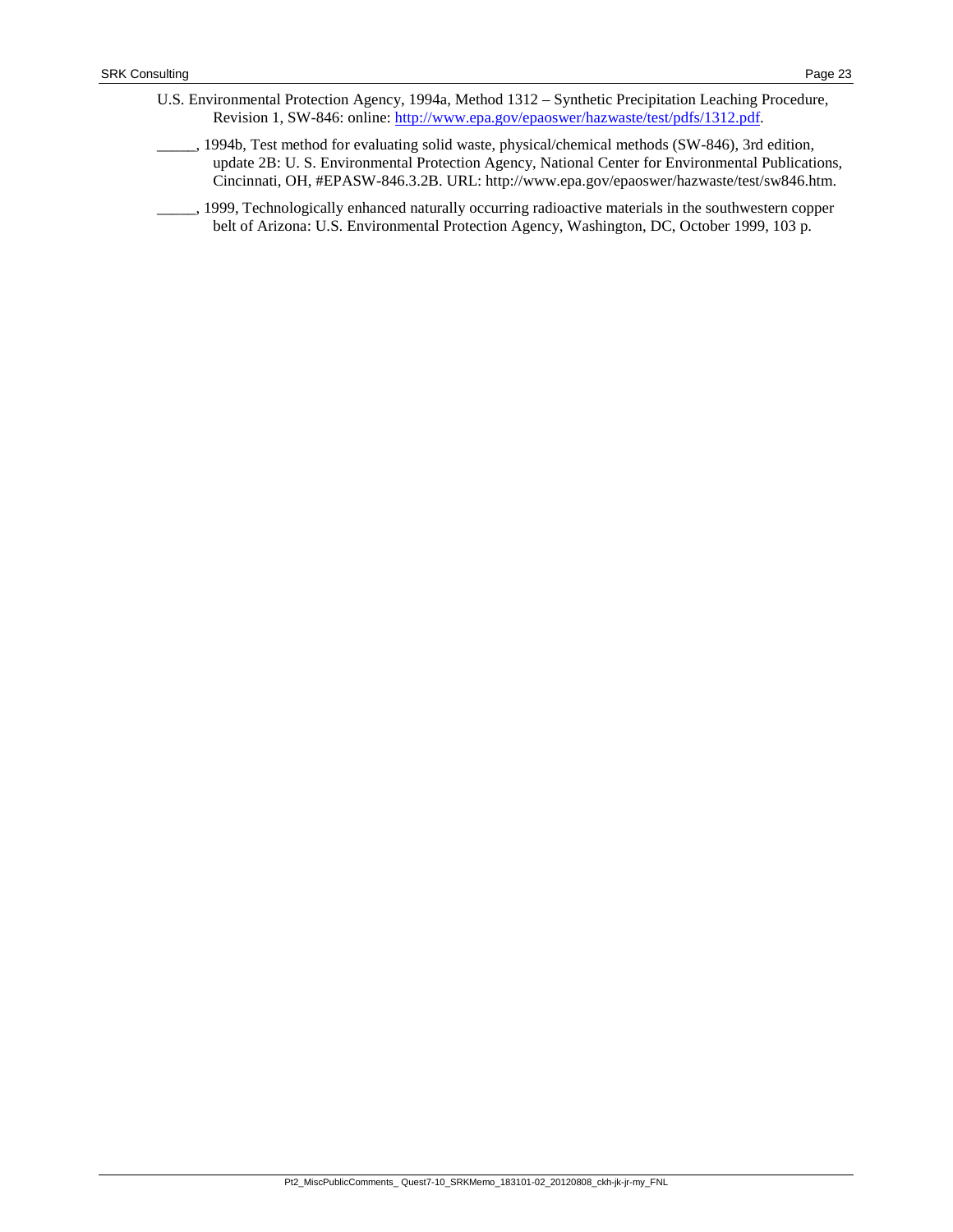- U.S. Environmental Protection Agency, 1994a, Method 1312 Synthetic Precipitation Leaching Procedure, Revision 1, SW-846: online: [http://www.epa.gov/epaoswer/hazwaste/test/pdfs/1312.pdf.](http://www.epa.gov/epaoswer/hazwaste/test/pdfs/1312.pdf)
- \_\_\_\_\_, 1994b, Test method for evaluating solid waste, physical/chemical methods (SW-846), 3rd edition, update 2B: U. S. Environmental Protection Agency, National Center for Environmental Publications, Cincinnati, OH, #EPASW-846.3.2B. URL: http://www.epa.gov/epaoswer/hazwaste/test/sw846.htm.
- 1999, Technologically enhanced naturally occurring radioactive materials in the southwestern copper belt of Arizona: U.S. Environmental Protection Agency, Washington, DC, October 1999, 103 p.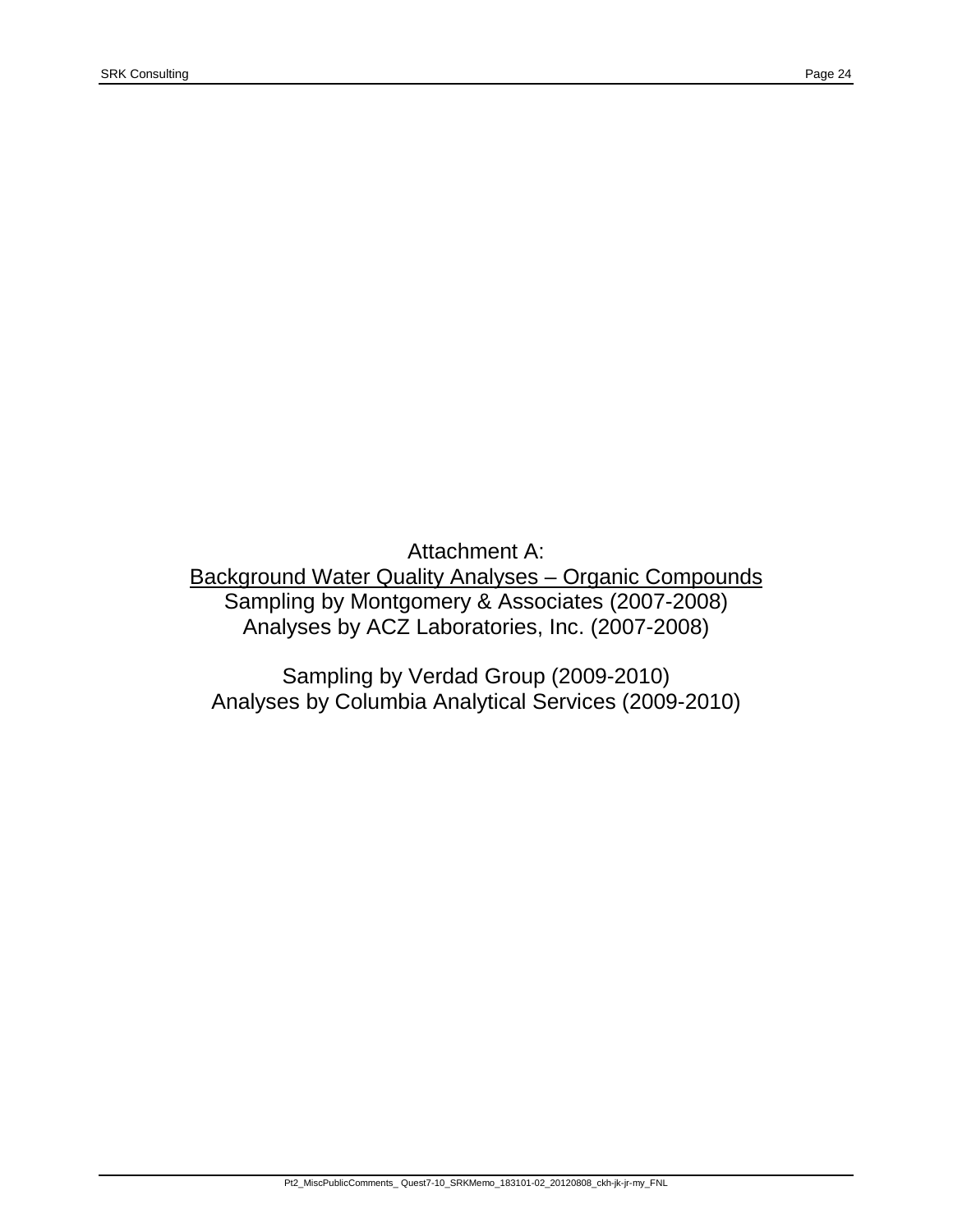Attachment A: Background Water Quality Analyses – Organic Compounds Sampling by Montgomery & Associates (2007-2008) Analyses by ACZ Laboratories, Inc. (2007-2008)

Sampling by Verdad Group (2009-2010) Analyses by Columbia Analytical Services (2009-2010)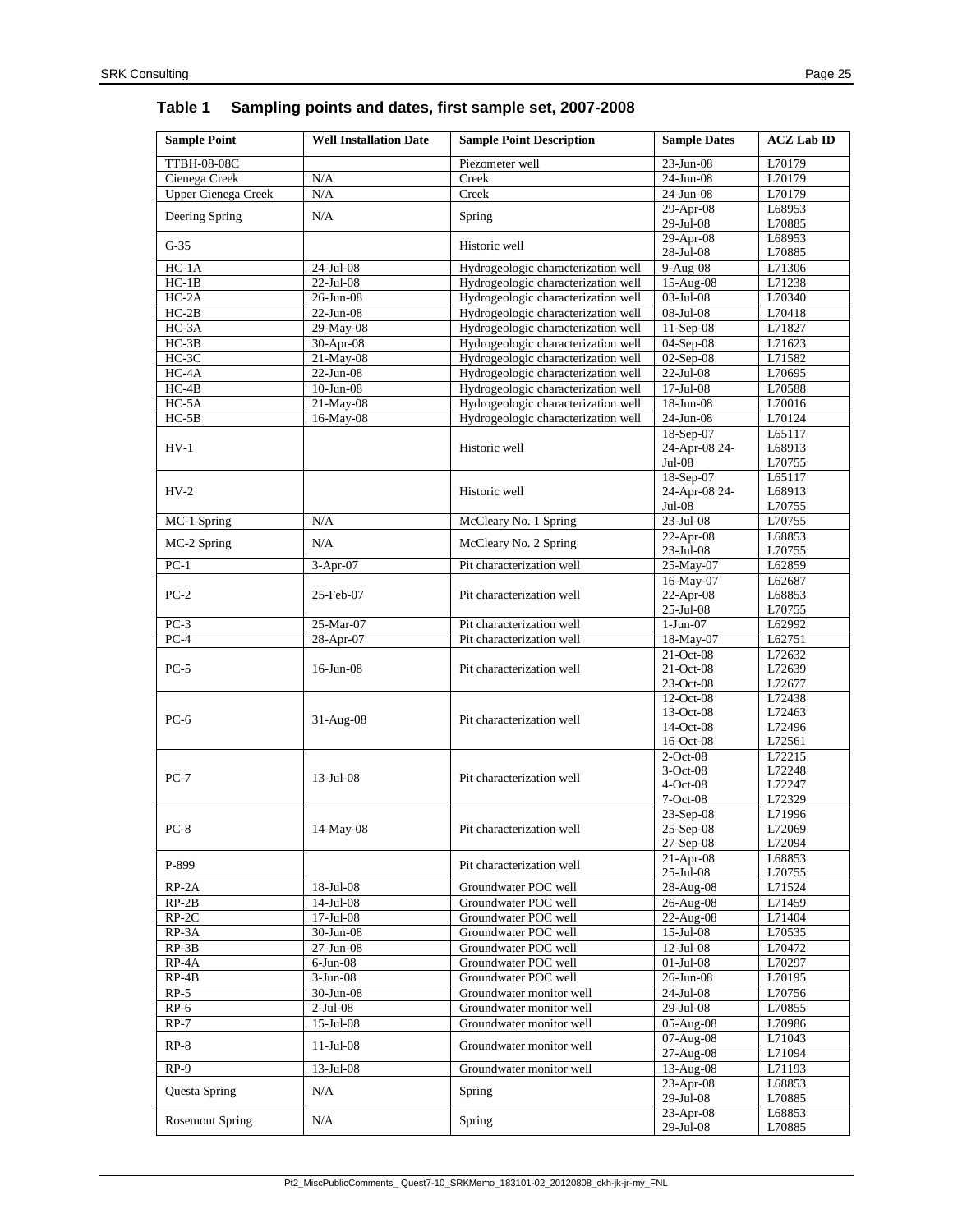# **Table 1 Sampling points and dates, first sample set, 2007-2008**

| <b>Sample Point</b>        | <b>Well Installation Date</b> | <b>Sample Point Description</b>     | <b>Sample Dates</b>      | <b>ACZ</b> Lab ID |
|----------------------------|-------------------------------|-------------------------------------|--------------------------|-------------------|
| <b>TTBH-08-08C</b>         |                               | Piezometer well                     | 23-Jun-08                | L70179            |
| Cienega Creek              | N/A                           | Creek                               | 24-Jun-08                | L70179            |
| <b>Upper Cienega Creek</b> | N/A                           | Creek                               | 24-Jun-08                | L70179            |
|                            |                               |                                     | $29-Apr-08$              | L68953            |
| Deering Spring             | N/A                           | Spring                              | 29-Jul-08                | L70885            |
|                            |                               |                                     | $29-Apr-08$              | L68953            |
| $G-35$                     |                               | Historic well                       | 28-Jul-08                | L70885            |
| $HC-1A$                    | 24-Jul-08                     | Hydrogeologic characterization well | 9-Aug-08                 | L71306            |
| $HC-1B$                    | 22-Jul-08                     | Hydrogeologic characterization well | 15-Aug-08                | L71238            |
| $HC-2A$                    | 26-Jun-08                     | Hydrogeologic characterization well | 03-Jul-08                | L70340            |
| $HC-2B$                    | $22$ -Jun-08                  | Hydrogeologic characterization well | 08-Jul-08                | L70418            |
| HC-3A                      | 29-May-08                     | Hydrogeologic characterization well | 11-Sep-08                | L71827            |
| $HC-3B$                    | 30-Apr-08                     | Hydrogeologic characterization well | 04-Sep-08                | L71623            |
| $HC-3C$                    | 21-May-08                     | Hydrogeologic characterization well | 02-Sep-08                | L71582            |
| $HC-4A$                    | $22-Jun-08$                   | Hydrogeologic characterization well | $22$ -Jul-08             | L70695            |
| $HC-4B$                    | $10$ -Jun- $08$               | Hydrogeologic characterization well | 17-Jul-08                | L70588            |
| $HC-5A$                    | 21-May-08                     | Hydrogeologic characterization well | 18-Jun-08                | L70016            |
| $HC-5B$                    | 16-May-08                     | Hydrogeologic characterization well | 24-Jun-08                | L70124            |
|                            |                               |                                     | 18-Sep-07                | L65117            |
| $HV-1$                     |                               | Historic well                       | 24-Apr-08 24-            | L68913            |
|                            |                               |                                     | $Jul-08$                 | L70755            |
|                            |                               |                                     | 18-Sep-07                | L65117            |
| $HV-2$                     |                               | Historic well                       | 24-Apr-08 24-            | L68913            |
|                            |                               |                                     | $Jul-08$                 | L70755            |
| MC-1 Spring                | $\rm N/A$                     | McCleary No. 1 Spring               | 23-Jul-08                | L70755            |
| MC-2 Spring                | N/A                           | McCleary No. 2 Spring               | 22-Apr-08                | L68853            |
|                            |                               |                                     | $23$ -Jul-08             | L70755            |
| $PC-1$                     | 3-Apr-07                      | Pit characterization well           | $25-May-07$              | L62859            |
|                            |                               |                                     | 16-May-07                | L62687            |
| $PC-2$                     | 25-Feb-07                     | Pit characterization well           | 22-Apr-08<br>25-Jul-08   | L68853<br>L70755  |
| $PC-3$                     | 25-Mar-07                     | Pit characterization well           | $1-Jun-07$               | L62992            |
| $PC-4$                     | 28-Apr-07                     | Pit characterization well           | 18-May-07                | L62751            |
|                            |                               |                                     | 21-Oct-08                | L72632            |
| $PC-5$                     | $16$ -Jun-08                  | Pit characterization well           | 21-Oct-08                | L72639            |
|                            |                               |                                     | 23-Oct-08                | L72677            |
|                            |                               |                                     | 12-Oct-08                | L72438            |
|                            |                               |                                     | 13-Oct-08                | L72463            |
| $PC-6$                     | 31-Aug-08                     | Pit characterization well           | 14-Oct-08                | L72496            |
|                            |                               |                                     | $16$ -Oct-08             | L72561            |
|                            |                               |                                     | $2$ -Oct-08              | L72215            |
| $PC-7$                     | $13$ -Jul-08                  | Pit characterization well           | $3-Oct-08$               | L72248            |
|                            |                               |                                     | $4-Oct-08$               | L72247            |
|                            |                               |                                     | $7-Oct-08$               | L72329            |
|                            |                               |                                     | 23-Sep-08                | L71996            |
| $PC-8$                     | 14-May-08                     | Pit characterization well           | $25-Sep-08$              | L72069            |
|                            |                               |                                     | $27-Sep-08$              | L72094            |
| P-899                      |                               | Pit characterization well           | $21-Apr-08$              | L68853            |
|                            |                               |                                     | $25$ -Jul-08             | L70755            |
| $RP-2A$                    | $18$ -Jul-08                  | Groundwater POC well                | 28-Aug-08                | L71524            |
| $RP-2B$                    | $14$ -Jul-08                  | Groundwater POC well                | 26-Aug-08                | L71459            |
| $RP-2C$                    | $17-Ju1-08$                   | Groundwater POC well                | $22-Aug-08$              | L71404            |
| RP-3A                      | $30$ -Jun-08                  | Groundwater POC well                | 15-Jul-08                | L70535            |
| $RP-3B$                    | $27 - Jun-08$                 | Groundwater POC well                | $12-Jul-08$              | L70472            |
| $RP-4A$                    | $6$ -Jun- $08$                | Groundwater POC well                | $01$ -Jul-08             | L70297            |
| $RP-4B$                    | $3-Jun-08$                    | Groundwater POC well                | 26-Jun-08                | L70195            |
| $RP-5$                     | 30-Jun-08                     | Groundwater monitor well            | $24$ -Jul-08             | L70756            |
| $RP-6$                     | $2-Jul-08$                    | Groundwater monitor well            | 29-Jul-08                | L70855            |
| $RP-7$                     | $15$ -Jul-08                  | Groundwater monitor well            | 05-Aug-08                | L70986            |
| $RP-8$                     | $11$ -Jul-08                  | Groundwater monitor well            | 07-Aug-08                | L71043            |
| $RP-9$                     |                               |                                     | 27-Aug-08                | L71094            |
|                            | 13-Jul-08                     | Groundwater monitor well            | 13-Aug-08<br>$23-Apr-08$ | L71193<br>L68853  |
| Questa Spring              | $\rm N/A$                     | Spring                              | 29-Jul-08                | L70885            |
|                            |                               |                                     | 23-Apr-08                | L68853            |
| <b>Rosemont Spring</b>     | N/A                           | Spring                              | 29-Jul-08                | L70885            |
|                            |                               |                                     |                          |                   |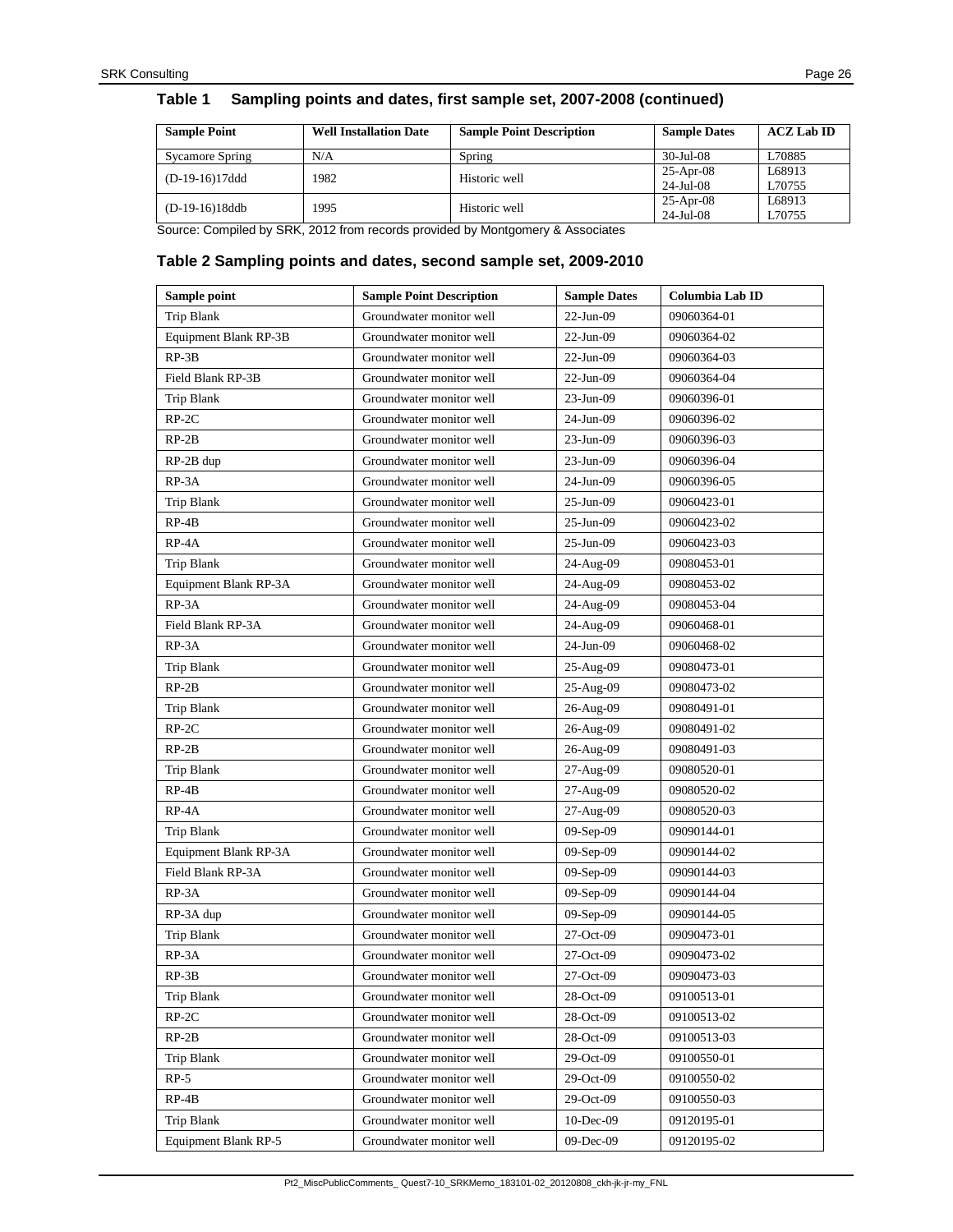#### **Table 1 Sampling points and dates, first sample set, 2007-2008 (continued)**

| <b>Sample Point</b> | <b>Well Installation Date</b> | <b>Sample Point Description</b> | <b>Sample Dates</b>      | $ACZ$ Lab ID     |
|---------------------|-------------------------------|---------------------------------|--------------------------|------------------|
| Sycamore Spring     | N/A                           | Spring                          | $30 - \frac{1}{11} - 08$ | L70885           |
| $(D-19-16)17ddd$    | 1982                          | Historic well                   | $25-Apr-08$<br>24-Jul-08 | L68913<br>L70755 |
| (D-19-16)18ddb      | 1995                          | Historic well                   | $25-Apr-08$<br>24-Jul-08 | L68913<br>L70755 |

Source: Compiled by SRK, 2012 from records provided by Montgomery & Associates

#### **Table 2 Sampling points and dates, second sample set, 2009-2010**

| Sample point          | <b>Sample Point Description</b> | <b>Sample Dates</b> | Columbia Lab ID |
|-----------------------|---------------------------------|---------------------|-----------------|
| Trip Blank            | Groundwater monitor well        | $22$ -Jun-09        | 09060364-01     |
| Equipment Blank RP-3B | Groundwater monitor well        | $22$ -Jun-09        | 09060364-02     |
| $RP-3B$               | Groundwater monitor well        | $22$ -Jun-09        | 09060364-03     |
| Field Blank RP-3B     | Groundwater monitor well        | $22$ -Jun-09        | 09060364-04     |
| Trip Blank            | Groundwater monitor well        | 23-Jun-09           | 09060396-01     |
| $RP-2C$               | Groundwater monitor well        | 24-Jun-09           | 09060396-02     |
| $RP-2B$               | Groundwater monitor well        | 23-Jun-09           | 09060396-03     |
| $RP-2B$ dup           | Groundwater monitor well        | 23-Jun-09           | 09060396-04     |
| RP-3A                 | Groundwater monitor well        | 24-Jun-09           | 09060396-05     |
| Trip Blank            | Groundwater monitor well        | $25$ -Jun-09        | 09060423-01     |
| $RP-4B$               | Groundwater monitor well        | 25-Jun-09           | 09060423-02     |
| RP-4A                 | Groundwater monitor well        | 25-Jun-09           | 09060423-03     |
| Trip Blank            | Groundwater monitor well        | 24-Aug-09           | 09080453-01     |
| Equipment Blank RP-3A | Groundwater monitor well        | 24-Aug-09           | 09080453-02     |
| RP-3A                 | Groundwater monitor well        | 24-Aug-09           | 09080453-04     |
| Field Blank RP-3A     | Groundwater monitor well        | 24-Aug-09           | 09060468-01     |
| RP-3A                 | Groundwater monitor well        | 24-Jun-09           | 09060468-02     |
| Trip Blank            | Groundwater monitor well        | 25-Aug-09           | 09080473-01     |
| $RP-2B$               | Groundwater monitor well        | 25-Aug-09           | 09080473-02     |
| Trip Blank            | Groundwater monitor well        | 26-Aug-09           | 09080491-01     |
| $RP-2C$               | Groundwater monitor well        | 26-Aug-09           | 09080491-02     |
| $RP-2B$               | Groundwater monitor well        | 26-Aug-09           | 09080491-03     |
| Trip Blank            | Groundwater monitor well        | 27-Aug-09           | 09080520-01     |
| $RP-4B$               | Groundwater monitor well        | 27-Aug-09           | 09080520-02     |
| RP-4A                 | Groundwater monitor well        | 27-Aug-09           | 09080520-03     |
| Trip Blank            | Groundwater monitor well        | $09-Sep-09$         | 09090144-01     |
| Equipment Blank RP-3A | Groundwater monitor well        | $09-Sep-09$         | 09090144-02     |
| Field Blank RP-3A     | Groundwater monitor well        | $09-Sep-09$         | 09090144-03     |
| RP-3A                 | Groundwater monitor well        | $09-Sep-09$         | 09090144-04     |
| RP-3A dup             | Groundwater monitor well        | $09-Sep-09$         | 09090144-05     |
| Trip Blank            | Groundwater monitor well        | 27-Oct-09           | 09090473-01     |
| RP-3A                 | Groundwater monitor well        | $27-Oct-09$         | 09090473-02     |
| $RP-3B$               | Groundwater monitor well        | $27-Oct-09$         | 09090473-03     |
| Trip Blank            | Groundwater monitor well        | 28-Oct-09           | 09100513-01     |
| $RP-2C$               | Groundwater monitor well        | 28-Oct-09           | 09100513-02     |
| $RP-2B$               | Groundwater monitor well        | 28-Oct-09           | 09100513-03     |
| Trip Blank            | Groundwater monitor well        | 29-Oct-09           | 09100550-01     |
| $RP-5$                | Groundwater monitor well        | 29-Oct-09           | 09100550-02     |
| $RP-4B$               | Groundwater monitor well        | 29-Oct-09           | 09100550-03     |
| Trip Blank            | Groundwater monitor well        | 10-Dec-09           | 09120195-01     |
| Equipment Blank RP-5  | Groundwater monitor well        | 09-Dec-09           | 09120195-02     |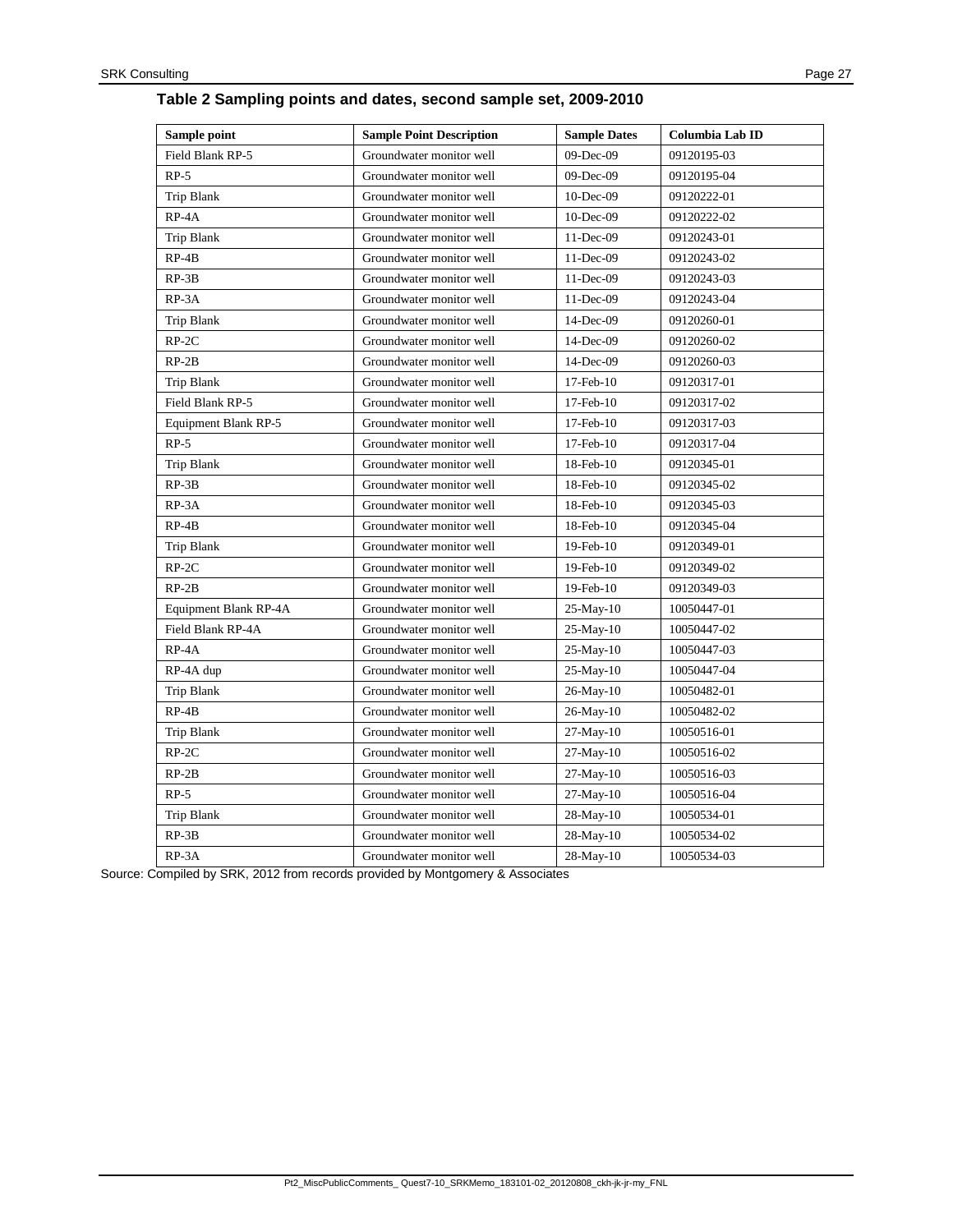| Sample point          | <b>Sample Point Description</b> | <b>Sample Dates</b> | Columbia Lab ID |
|-----------------------|---------------------------------|---------------------|-----------------|
| Field Blank RP-5      | Groundwater monitor well        | 09-Dec-09           | 09120195-03     |
| $RP-5$                | Groundwater monitor well        | 09-Dec-09           | 09120195-04     |
| Trip Blank            | Groundwater monitor well        | $10$ -Dec-09        | 09120222-01     |
| RP-4A                 | Groundwater monitor well        | $10$ -Dec-09        | 09120222-02     |
| Trip Blank            | Groundwater monitor well        | 11-Dec-09           | 09120243-01     |
| $RP-4B$               | Groundwater monitor well        | 11-Dec-09           | 09120243-02     |
| $RP-3B$               | Groundwater monitor well        | 11-Dec-09           | 09120243-03     |
| RP-3A                 | Groundwater monitor well        | 11-Dec-09           | 09120243-04     |
| Trip Blank            | Groundwater monitor well        | 14-Dec-09           | 09120260-01     |
| $RP-2C$               | Groundwater monitor well        | 14-Dec-09           | 09120260-02     |
| $RP-2B$               | Groundwater monitor well        | 14-Dec-09           | 09120260-03     |
| Trip Blank            | Groundwater monitor well        | $17$ -Feb- $10$     | 09120317-01     |
| Field Blank RP-5      | Groundwater monitor well        | $17$ -Feb- $10$     | 09120317-02     |
| Equipment Blank RP-5  | Groundwater monitor well        | $17$ -Feb- $10$     | 09120317-03     |
| $RP-5$                | Groundwater monitor well        | $17$ -Feb- $10$     | 09120317-04     |
| Trip Blank            | Groundwater monitor well        | 18-Feb-10           | 09120345-01     |
| $RP-3B$               | Groundwater monitor well        | 18-Feb-10           | 09120345-02     |
| RP-3A                 | Groundwater monitor well        | 18-Feb-10           | 09120345-03     |
| $RP-4B$               | Groundwater monitor well        | 18-Feb-10           | 09120345-04     |
| Trip Blank            | Groundwater monitor well        | 19-Feb-10           | 09120349-01     |
| $RP-2C$               | Groundwater monitor well        | $19$ -Feb- $10$     | 09120349-02     |
| $RP-2B$               | Groundwater monitor well        | 19-Feb-10           | 09120349-03     |
| Equipment Blank RP-4A | Groundwater monitor well        | $25-May-10$         | 10050447-01     |
| Field Blank RP-4A     | Groundwater monitor well        | 25-May-10           | 10050447-02     |
| RP-4A                 | Groundwater monitor well        | $25-May-10$         | 10050447-03     |
| RP-4A dup             | Groundwater monitor well        | $25-May-10$         | 10050447-04     |
| Trip Blank            | Groundwater monitor well        | 26-May-10           | 10050482-01     |
| $RP-4B$               | Groundwater monitor well        | $26$ -May- $10$     | 10050482-02     |
| Trip Blank            | Groundwater monitor well        | $27-May-10$         | 10050516-01     |
| $RP-2C$               | Groundwater monitor well        | 27-May-10           | 10050516-02     |
| $RP-2B$               | Groundwater monitor well        | $27-May-10$         | 10050516-03     |
| $RP-5$                | Groundwater monitor well        | $27-May-10$         | 10050516-04     |
| Trip Blank            | Groundwater monitor well        | 28-May-10           | 10050534-01     |
| $RP-3B$               | Groundwater monitor well        | 28-May-10           | 10050534-02     |
| $RP-3A$               | Groundwater monitor well        | 28-May-10           | 10050534-03     |

Source: Compiled by SRK, 2012 from records provided by Montgomery & Associates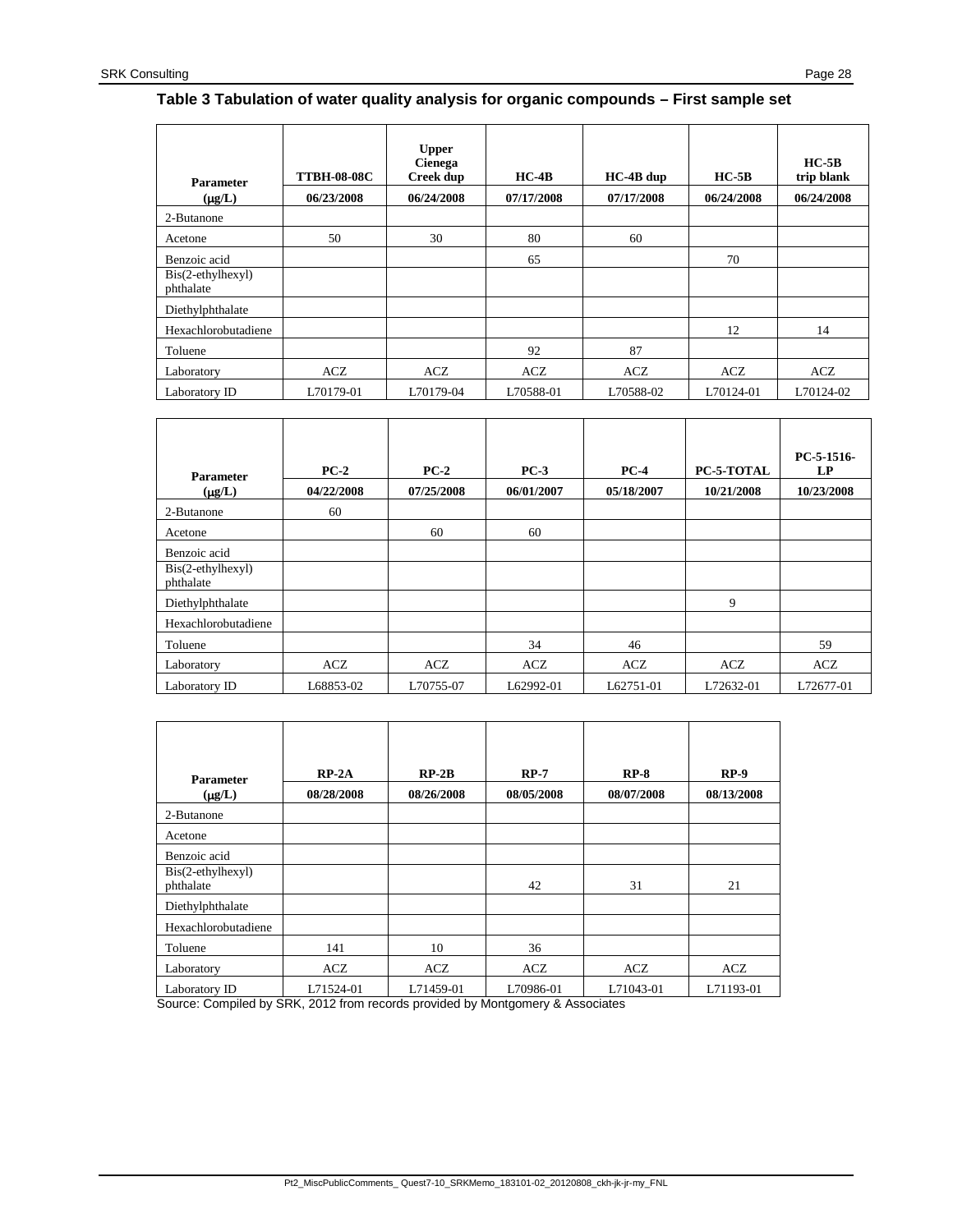#### **Table 3 Tabulation of water quality analysis for organic compounds – First sample set**

| <b>Parameter</b>               | <b>TTBH-08-08C</b> | <b>Upper</b><br>Cienega<br><b>Creek dup</b> | $HC-4B$    | $HC-4B$ dup | $HC-5B$    | $HC-5B$<br>trip blank |
|--------------------------------|--------------------|---------------------------------------------|------------|-------------|------------|-----------------------|
| $(\mu g/L)$                    | 06/23/2008         | 06/24/2008                                  | 07/17/2008 | 07/17/2008  | 06/24/2008 | 06/24/2008            |
| 2-Butanone                     |                    |                                             |            |             |            |                       |
| Acetone                        | 50                 | 30                                          | 80         | 60          |            |                       |
| Benzoic acid                   |                    |                                             | 65         |             | 70         |                       |
| Bis(2-ethylhexyl)<br>phthalate |                    |                                             |            |             |            |                       |
| Diethylphthalate               |                    |                                             |            |             |            |                       |
| Hexachlorobutadiene            |                    |                                             |            |             | 12         | 14                    |
| Toluene                        |                    |                                             | 92         | 87          |            |                       |
| Laboratory                     | ACZ                | ACZ                                         | ACZ        | ACZ         | <b>ACZ</b> | <b>ACZ</b>            |
| Laboratory ID                  | L70179-01          | L70179-04                                   | L70588-01  | L70588-02   | L70124-01  | L70124-02             |

| <b>Parameter</b>               | $PC-2$     | $PC-2$     | $PC-3$     | $PC-4$     | PC-5-TOTAL | PC-5-1516-<br>LP |
|--------------------------------|------------|------------|------------|------------|------------|------------------|
| $(\mu g/L)$                    | 04/22/2008 | 07/25/2008 | 06/01/2007 | 05/18/2007 | 10/21/2008 | 10/23/2008       |
| 2-Butanone                     | 60         |            |            |            |            |                  |
| Acetone                        |            | 60         | 60         |            |            |                  |
| Benzoic acid                   |            |            |            |            |            |                  |
| Bis(2-ethylhexyl)<br>phthalate |            |            |            |            |            |                  |
| Diethylphthalate               |            |            |            |            | 9          |                  |
| Hexachlorobutadiene            |            |            |            |            |            |                  |
| Toluene                        |            |            | 34         | 46         |            | 59               |
| Laboratory                     | ACZ        | <b>ACZ</b> | <b>ACZ</b> | <b>ACZ</b> | <b>ACZ</b> | <b>ACZ</b>       |
| Laboratory ID                  | L68853-02  | L70755-07  | L62992-01  | L62751-01  | L72632-01  | L72677-01        |

| <b>Parameter</b>                                  | $RP-2A$                                                       | $RP-2B$                  | $RP-7$                                      | $RP-8$     | $RP-9$     |
|---------------------------------------------------|---------------------------------------------------------------|--------------------------|---------------------------------------------|------------|------------|
| $(\mu g/L)$                                       | 08/28/2008                                                    | 08/26/2008               | 08/05/2008                                  | 08/07/2008 | 08/13/2008 |
| 2-Butanone                                        |                                                               |                          |                                             |            |            |
| Acetone                                           |                                                               |                          |                                             |            |            |
| Benzoic acid                                      |                                                               |                          |                                             |            |            |
| Bis(2-ethylhexyl)<br>phthalate                    |                                                               |                          | 42                                          | 31         | 21         |
|                                                   |                                                               |                          |                                             |            |            |
| Diethylphthalate                                  |                                                               |                          |                                             |            |            |
| Hexachlorobutadiene                               |                                                               |                          |                                             |            |            |
| Toluene                                           | 141                                                           | 10                       | 36                                          |            |            |
| Laboratory                                        | ACZ                                                           | <b>ACZ</b>               | ACZ                                         | <b>ACZ</b> | ACZ        |
| Laboratory ID<br>-<br>$\cdots$ $\cdots$<br>$\sim$ | L71524-01<br>$\sim$ $\sim$ $\sim$ $\sim$ $\sim$ $\sim$ $\sim$ | L71459-01<br>.<br>$\sim$ | L70986-01<br>$\sim$ $\sim$<br>$\sim$ $\sim$ | L71043-01  | L71193-01  |

Source: Compiled by SRK, 2012 from records provided by Montgomery & Associates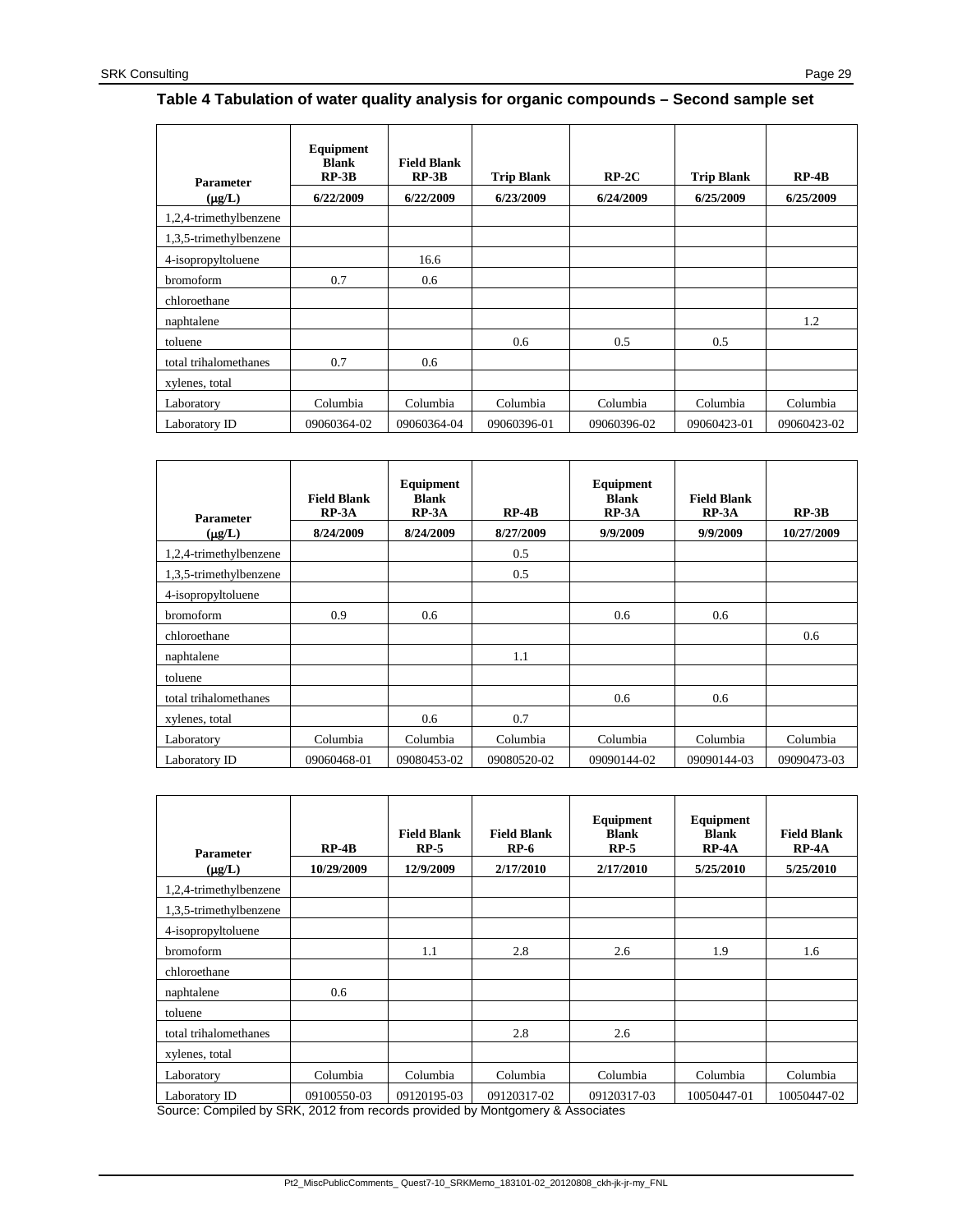#### **Table 4 Tabulation of water quality analysis for organic compounds – Second sample set**

| <b>Parameter</b><br>$(\mu g/L)$ | Equipment<br><b>Blank</b><br>$RP-3B$<br>6/22/2009 | <b>Field Blank</b><br>$RP-3B$<br>6/22/2009 | <b>Trip Blank</b><br>6/23/2009 | $RP-2C$<br>6/24/2009 | <b>Trip Blank</b><br>6/25/2009 | $RP-4B$<br>6/25/2009 |
|---------------------------------|---------------------------------------------------|--------------------------------------------|--------------------------------|----------------------|--------------------------------|----------------------|
| 1,2,4-trimethylbenzene          |                                                   |                                            |                                |                      |                                |                      |
| 1,3,5-trimethylbenzene          |                                                   |                                            |                                |                      |                                |                      |
| 4-isopropyltoluene              |                                                   | 16.6                                       |                                |                      |                                |                      |
| bromoform                       | 0.7                                               | 0.6                                        |                                |                      |                                |                      |
| chloroethane                    |                                                   |                                            |                                |                      |                                |                      |
| naphtalene                      |                                                   |                                            |                                |                      |                                | 1.2                  |
| toluene                         |                                                   |                                            | 0.6                            | 0.5                  | 0.5                            |                      |
| total trihalomethanes           | 0.7                                               | 0.6                                        |                                |                      |                                |                      |
| xylenes, total                  |                                                   |                                            |                                |                      |                                |                      |
| Laboratory                      | Columbia                                          | Columbia                                   | Columbia                       | Columbia             | Columbia                       | Columbia             |
| Laboratory ID                   | 09060364-02                                       | 09060364-04                                | 09060396-01                    | 09060396-02          | 09060423-01                    | 09060423-02          |

| <b>Parameter</b>       | <b>Field Blank</b><br>$RP-3A$ | Equipment<br><b>Blank</b><br>$RP-3A$ | $RP-4B$     | Equipment<br><b>Blank</b><br>$RP-3A$ | <b>Field Blank</b><br>$RP-3A$ | $RP-3B$     |
|------------------------|-------------------------------|--------------------------------------|-------------|--------------------------------------|-------------------------------|-------------|
| $(\mu g/L)$            | 8/24/2009                     | 8/24/2009                            | 8/27/2009   | 9/9/2009                             | 9/9/2009                      | 10/27/2009  |
| 1,2,4-trimethylbenzene |                               |                                      | 0.5         |                                      |                               |             |
| 1,3,5-trimethylbenzene |                               |                                      | 0.5         |                                      |                               |             |
| 4-isopropyltoluene     |                               |                                      |             |                                      |                               |             |
| <b>bromoform</b>       | 0.9                           | 0.6                                  |             | 0.6                                  | 0.6                           |             |
| chloroethane           |                               |                                      |             |                                      |                               | 0.6         |
| naphtalene             |                               |                                      | 1.1         |                                      |                               |             |
| toluene                |                               |                                      |             |                                      |                               |             |
| total trihalomethanes  |                               |                                      |             | 0.6                                  | 0.6                           |             |
| xylenes, total         |                               | 0.6                                  | 0.7         |                                      |                               |             |
| Laboratory             | Columbia                      | Columbia                             | Columbia    | Columbia                             | Columbia                      | Columbia    |
| Laboratory ID          | 09060468-01                   | 09080453-02                          | 09080520-02 | 09090144-02                          | 09090144-03                   | 09090473-03 |

| <b>Parameter</b>                              | $RP-4B$<br>10/29/2009 | <b>Field Blank</b><br>$RP-5$<br>12/9/2009 | <b>Field Blank</b><br>$RP-6$<br>2/17/2010 | Equipment<br><b>Blank</b><br>$RP-5$<br>2/17/2010 | Equipment<br><b>Blank</b><br>$RP-4A$<br>5/25/2010 | <b>Field Blank</b><br>$RP-4A$<br>5/25/2010 |
|-----------------------------------------------|-----------------------|-------------------------------------------|-------------------------------------------|--------------------------------------------------|---------------------------------------------------|--------------------------------------------|
| $(\mu g/L)$                                   |                       |                                           |                                           |                                                  |                                                   |                                            |
| 1,2,4-trimethylbenzene                        |                       |                                           |                                           |                                                  |                                                   |                                            |
| 1,3,5-trimethylbenzene                        |                       |                                           |                                           |                                                  |                                                   |                                            |
| 4-isopropyltoluene                            |                       |                                           |                                           |                                                  |                                                   |                                            |
| bromoform                                     |                       | 1.1                                       | 2.8                                       | 2.6                                              | 1.9                                               | 1.6                                        |
| chloroethane                                  |                       |                                           |                                           |                                                  |                                                   |                                            |
| naphtalene                                    | 0.6                   |                                           |                                           |                                                  |                                                   |                                            |
| toluene                                       |                       |                                           |                                           |                                                  |                                                   |                                            |
| total trihalomethanes                         |                       |                                           | 2.8                                       | 2.6                                              |                                                   |                                            |
| xylenes, total                                |                       |                                           |                                           |                                                  |                                                   |                                            |
| Laboratory                                    | Columbia              | Columbia                                  | Columbia                                  | Columbia                                         | Columbia                                          | Columbia                                   |
| Laboratory ID<br>$\cdots$ $\cdots$<br>$- - -$ | 09100550-03           | 09120195-03                               | 09120317-02                               | 09120317-03                                      | 10050447-01                                       | 10050447-02                                |

Source: Compiled by SRK, 2012 from records provided by Montgomery & Associates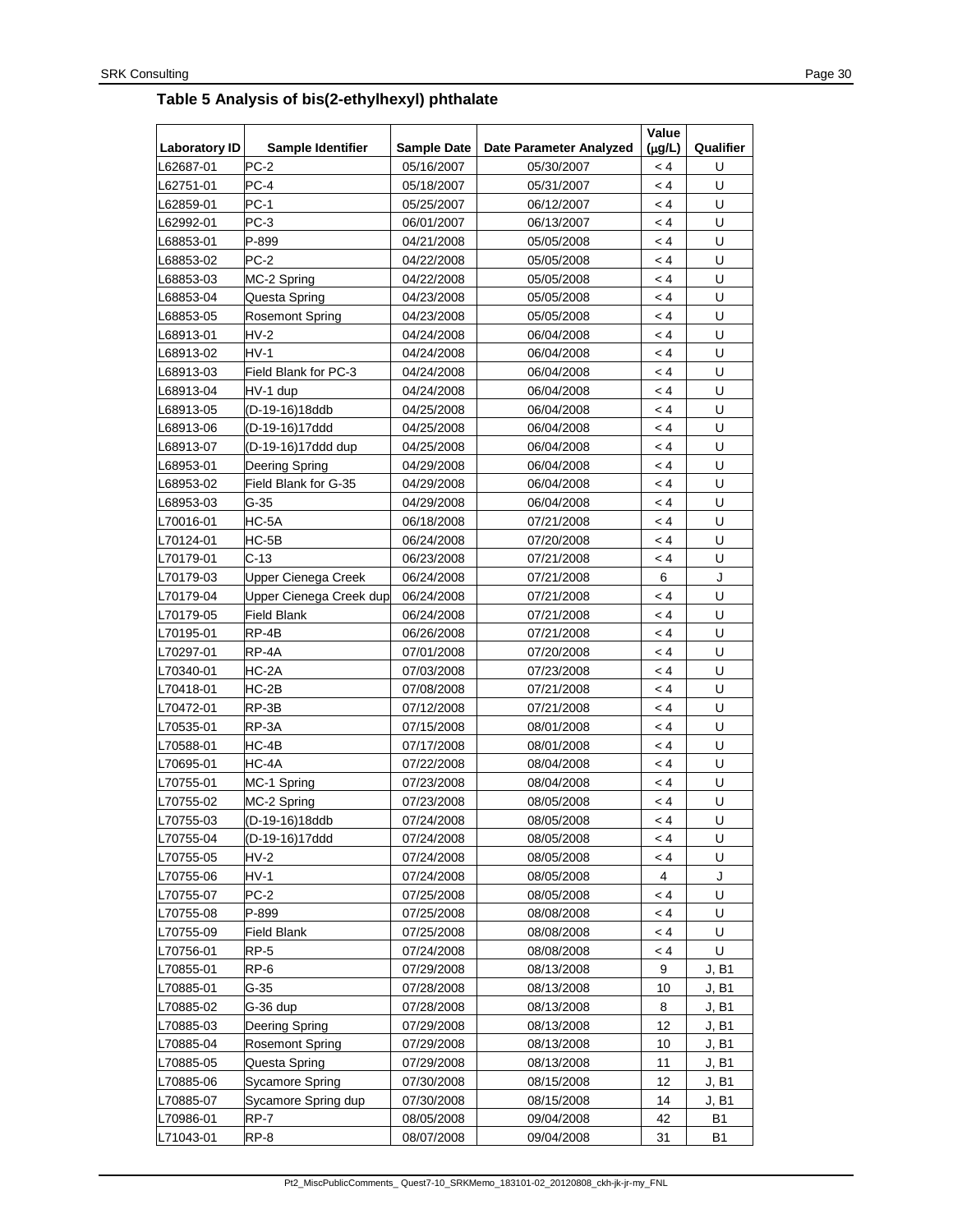# <span id="page-29-0"></span>**Table 5 Analysis of bis(2-ethylhexyl) phthalate**

| <b>Laboratory ID</b> | Sample Identifier       | <b>Sample Date</b> | Date Parameter Analyzed | Value<br>$(\mu g/L)$ | Qualifier    |
|----------------------|-------------------------|--------------------|-------------------------|----------------------|--------------|
| L62687-01            | PC-2                    | 05/16/2007         | 05/30/2007              | < 4                  | U            |
| L62751-01            | PC-4                    | 05/18/2007         | 05/31/2007              | < 4                  | U            |
| -62859-01            | <b>PC-1</b>             | 05/25/2007         | 06/12/2007              | < 4                  | U            |
| -62992-01            | PC-3                    | 06/01/2007         | 06/13/2007              | < 4                  | U            |
| -68853-01            | P-899                   | 04/21/2008         | 05/05/2008              | < 4                  | U            |
| -68853-02            | PC-2                    | 04/22/2008         | 05/05/2008              | < 4                  | U            |
| -68853-03            | MC-2 Spring             | 04/22/2008         | 05/05/2008              | < 4                  | U            |
| -68853-04            | Questa Spring           | 04/23/2008         | 05/05/2008              | < 4                  | U            |
| -68853-05            | <b>Rosemont Spring</b>  | 04/23/2008         | 05/05/2008              | $\lt 4$              | U            |
| -68913-01            | $HV-2$                  | 04/24/2008         | 06/04/2008              | $\lt 4$              | U            |
| -68913-02            | $HV-1$                  | 04/24/2008         | 06/04/2008              | $\lt 4$              | U            |
| -68913-03            | Field Blank for PC-3    | 04/24/2008         | 06/04/2008              | $\lt 4$              | U            |
| -68913-04            | HV-1 dup                | 04/24/2008         | 06/04/2008              | $\lt 4$              | U            |
| -68913-05            | (D-19-16)18ddb          | 04/25/2008         | 06/04/2008              | $\lt 4$              | U            |
| -68913-06            | (D-19-16)17ddd          | 04/25/2008         | 06/04/2008              | $\lt 4$              | U            |
| -68913-07            | (D-19-16)17ddd dup      | 04/25/2008         | 06/04/2008              | $\lt 4$              | U            |
| -68953-01            | Deering Spring          | 04/29/2008         | 06/04/2008              | $\lt 4$              | U            |
| -68953-02            | Field Blank for G-35    | 04/29/2008         | 06/04/2008              | $\lt 4$              | U            |
| -68953-03            | $G-35$                  | 04/29/2008         | 06/04/2008              | $\lt 4$              | U            |
| L70016-01            | HC-5A                   | 06/18/2008         | 07/21/2008              | $\lt 4$              | U            |
| L70124-01            | $HC-5B$                 | 06/24/2008         | 07/20/2008              | $\lt 4$              | U            |
| L70179-01            | $C-13$                  | 06/23/2008         | 07/21/2008              | $\lt 4$              | U            |
| L70179-03            | Upper Cienega Creek     | 06/24/2008         | 07/21/2008              | 6                    | J            |
| L70179-04            | Upper Cienega Creek dup | 06/24/2008         | 07/21/2008              | $\lt 4$              | U            |
| L70179-05            | <b>Field Blank</b>      | 06/24/2008         | 07/21/2008              | $\lt 4$              | U            |
| L70195-01            | RP-4B                   | 06/26/2008         | 07/21/2008              | $\lt 4$              | U            |
| L70297-01            | RP-4A                   | 07/01/2008         | 07/20/2008              | $\lt 4$              | U            |
| L70340-01            | HC-2A                   | 07/03/2008         | 07/23/2008              | $\lt 4$              | U            |
| L70418-01            | $HC-2B$                 | 07/08/2008         | 07/21/2008              | $\lt 4$              | U            |
| L70472-01            | RP-3B                   | 07/12/2008         | 07/21/2008              | $\lt 4$              | U            |
| L70535-01            | RP-3A                   | 07/15/2008         | 08/01/2008              | $\lt 4$              | U            |
| L70588-01            | HC-4B                   | 07/17/2008         | 08/01/2008              | $\lt 4$              | U            |
| L70695-01            | HC-4A                   | 07/22/2008         | 08/04/2008              | $\lt 4$              | U            |
| L70755-01            | MC-1 Spring             | 07/23/2008         | 08/04/2008              | $\lt 4$              | U            |
| L70755-02            | MC-2 Spring             | 07/23/2008         | 08/05/2008              | < 4                  | U            |
| L70755-03            | (D-19-16)18ddb          | 07/24/2008         | 08/05/2008              | < 4                  | $\mathbf{U}$ |
| L70755-04            | (D-19-16)17ddd          | 07/24/2008         | 08/05/2008              | $\lt 4$              | U            |
| L70755-05            | HV-2                    | 07/24/2008         | 08/05/2008              | $\lt 4$              | U            |
| L70755-06            | $HV-1$                  | 07/24/2008         | 08/05/2008              | 4                    | J            |
| L70755-07            | PC-2                    | 07/25/2008         | 08/05/2008              | $\lt 4$              | U            |
| L70755-08            | P-899                   | 07/25/2008         | 08/08/2008              | $\lt 4$              | U            |
| L70755-09            | <b>Field Blank</b>      | 07/25/2008         | 08/08/2008              | $\lt 4$              | U            |
| L70756-01            | <b>RP-5</b>             | 07/24/2008         | 08/08/2008              | < 4                  | U            |
| L70855-01            | RP-6                    | 07/29/2008         | 08/13/2008              | 9                    | J, B1        |
| L70885-01            | $G-35$                  | 07/28/2008         | 08/13/2008              | 10                   | J, B1        |
| L70885-02            | G-36 dup                | 07/28/2008         | 08/13/2008              | 8                    | J, B1        |
| L70885-03            | Deering Spring          | 07/29/2008         | 08/13/2008              | 12                   | J, B1        |
| L70885-04            | <b>Rosemont Spring</b>  | 07/29/2008         | 08/13/2008              | 10                   | J, B1        |
| L70885-05            | Questa Spring           | 07/29/2008         | 08/13/2008              | 11                   | J, B1        |
| L70885-06            | Sycamore Spring         | 07/30/2008         | 08/15/2008              | 12                   | J, B1        |
| L70885-07            | Sycamore Spring dup     | 07/30/2008         | 08/15/2008              | 14                   | J, B1        |
| L70986-01            | RP-7                    | 08/05/2008         | 09/04/2008              | 42                   | <b>B1</b>    |
| L71043-01            | RP-8                    | 08/07/2008         | 09/04/2008              | 31                   | <b>B1</b>    |